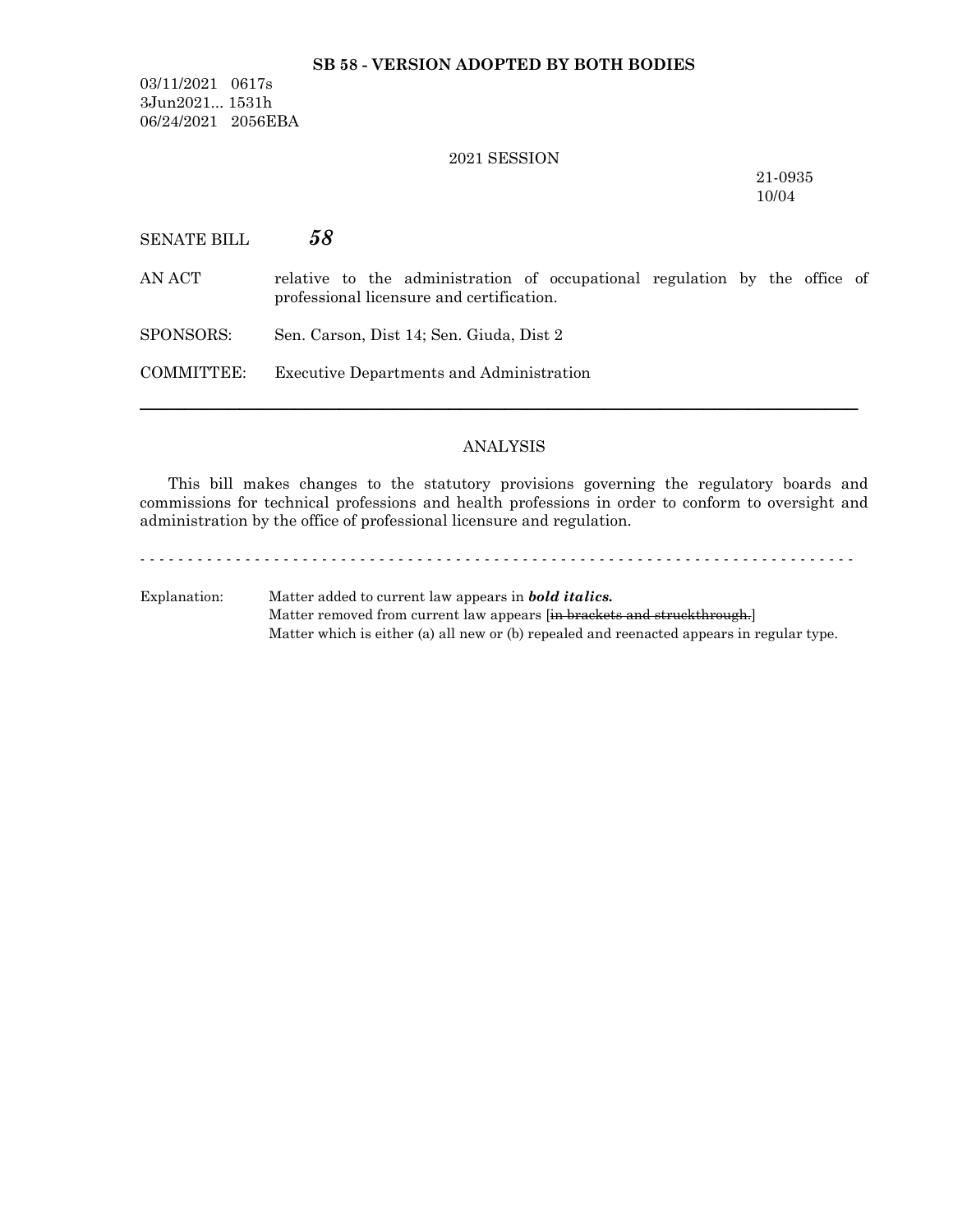#### **SB 58 - VERSION ADOPTED BY BOTH BODIES**

03/11/2021 0617s 3Jun2021... 1531h 06/24/2021 2056EBA

#### 2021 SESSION

21-0935 10/04

| SENATE BILL | 58                                                                                                                      |  |
|-------------|-------------------------------------------------------------------------------------------------------------------------|--|
| AN ACT      | relative to the administration of occupational regulation by the office of<br>professional licensure and certification. |  |
| SPONSORS:   | Sen. Carson, Dist 14; Sen. Giuda, Dist 2                                                                                |  |
| COMMITTEE:  | <b>Executive Departments and Administration</b>                                                                         |  |
|             |                                                                                                                         |  |

#### ANALYSIS

─────────────────────────────────────────────────────────────────

This bill makes changes to the statutory provisions governing the regulatory boards and commissions for technical professions and health professions in order to conform to oversight and administration by the office of professional licensure and regulation.

- - - - - - - - - - - - - - - - - - - - - - - - - - - - - - - - - - - - - - - - - - - - - - - - - - - - - - - - - - - - - - - - - - - - - - - - - - - Explanation: Matter added to current law appears in *bold italics.* Matter removed from current law appears [in brackets and struckthrough.] Matter which is either (a) all new or (b) repealed and reenacted appears in regular type.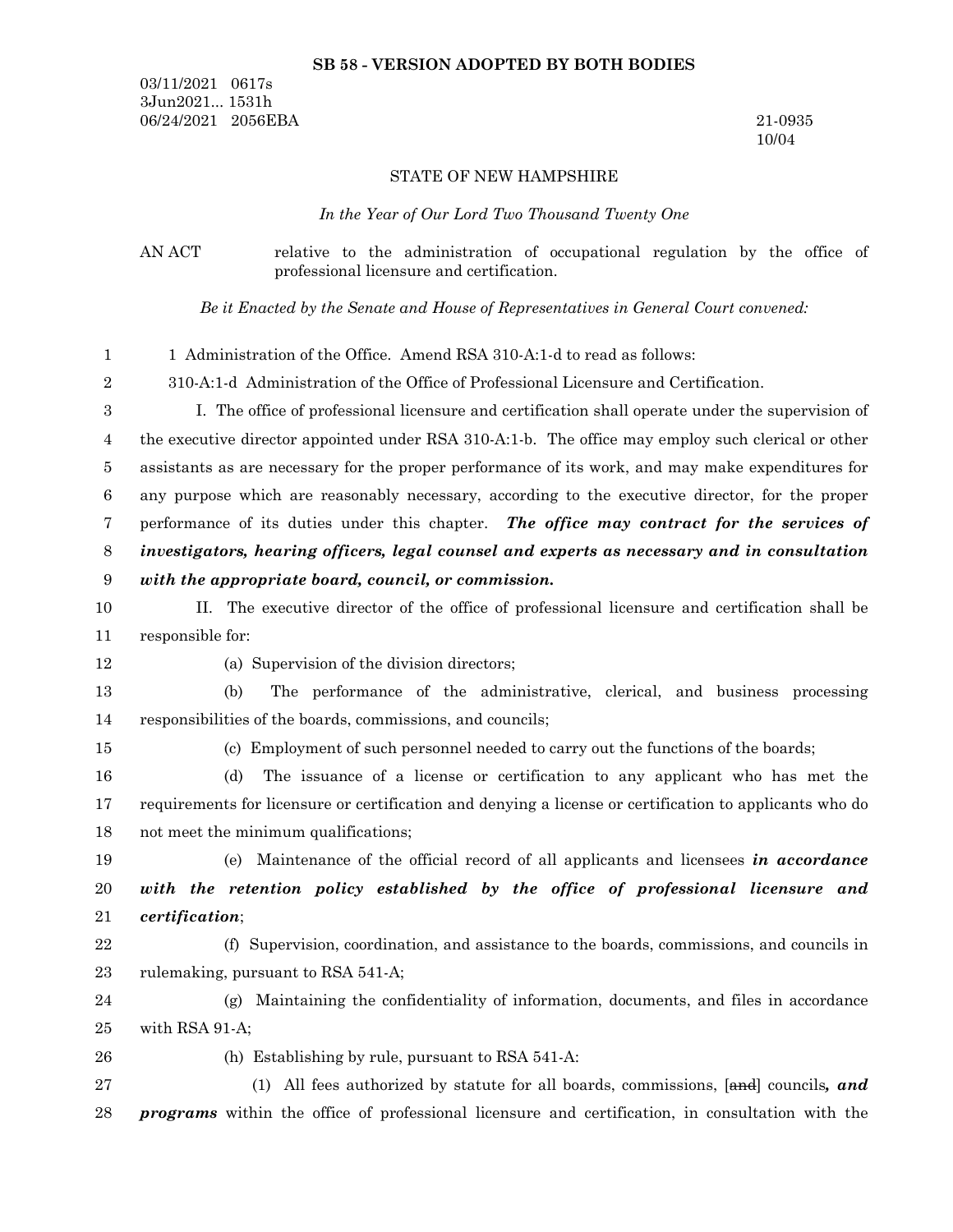#### **SB 58 - VERSION ADOPTED BY BOTH BODIES**

03/11/2021 0617s 3Jun2021... 1531h 06/24/2021 2056EBA 21-0935

10/04

#### STATE OF NEW HAMPSHIRE

*In the Year of Our Lord Two Thousand Twenty One*

AN ACT relative to the administration of occupational regulation by the office of professional licensure and certification.

*Be it Enacted by the Senate and House of Representatives in General Court convened:*

1 Administration of the Office. Amend RSA 310-A:1-d to read as follows: 1

310-A:1-d Administration of the Office of Professional Licensure and Certification. 2

I. The office of professional licensure and certification shall operate under the supervision of the executive director appointed under RSA 310-A:1-b. The office may employ such clerical or other assistants as are necessary for the proper performance of its work, and may make expenditures for any purpose which are reasonably necessary, according to the executive director, for the proper performance of its duties under this chapter. *The office may contract for the services of investigators, hearing officers, legal counsel and experts as necessary and in consultation with the appropriate board, council, or commission.* 3 4 5 6 7 8 9

- II. The executive director of the office of professional licensure and certification shall be responsible for: 10 11
- 12

(a) Supervision of the division directors;

(b) The performance of the administrative, clerical, and business processing responsibilities of the boards, commissions, and councils; 13 14

15

(c) Employment of such personnel needed to carry out the functions of the boards;

(d) The issuance of a license or certification to any applicant who has met the requirements for licensure or certification and denying a license or certification to applicants who do not meet the minimum qualifications; 16 17 18

(e) Maintenance of the official record of all applicants and licensees *in accordance with the retention policy established by the office of professional licensure and certification*; 19 20 21

(f) Supervision, coordination, and assistance to the boards, commissions, and councils in rulemaking, pursuant to RSA 541-A; 22 23

(g) Maintaining the confidentiality of information, documents, and files in accordance with RSA 91-A; 24 25

26

(h) Establishing by rule, pursuant to RSA 541-A:

(1) All fees authorized by statute for all boards, commissions, [and] councils*, and programs* within the office of professional licensure and certification, in consultation with the 27 28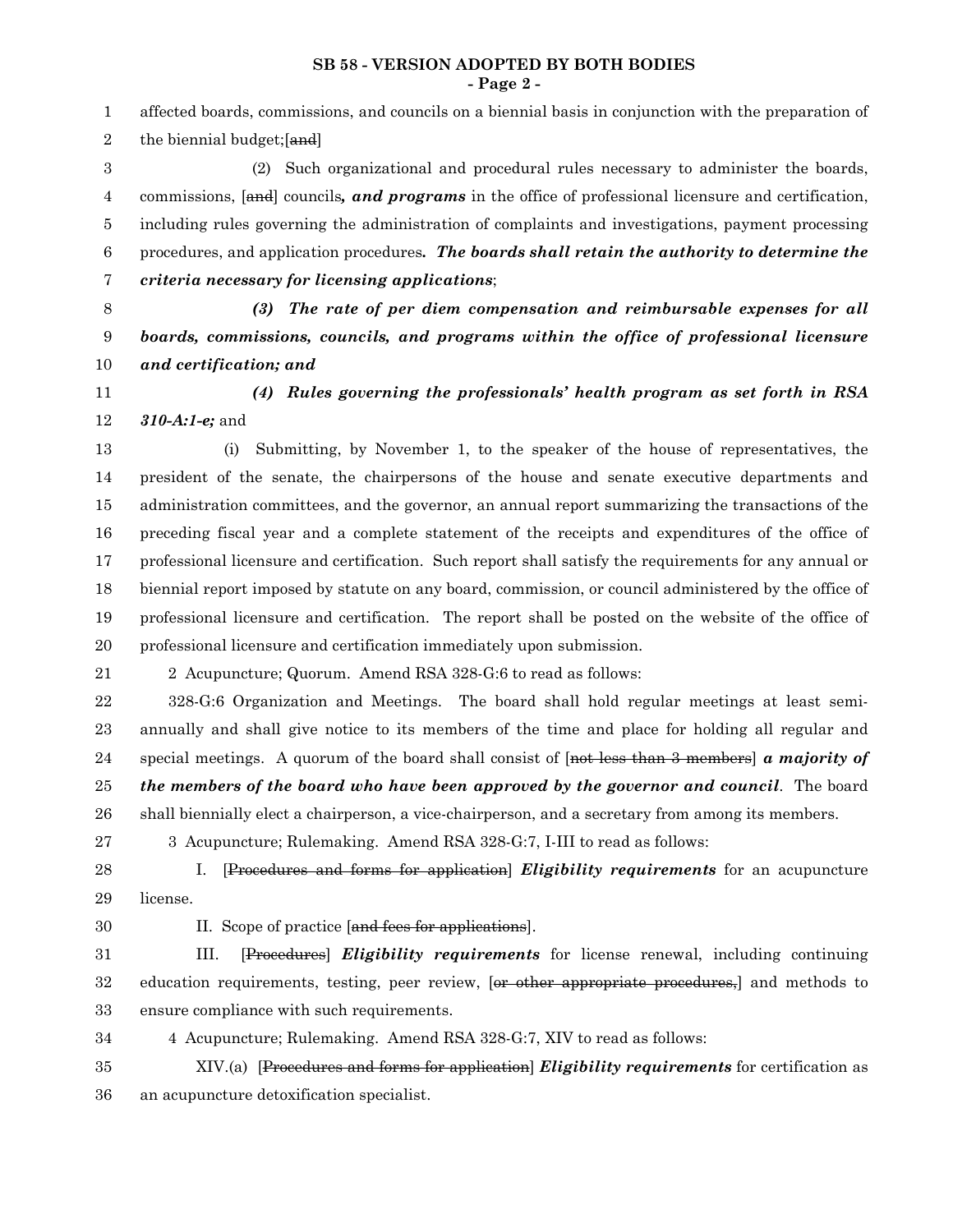**SB 58 - VERSION ADOPTED BY BOTH BODIES - Page 2 -**

affected boards, commissions, and councils on a biennial basis in conjunction with the preparation of the biennial budget;[and] (2) Such organizational and procedural rules necessary to administer the boards, commissions, [and] councils*, and programs* in the office of professional licensure and certification, including rules governing the administration of complaints and investigations, payment processing procedures, and application procedures*. The boards shall retain the authority to determine the criteria necessary for licensing applications*; *(3) The rate of per diem compensation and reimbursable expenses for all boards, commissions, councils, and programs within the office of professional licensure and certification; and (4) Rules governing the professionals' health program as set forth in RSA 310-A:1-e;* and (i) Submitting, by November 1, to the speaker of the house of representatives, the president of the senate, the chairpersons of the house and senate executive departments and administration committees, and the governor, an annual report summarizing the transactions of the preceding fiscal year and a complete statement of the receipts and expenditures of the office of professional licensure and certification. Such report shall satisfy the requirements for any annual or biennial report imposed by statute on any board, commission, or council administered by the office of professional licensure and certification. The report shall be posted on the website of the office of professional licensure and certification immediately upon submission. 2 Acupuncture; Quorum. Amend RSA 328-G:6 to read as follows: 328-G:6 Organization and Meetings. The board shall hold regular meetings at least semiannually and shall give notice to its members of the time and place for holding all regular and special meetings. A quorum of the board shall consist of [not less than 3 members] *a majority of* 1 2 3 4 5 6 7 8 9 10 11 12 13 14 15 16 17 18 19 20 21 22 23 24

*the members of the board who have been approved by the governor and council*. The board 25

shall biennially elect a chairperson, a vice-chairperson, and a secretary from among its members. 26

3 Acupuncture; Rulemaking. Amend RSA 328-G:7, I-III to read as follows: 27

I. [Procedures and forms for application] *Eligibility requirements* for an acupuncture license. 28 29

30

II. Scope of practice [and fees for applications].

III. [Procedures] *Eligibility requirements* for license renewal, including continuing education requirements, testing, peer review, [or other appropriate procedures,] and methods to ensure compliance with such requirements. 31 32 33

4 Acupuncture; Rulemaking. Amend RSA 328-G:7, XIV to read as follows: 34

XIV.(a) [Procedures and forms for application] *Eligibility requirements* for certification as an acupuncture detoxification specialist. 35 36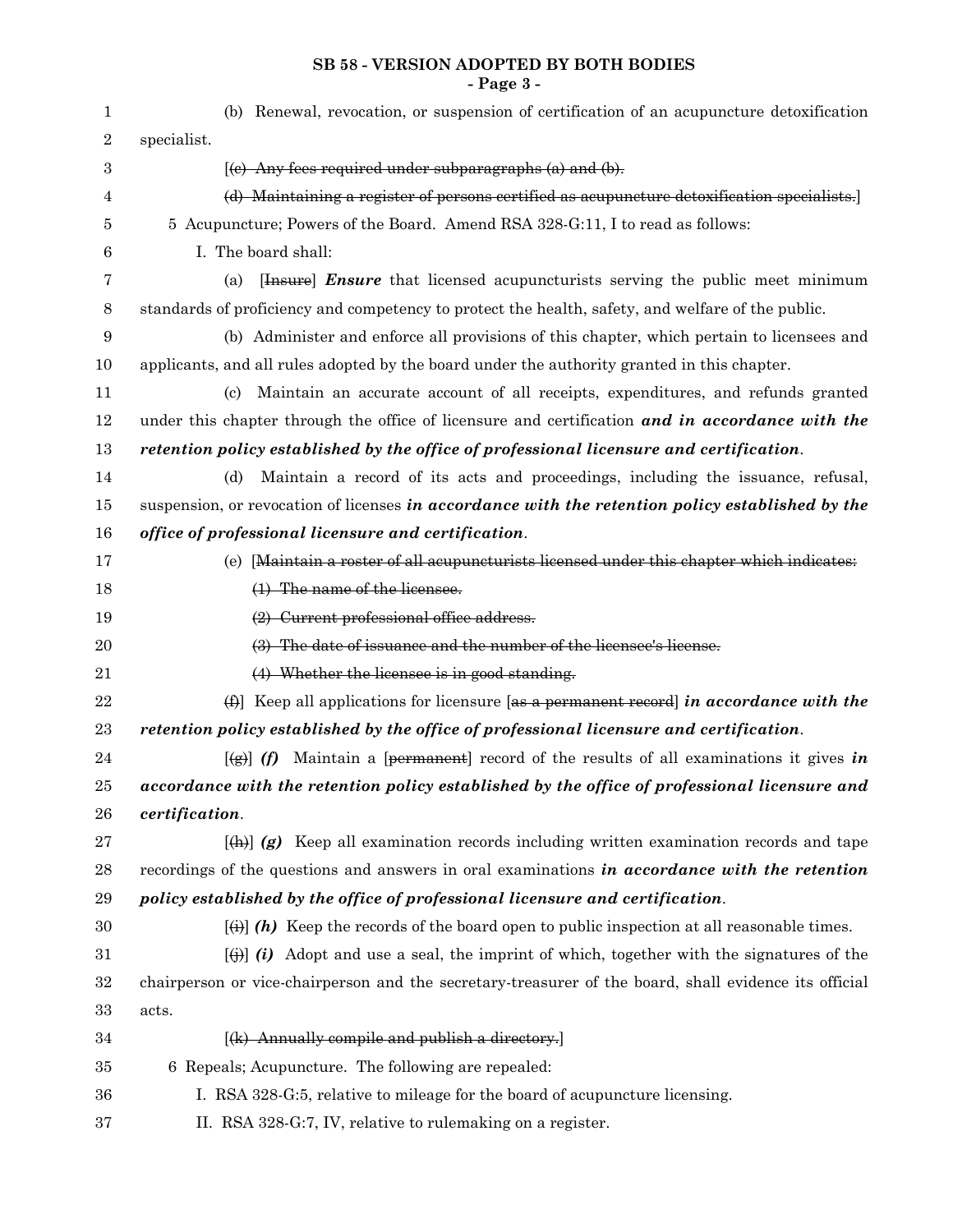#### **SB 58 - VERSION ADOPTED BY BOTH BODIES - Page 3 -**

| 1                | (b) Renewal, revocation, or suspension of certification of an acupuncture detoxification                   |
|------------------|------------------------------------------------------------------------------------------------------------|
| $\boldsymbol{2}$ | specialist.                                                                                                |
| 3                | $(e)$ Any fees required under subparagraphs $(a)$ and $(b)$ .                                              |
| 4                | (d) Maintaining a register of persons certified as acupuncture detoxification specialists.                 |
| 5                | 5 Acupuncture; Powers of the Board. Amend RSA 328-G:11, I to read as follows:                              |
| 6                | I. The board shall:                                                                                        |
| 7                | [Hessure] <i>Ensure</i> that licensed acupuncturists serving the public meet minimum<br>(a)                |
| 8                | standards of proficiency and competency to protect the health, safety, and welfare of the public.          |
| 9                | (b) Administer and enforce all provisions of this chapter, which pertain to licensees and                  |
| 10               | applicants, and all rules adopted by the board under the authority granted in this chapter.                |
| 11               | Maintain an accurate account of all receipts, expenditures, and refunds granted<br>(c)                     |
| 12               | under this chapter through the office of licensure and certification and in accordance with the            |
| 13               | retention policy established by the office of professional licensure and certification.                    |
| 14               | Maintain a record of its acts and proceedings, including the issuance, refusal,<br>(d)                     |
| 15               | suspension, or revocation of licenses in accordance with the retention policy established by the           |
| 16               | office of professional licensure and certification.                                                        |
| 17               | (e) [Maintain a roster of all acupuncturists licensed under this chapter which indicates:                  |
| 18               | (1) The name of the licensee.                                                                              |
| 19               | (2) Current professional office address.                                                                   |
| $20\,$           | (3) The date of issuance and the number of the licensee's license.                                         |
| 21               | (4) Whether the licensee is in good standing.                                                              |
| 22               | (f) Keep all applications for licensure [as a permanent record] in accordance with the                     |
| 23               | retention policy established by the office of professional licensure and certification.                    |
| 24               | $[\frac{1}{2}]$ (f) Maintain a [permanent] record of the results of all examinations it gives in           |
| 25               | accordance with the retention policy established by the office of professional licensure and               |
| 26               | certification.                                                                                             |
| 27               | $\vert \phi(x) \vert$ (g) Keep all examination records including written examination records and tape      |
| $\bf{28}$        | recordings of the questions and answers in oral examinations in accordance with the retention              |
| 29               | policy established by the office of professional licensure and certification.                              |
| 30               | $\overline{f(\cdot)}$ (h) Keep the records of the board open to public inspection at all reasonable times. |
| 31               | $\ket{\uparrow}$ (i) Adopt and use a seal, the imprint of which, together with the signatures of the       |
| $32\,$           | chairperson or vice-chairperson and the secretary-treasurer of the board, shall evidence its official      |
| 33               | acts.                                                                                                      |
| 34               | $[(k)$ Annually compile and publish a directory.                                                           |
| $35\,$           | 6 Repeals; Acupuncture. The following are repealed:                                                        |
| 36               | I. RSA 328-G:5, relative to mileage for the board of acupuncture licensing.                                |
| 37               | II. RSA 328-G:7, IV, relative to rulemaking on a register.                                                 |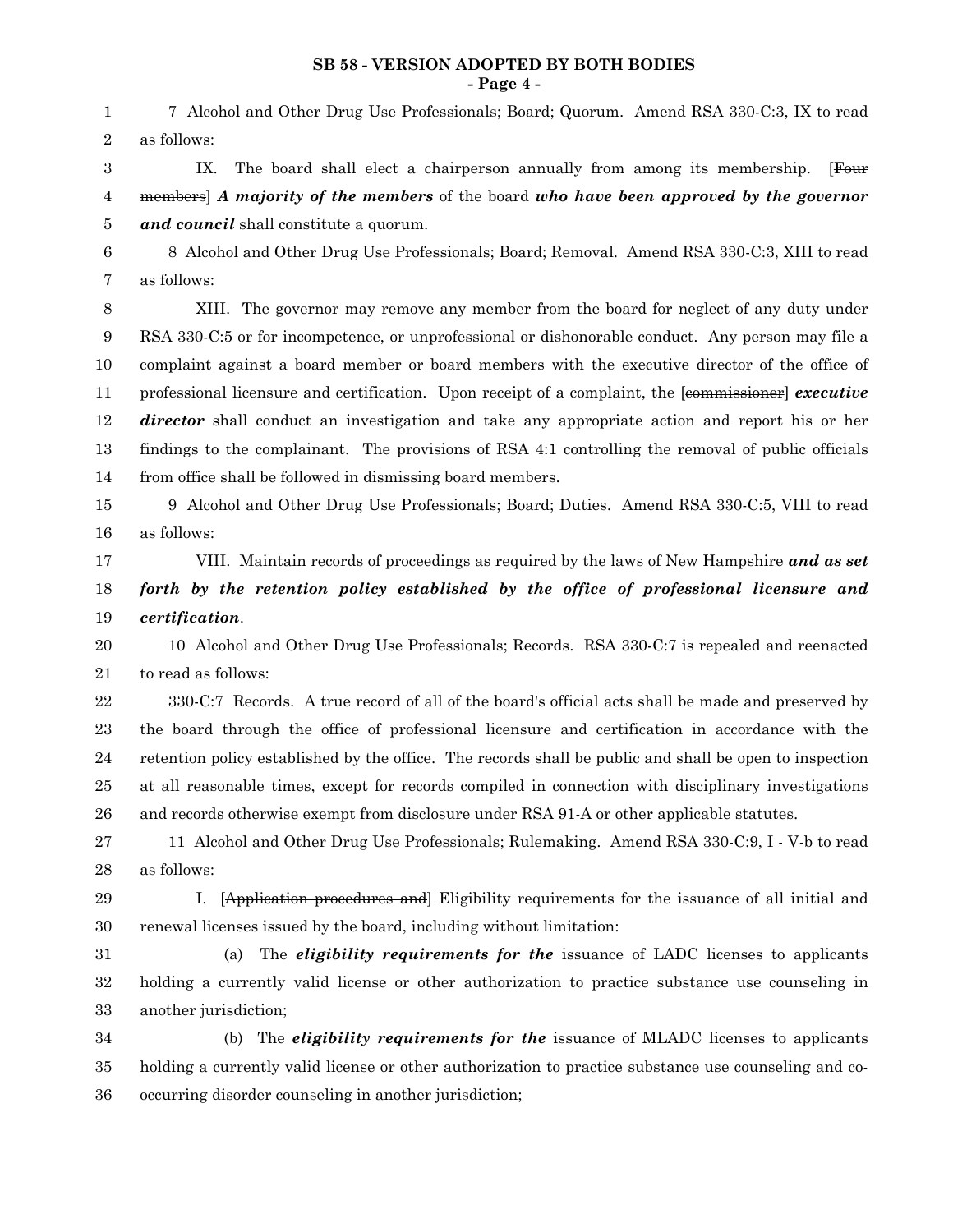#### **SB 58 - VERSION ADOPTED BY BOTH BODIES - Page 4 -**

7 Alcohol and Other Drug Use Professionals; Board; Quorum. Amend RSA 330-C:3, IX to read as follows: 1 2

IX. The board shall elect a chairperson annually from among its membership. [Four members] *A majority of the members* of the board *who have been approved by the governor and council* shall constitute a quorum. 3 4 5

8 Alcohol and Other Drug Use Professionals; Board; Removal. Amend RSA 330-C:3, XIII to read as follows: 6 7

XIII. The governor may remove any member from the board for neglect of any duty under RSA 330-C:5 or for incompetence, or unprofessional or dishonorable conduct. Any person may file a complaint against a board member or board members with the executive director of the office of professional licensure and certification. Upon receipt of a complaint, the [commissioner] *executive director* shall conduct an investigation and take any appropriate action and report his or her findings to the complainant. The provisions of RSA 4:1 controlling the removal of public officials from office shall be followed in dismissing board members. 8 9 10 11 12 13 14

15 16

9 Alcohol and Other Drug Use Professionals; Board; Duties. Amend RSA 330-C:5, VIII to read as follows:

VIII. Maintain records of proceedings as required by the laws of New Hampshire *and as set forth by the retention policy established by the office of professional licensure and certification*. 17 18 19

10 Alcohol and Other Drug Use Professionals; Records. RSA 330-C:7 is repealed and reenacted to read as follows: 20 21

330-C:7 Records. A true record of all of the board's official acts shall be made and preserved by the board through the office of professional licensure and certification in accordance with the retention policy established by the office. The records shall be public and shall be open to inspection at all reasonable times, except for records compiled in connection with disciplinary investigations and records otherwise exempt from disclosure under RSA 91-A or other applicable statutes. 22 23 24 25 26

11 Alcohol and Other Drug Use Professionals; Rulemaking. Amend RSA 330-C:9, I - V-b to read as follows: 27 28

I. [Application procedures and] Eligibility requirements for the issuance of all initial and renewal licenses issued by the board, including without limitation: 29 30

(a) The *eligibility requirements for the* issuance of LADC licenses to applicants holding a currently valid license or other authorization to practice substance use counseling in another jurisdiction; 31 32 33

(b) The *eligibility requirements for the* issuance of MLADC licenses to applicants holding a currently valid license or other authorization to practice substance use counseling and cooccurring disorder counseling in another jurisdiction; 34 35 36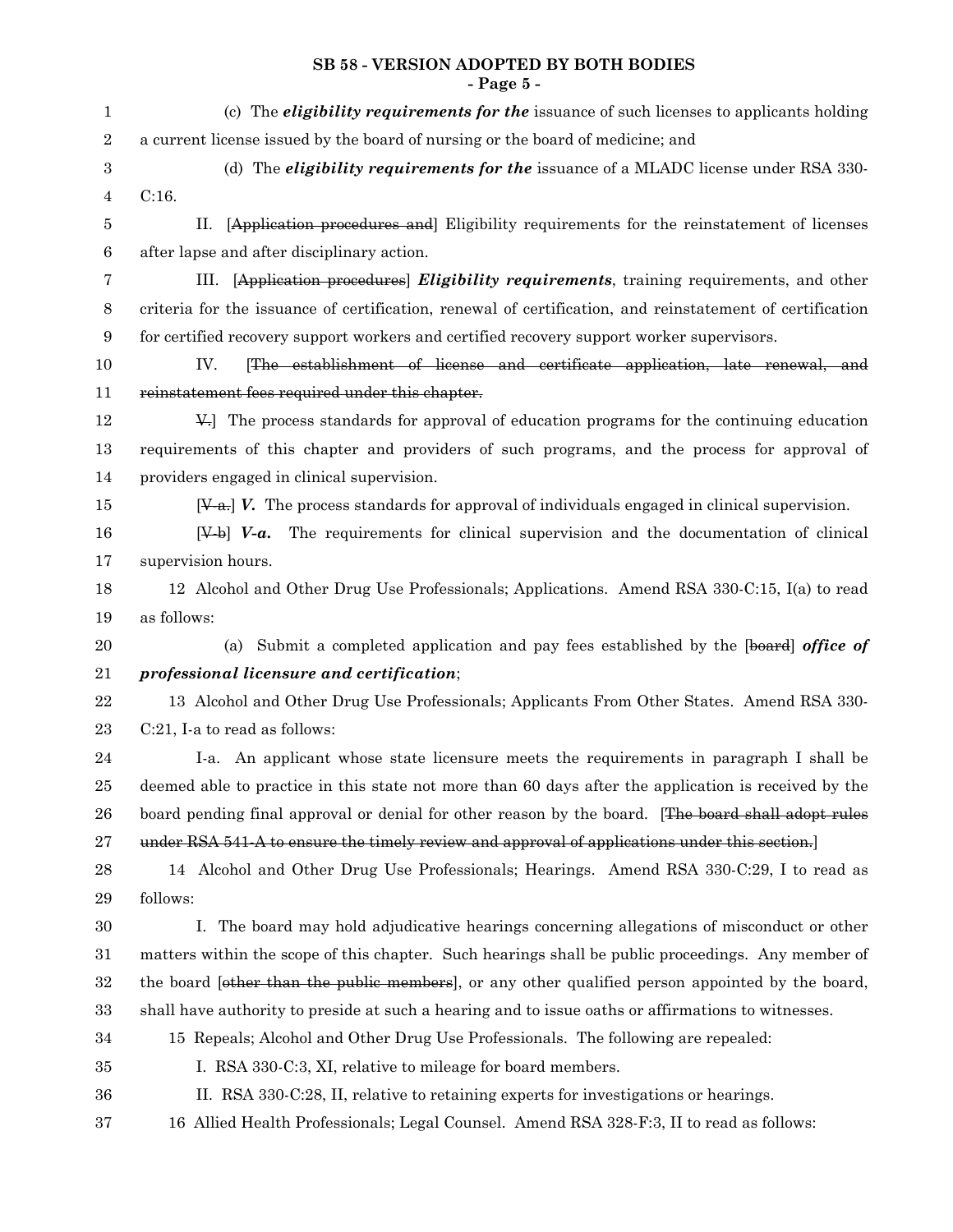#### **SB 58 - VERSION ADOPTED BY BOTH BODIES - Page 5 -**

| $\mathbf{1}$     | (c) The <i>eligibility requirements for the</i> issuance of such licenses to applicants holding            |
|------------------|------------------------------------------------------------------------------------------------------------|
| $\,2$            | a current license issued by the board of nursing or the board of medicine; and                             |
| 3                | (d) The <i>eligibility requirements for the</i> issuance of a MLADC license under RSA 330-                 |
| $\overline{4}$   | C:16.                                                                                                      |
| 5                | [Application procedures and] Eligibility requirements for the reinstatement of licenses<br>П.              |
| 6                | after lapse and after disciplinary action.                                                                 |
| 7                | [Application procedures] <i>Eligibility requirements</i> , training requirements, and other<br>III.        |
| 8                | criteria for the issuance of certification, renewal of certification, and reinstatement of certification   |
| $\boldsymbol{9}$ | for certified recovery support workers and certified recovery support worker supervisors.                  |
| 10               | The establishment of license and certificate application, late renewal, and<br>IV.                         |
| 11               | reinstatement fees required under this chapter.                                                            |
| 12               | V.] The process standards for approval of education programs for the continuing education                  |
| 13               | requirements of this chapter and providers of such programs, and the process for approval of               |
| 14               | providers engaged in clinical supervision.                                                                 |
| 15               | $[\mathcal{Y}_{-a}]$ V. The process standards for approval of individuals engaged in clinical supervision. |
| 16               | $[\mathcal{Y}-b]$ <b>V-a.</b> The requirements for clinical supervision and the documentation of clinical  |
| 17               | supervision hours.                                                                                         |
| 18               | 12 Alcohol and Other Drug Use Professionals; Applications. Amend RSA 330-C:15, I(a) to read                |
| 19               | as follows:                                                                                                |
| 20               | (a) Submit a completed application and pay fees established by the [board] office of                       |
| 21               | professional licensure and certification;                                                                  |
| $\bf 22$         | 13 Alcohol and Other Drug Use Professionals; Applicants From Other States. Amend RSA 330-                  |
| 23               | C:21, I-a to read as follows:                                                                              |
| 24               | I-a. An applicant whose state licensure meets the requirements in paragraph I shall be                     |
| 25               | deemed able to practice in this state not more than 60 days after the application is received by the       |
| 26               | board pending final approval or denial for other reason by the board. [The board shall adopt rules         |
| 27               | under RSA 541-A to ensure the timely review and approval of applications under this section.               |
| 28               | 14 Alcohol and Other Drug Use Professionals; Hearings. Amend RSA 330-C:29, I to read as                    |
| 29               | follows:                                                                                                   |
| 30               | I. The board may hold adjudicative hearings concerning allegations of misconduct or other                  |
| 31               | matters within the scope of this chapter. Such hearings shall be public proceedings. Any member of         |
| 32               | the board (other than the public members), or any other qualified person appointed by the board,           |
| 33               | shall have authority to preside at such a hearing and to issue oaths or affirmations to witnesses.         |
| 34               | 15 Repeals; Alcohol and Other Drug Use Professionals. The following are repealed:                          |
| 35               | I. RSA 330-C:3, XI, relative to mileage for board members.                                                 |
| 36               | II. RSA 330-C:28, II, relative to retaining experts for investigations or hearings.                        |
| 37               | 16 Allied Health Professionals; Legal Counsel. Amend RSA 328-F:3, II to read as follows:                   |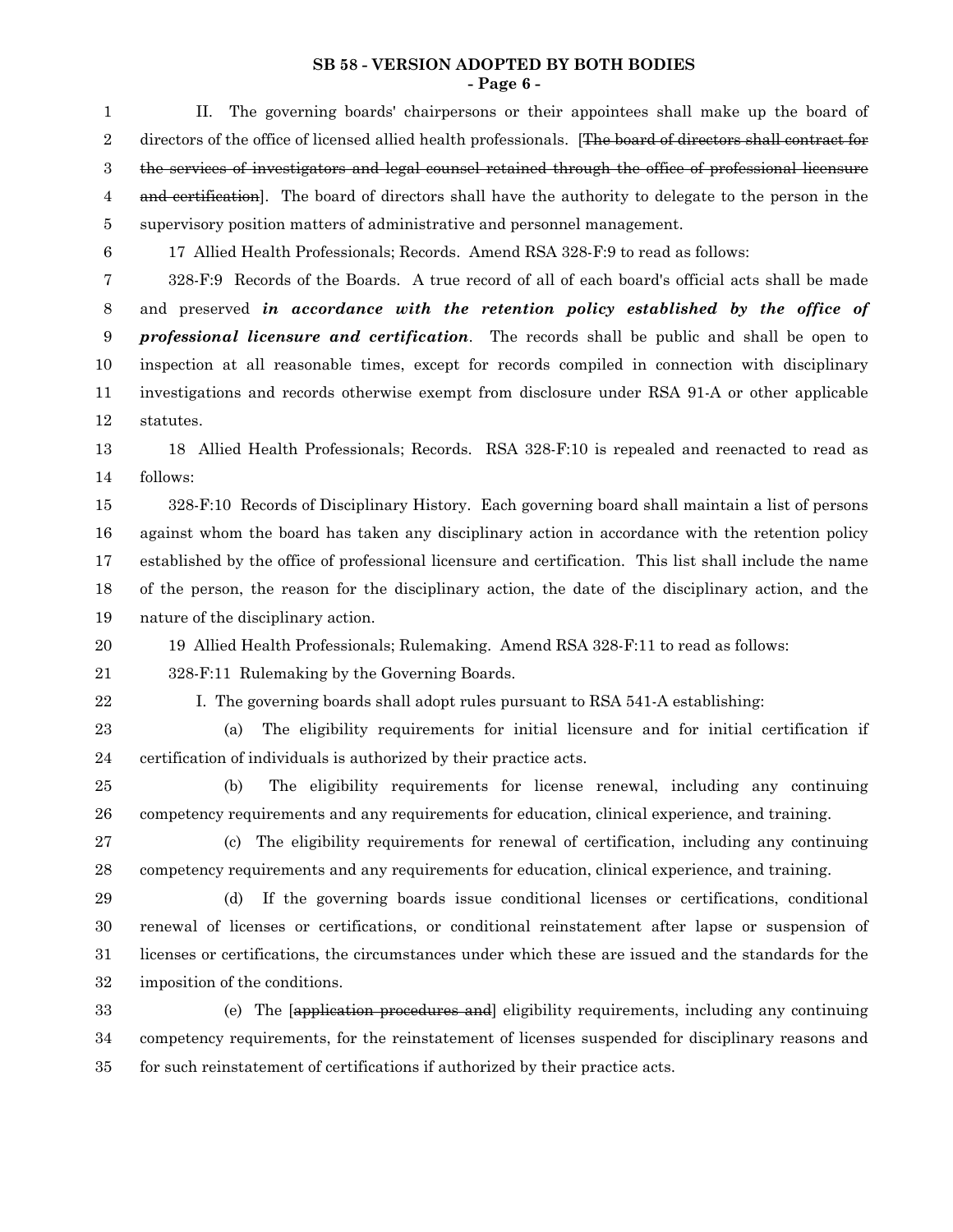#### **SB 58 - VERSION ADOPTED BY BOTH BODIES - Page 6 -**

II. The governing boards' chairpersons or their appointees shall make up the board of directors of the office of licensed allied health professionals. [The board of directors shall contract for the services of investigators and legal counsel retained through the office of professional licensure and certification]. The board of directors shall have the authority to delegate to the person in the supervisory position matters of administrative and personnel management. 17 Allied Health Professionals; Records. Amend RSA 328-F:9 to read as follows: 328-F:9 Records of the Boards. A true record of all of each board's official acts shall be made and preserved *in accordance with the retention policy established by the office of professional licensure and certification*. The records shall be public and shall be open to inspection at all reasonable times, except for records compiled in connection with disciplinary investigations and records otherwise exempt from disclosure under RSA 91-A or other applicable statutes. 18 Allied Health Professionals; Records. RSA 328-F:10 is repealed and reenacted to read as follows: 328-F:10 Records of Disciplinary History. Each governing board shall maintain a list of persons against whom the board has taken any disciplinary action in accordance with the retention policy established by the office of professional licensure and certification. This list shall include the name of the person, the reason for the disciplinary action, the date of the disciplinary action, and the nature of the disciplinary action. 19 Allied Health Professionals; Rulemaking. Amend RSA 328-F:11 to read as follows: 328-F:11 Rulemaking by the Governing Boards. I. The governing boards shall adopt rules pursuant to RSA 541-A establishing: (a) The eligibility requirements for initial licensure and for initial certification if certification of individuals is authorized by their practice acts. (b) The eligibility requirements for license renewal, including any continuing competency requirements and any requirements for education, clinical experience, and training. (c) The eligibility requirements for renewal of certification, including any continuing competency requirements and any requirements for education, clinical experience, and training. (d) If the governing boards issue conditional licenses or certifications, conditional renewal of licenses or certifications, or conditional reinstatement after lapse or suspension of licenses or certifications, the circumstances under which these are issued and the standards for the imposition of the conditions. (e) The [application procedures and] eligibility requirements, including any continuing competency requirements, for the reinstatement of licenses suspended for disciplinary reasons and for such reinstatement of certifications if authorized by their practice acts. 1 2 3 4 5 6 7 8 9 10 11 12 13 14 15 16 17 18 19 20 21 22 23 24 25 26 27 28 29 30 31 32 33 34 35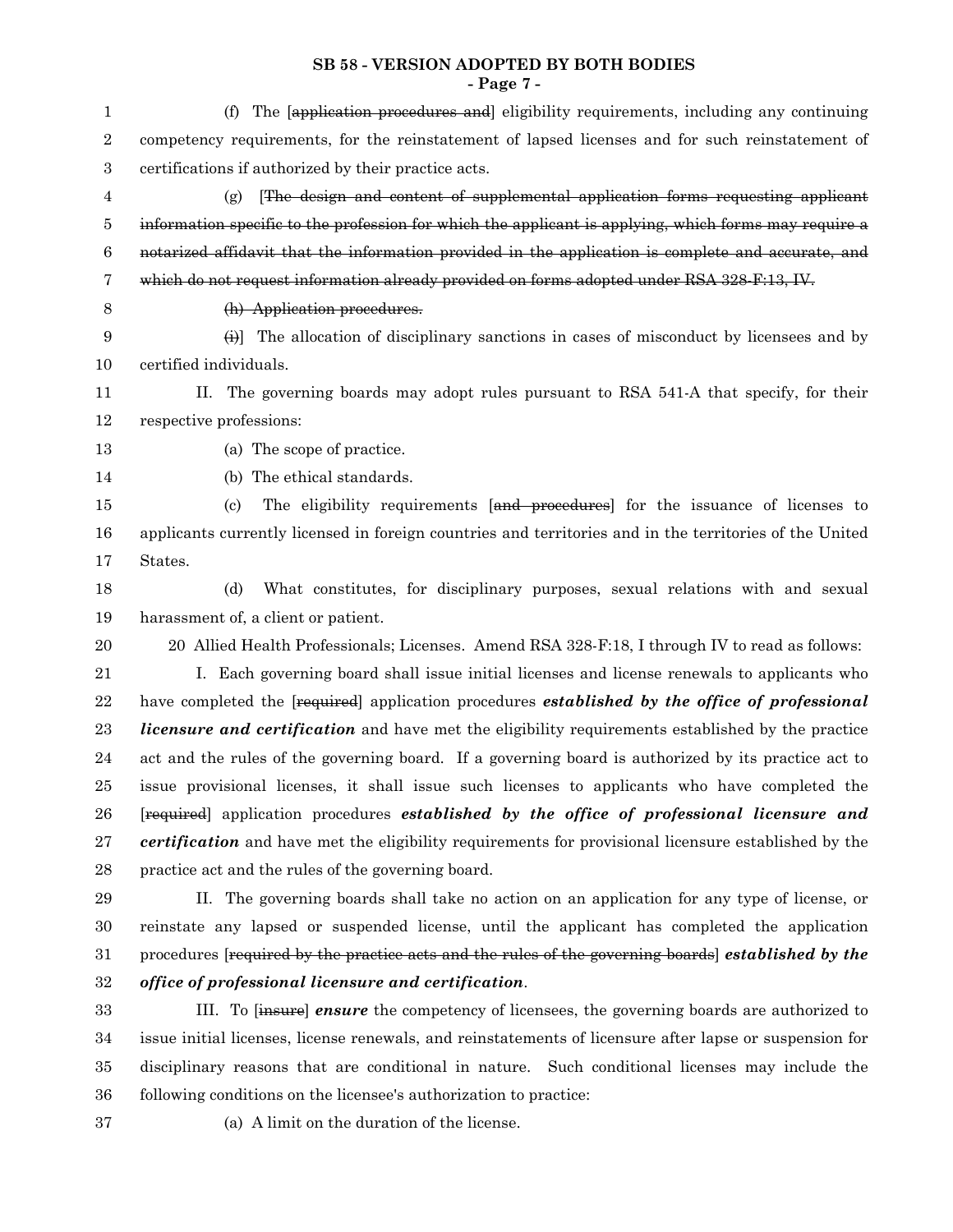#### **SB 58 - VERSION ADOPTED BY BOTH BODIES - Page 7 -**

| $\mathbf{1}$     | (f) The lapplication procedures and eligibility requirements, including any continuing                      |
|------------------|-------------------------------------------------------------------------------------------------------------|
| $\boldsymbol{2}$ | competency requirements, for the reinstatement of lapsed licenses and for such reinstatement of             |
| 3                | certifications if authorized by their practice acts.                                                        |
| 4                | The design and content of supplemental application forms requesting applicant<br>(g)                        |
| 5                | information specific to the profession for which the applicant is applying, which forms may require a       |
| $\,6$            | notarized affidavit that the information provided in the application is complete and accurate, and          |
| 7                | which do not request information already provided on forms adopted under RSA 328-F:13, IV.                  |
| $8\phantom{1}$   | (h) Application procedures.                                                                                 |
| $9\,$            | $\leftrightarrow$ The allocation of disciplinary sanctions in cases of misconduct by licensees and by       |
| 10               | certified individuals.                                                                                      |
| 11               | The governing boards may adopt rules pursuant to RSA 541-A that specify, for their<br>П.                    |
| 12               | respective professions:                                                                                     |
| 13               | (a) The scope of practice.                                                                                  |
| 14               | (b) The ethical standards.                                                                                  |
| 15               | The eligibility requirements [and procedures] for the issuance of licenses to<br>$\left( \mathrm{c}\right)$ |
| 16               | applicants currently licensed in foreign countries and territories and in the territories of the United     |
| 17               | States.                                                                                                     |
| 18               | What constitutes, for disciplinary purposes, sexual relations with and sexual<br>(d)                        |
| 19               | harassment of, a client or patient.                                                                         |
| 20               | 20 Allied Health Professionals; Licenses. Amend RSA 328-F:18, I through IV to read as follows:              |
| 21               | I. Each governing board shall issue initial licenses and license renewals to applicants who                 |
| 22               | have completed the [required] application procedures established by the office of professional              |
| 23               | <i>licensure and certification</i> and have met the eligibility requirements established by the practice    |
| 24               | act and the rules of the governing board. If a governing board is authorized by its practice act to         |
| 25               | issue provisional licenses, it shall issue such licenses to applicants who have completed the               |
| 26               | [required] application procedures established by the office of professional licensure and                   |
| 27               | certification and have met the eligibility requirements for provisional licensure established by the        |
| 28               | practice act and the rules of the governing board.                                                          |
| 29               | II. The governing boards shall take no action on an application for any type of license, or                 |
| 30               | reinstate any lapsed or suspended license, until the applicant has completed the application                |
| 31               | procedures [required by the practice acts and the rules of the governing boards] established by the         |
| 32               | office of professional licensure and certification.                                                         |
| 33               | III. To [insure] ensure the competency of licensees, the governing boards are authorized to                 |
| 34               | issue initial licenses, license renewals, and reinstatements of licensure after lapse or suspension for     |
| 35               | disciplinary reasons that are conditional in nature. Such conditional licenses may include the              |
| 36               | following conditions on the licensee's authorization to practice:                                           |

37

(a) A limit on the duration of the license.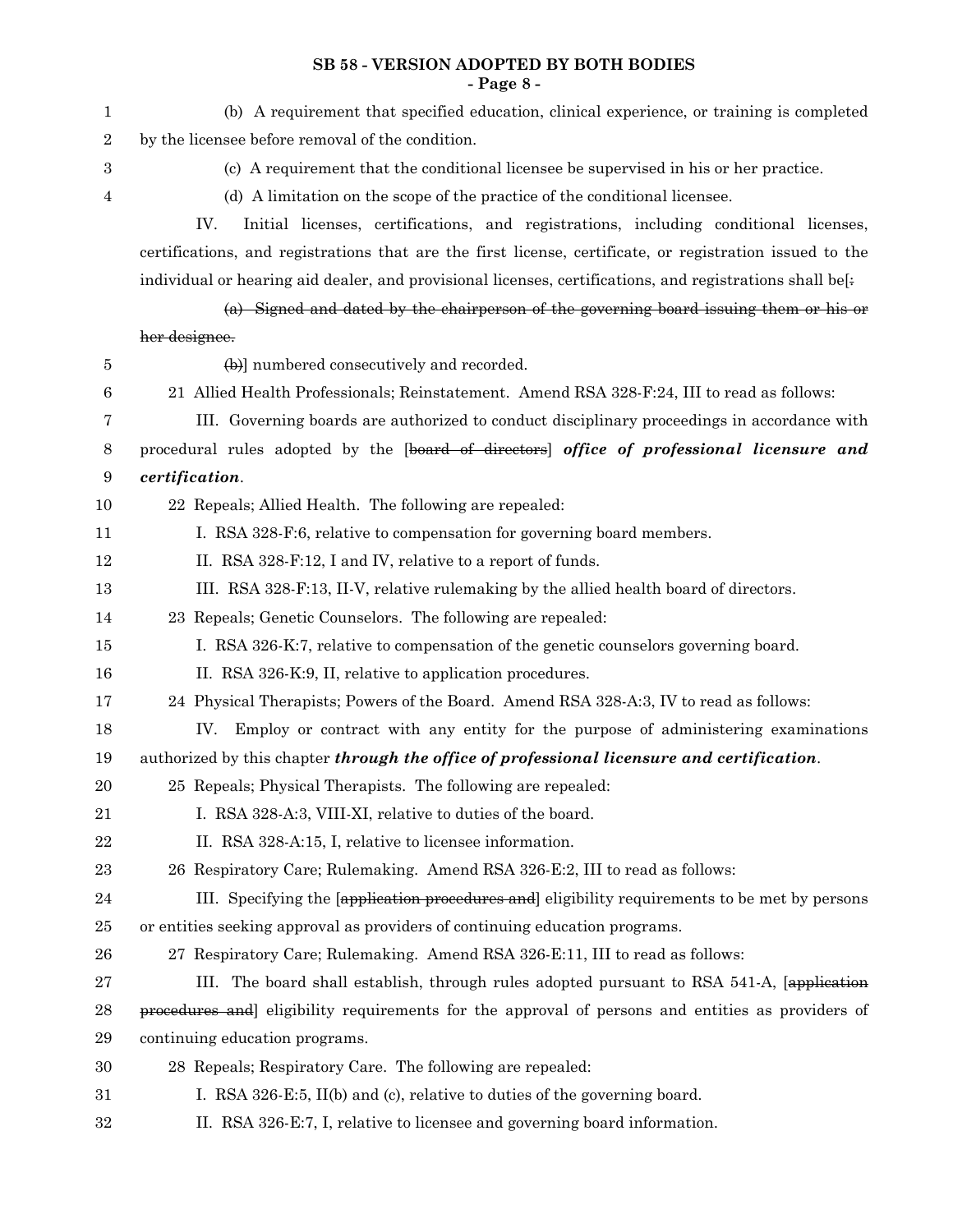## **SB 58 - VERSION ADOPTED BY BOTH BODIES - Page 8 -**

| 1                | (b) A requirement that specified education, clinical experience, or training is completed                |
|------------------|----------------------------------------------------------------------------------------------------------|
| $\boldsymbol{2}$ | by the licensee before removal of the condition.                                                         |
| 3                | (c) A requirement that the conditional licensee be supervised in his or her practice.                    |
| 4                | (d) A limitation on the scope of the practice of the conditional licensee.                               |
|                  | Initial licenses, certifications, and registrations, including conditional licenses,<br>IV.              |
|                  | certifications, and registrations that are the first license, certificate, or registration issued to the |
|                  | individual or hearing aid dealer, and provisional licenses, certifications, and registrations shall be[: |
|                  | (a) Signed and dated by the chairperson of the governing board issuing them or his or                    |
|                  | her designee.                                                                                            |
| 5                | (b)] numbered consecutively and recorded.                                                                |
| $\boldsymbol{6}$ | 21 Allied Health Professionals; Reinstatement. Amend RSA 328-F:24, III to read as follows:               |
| 7                | III. Governing boards are authorized to conduct disciplinary proceedings in accordance with              |
| 8                | procedural rules adopted by the [board of directors] office of professional licensure and                |
| $\boldsymbol{9}$ | certification.                                                                                           |
| 10               | 22 Repeals; Allied Health. The following are repealed:                                                   |
| 11               | I. RSA 328-F:6, relative to compensation for governing board members.                                    |
| 12               | II. RSA 328-F:12, I and IV, relative to a report of funds.                                               |
| 13               | III. RSA 328-F:13, II-V, relative rulemaking by the allied health board of directors.                    |
| 14               | 23 Repeals; Genetic Counselors. The following are repealed:                                              |
| 15               | I. RSA 326-K:7, relative to compensation of the genetic counselors governing board.                      |
| 16               | II. RSA 326-K:9, II, relative to application procedures.                                                 |
| 17               | 24 Physical Therapists; Powers of the Board. Amend RSA 328-A:3, IV to read as follows:                   |
| 18               | Employ or contract with any entity for the purpose of administering examinations<br>IV.                  |
| 19               | authorized by this chapter <i>through the office of professional licensure and certification</i> .       |
| 20               | 25 Repeals; Physical Therapists. The following are repealed:                                             |
| 21               | I. RSA 328-A:3, VIII-XI, relative to duties of the board.                                                |
| $\bf 22$         | II. RSA 328-A:15, I, relative to licensee information.                                                   |
| 23               | 26 Respiratory Care; Rulemaking. Amend RSA 326-E:2, III to read as follows:                              |
| 24               | III. Specifying the lapplication procedures and eligibility requirements to be met by persons            |
| 25               | or entities seeking approval as providers of continuing education programs.                              |
| 26               | 27 Respiratory Care; Rulemaking. Amend RSA 326-E:11, III to read as follows:                             |
| 27               | III. The board shall establish, through rules adopted pursuant to RSA 541-A, [application]               |
| 28               | procedures and eligibility requirements for the approval of persons and entities as providers of         |
| 29               | continuing education programs.                                                                           |
| 30               | 28 Repeals; Respiratory Care. The following are repealed:                                                |
| 31               | I. RSA 326-E:5, II(b) and (c), relative to duties of the governing board.                                |
| 32               | II. RSA 326-E:7, I, relative to licensee and governing board information.                                |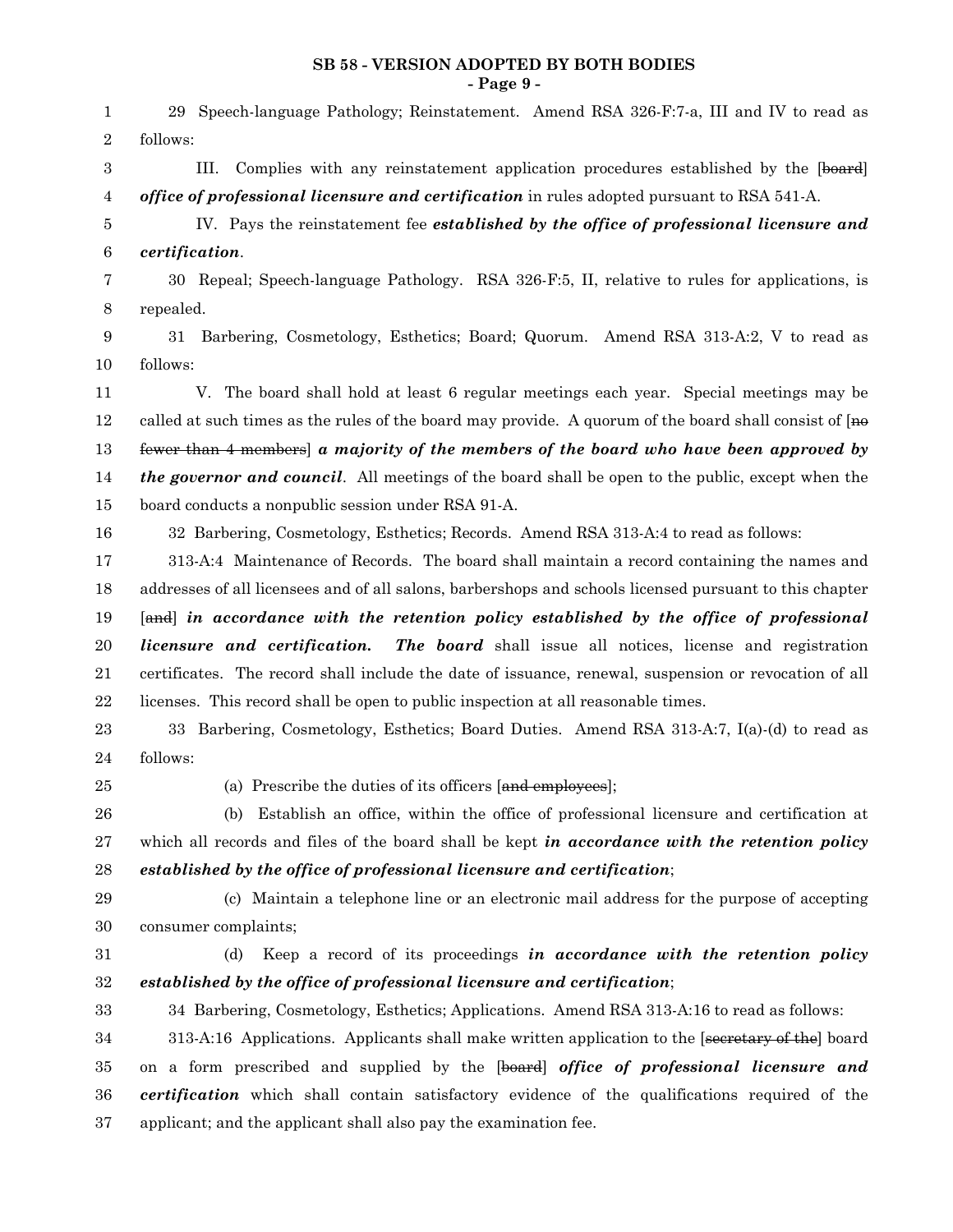#### **SB 58 - VERSION ADOPTED BY BOTH BODIES - Page 9 -**

| 1              | 29 Speech-language Pathology; Reinstatement. Amend RSA 326-F:7-a, III and IV to read as                 |
|----------------|---------------------------------------------------------------------------------------------------------|
| $\overline{2}$ | follows:                                                                                                |
| 3              | III.<br>Complies with any reinstatement application procedures established by the [board]               |
| 4              | office of professional licensure and certification in rules adopted pursuant to RSA 541-A.              |
| 5              | IV. Pays the reinstatement fee established by the office of professional licensure and                  |
| $\,6$          | certification.                                                                                          |
| 7              | 30 Repeal; Speech-language Pathology. RSA 326-F:5, II, relative to rules for applications, is           |
| 8              | repealed.                                                                                               |
| 9              | Barbering, Cosmetology, Esthetics; Board; Quorum. Amend RSA 313-A:2, V to read as<br>31                 |
| 10             | follows:                                                                                                |
| 11             | V. The board shall hold at least 6 regular meetings each year. Special meetings may be                  |
| 12             | called at such times as the rules of the board may provide. A quorum of the board shall consist of [no  |
| 13             | fewer than 4 members a majority of the members of the board who have been approved by                   |
| 14             | <i>the governor and council.</i> All meetings of the board shall be open to the public, except when the |
| 15             | board conducts a nonpublic session under RSA 91-A.                                                      |
| 16             | 32 Barbering, Cosmetology, Esthetics; Records. Amend RSA 313-A:4 to read as follows:                    |
| 17             | 313-A:4 Maintenance of Records. The board shall maintain a record containing the names and              |
| 18             | addresses of all licensees and of all salons, barbershops and schools licensed pursuant to this chapter |
| 19             | [and] in accordance with the retention policy established by the office of professional                 |
| $20\,$         | licensure and certification.<br>The board shall issue all notices, license and registration             |
| 21             | certificates. The record shall include the date of issuance, renewal, suspension or revocation of all   |
| 22             | licenses. This record shall be open to public inspection at all reasonable times.                       |
| 23             | Barbering, Cosmetology, Esthetics; Board Duties. Amend RSA 313-A:7, I(a)-(d) to read as<br>33           |
| 24             | follows:                                                                                                |
| 25             | (a) Prescribe the duties of its officers [and employees];                                               |
| 26             | (b) Establish an office, within the office of professional licensure and certification at               |
| 27             | which all records and files of the board shall be kept in accordance with the retention policy          |
| $\bf{28}$      | established by the office of professional licensure and certification;                                  |
| 29             | (c) Maintain a telephone line or an electronic mail address for the purpose of accepting                |
| $30\,$         | consumer complaints;                                                                                    |
| 31             | Keep a record of its proceedings in accordance with the retention policy<br>(d)                         |
| 32             | established by the office of professional licensure and certification;                                  |
| 33             | 34 Barbering, Cosmetology, Esthetics; Applications. Amend RSA 313-A:16 to read as follows:              |
| 34             | 313-A:16 Applications. Applicants shall make written application to the [secretary of the] board        |
| $35\,$         |                                                                                                         |
|                | on a form prescribed and supplied by the [board] office of professional licensure and                   |
| 36             | certification which shall contain satisfactory evidence of the qualifications required of the           |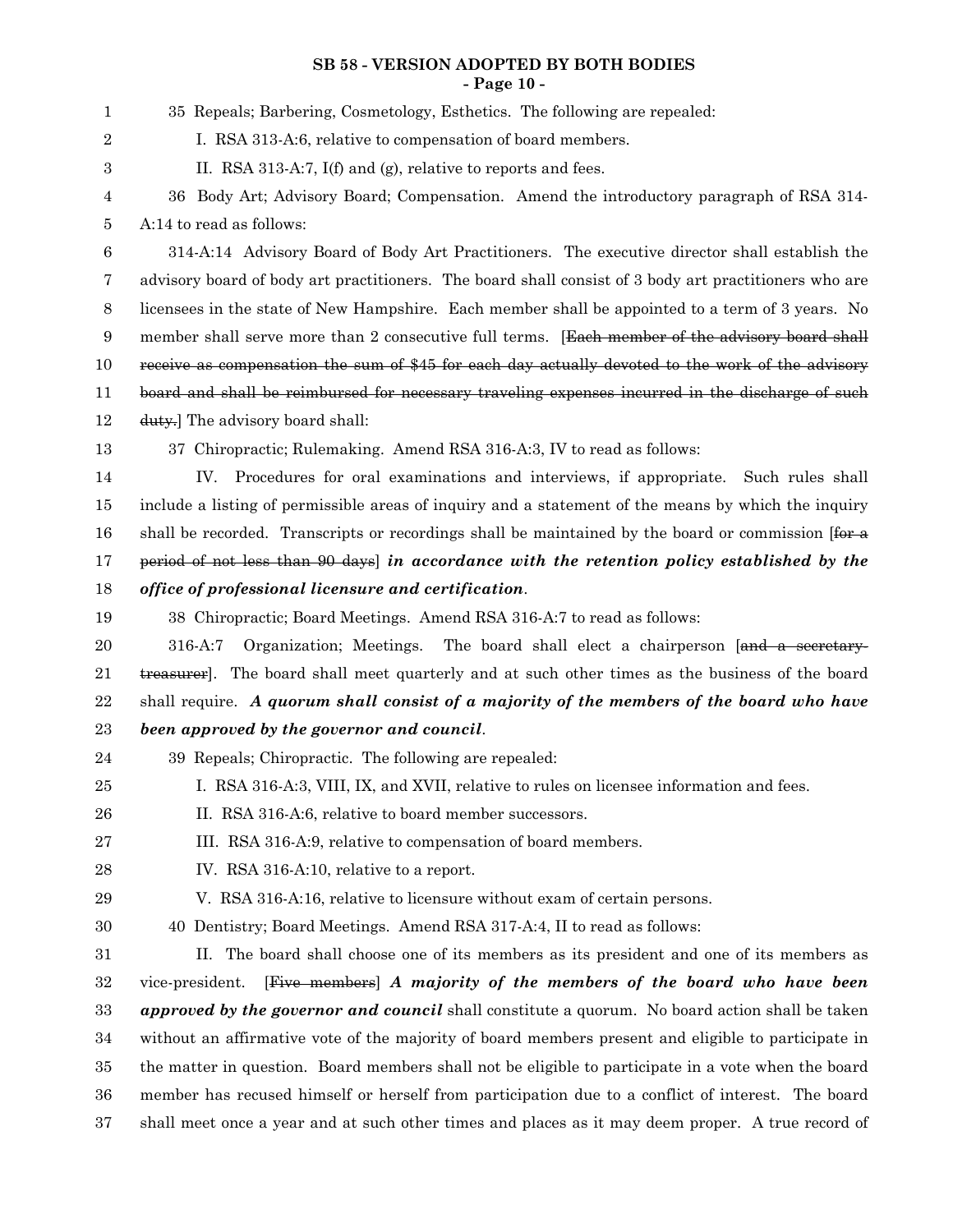#### **SB 58 - VERSION ADOPTED BY BOTH BODIES - Page 10 -**

| 1           | 35 Repeals; Barbering, Cosmetology, Esthetics. The following are repealed:                                     |
|-------------|----------------------------------------------------------------------------------------------------------------|
| 2           | I. RSA 313-A:6, relative to compensation of board members.                                                     |
| 3           | II. RSA 313-A:7, I(f) and (g), relative to reports and fees.                                                   |
| 4           | 36 Body Art; Advisory Board; Compensation. Amend the introductory paragraph of RSA 314-                        |
| 5           | A:14 to read as follows:                                                                                       |
| $\,6$       | 314-A:14 Advisory Board of Body Art Practitioners. The executive director shall establish the                  |
| 7           | advisory board of body art practitioners. The board shall consist of 3 body art practitioners who are          |
| 8           | licensees in the state of New Hampshire. Each member shall be appointed to a term of 3 years. No               |
| 9           | member shall serve more than 2 consecutive full terms. [Each member of the advisory board shall                |
| 10          | receive as compensation the sum of \$45 for each day actually devoted to the work of the advisory              |
| 11          | board and shall be reimbursed for necessary traveling expenses incurred in the discharge of such               |
| 12          | duty.] The advisory board shall:                                                                               |
| 13          | 37 Chiropractic; Rulemaking. Amend RSA 316-A:3, IV to read as follows:                                         |
| 14          | Procedures for oral examinations and interviews, if appropriate. Such rules shall<br>IV.                       |
| 15          | include a listing of permissible areas of inquiry and a statement of the means by which the inquiry            |
| 16          | shall be recorded. Transcripts or recordings shall be maintained by the board or commission $f_{\text{ter a}}$ |
| 17          | period of not less than 90 days) in accordance with the retention policy established by the                    |
| 18          | office of professional licensure and certification.                                                            |
| 19          | 38 Chiropractic; Board Meetings. Amend RSA 316-A:7 to read as follows:                                         |
| 20          | Organization; Meetings. The board shall elect a chairperson [and a secretary-<br>316-A:7                       |
| 21          | treasurer]. The board shall meet quarterly and at such other times as the business of the board                |
| $\bf{22}$   | shall require. A quorum shall consist of a majority of the members of the board who have                       |
| $\bf 23$    | been approved by the governor and council.                                                                     |
| 24          | 39 Repeals; Chiropractic. The following are repealed:                                                          |
| 25          | I. RSA 316-A:3, VIII, IX, and XVII, relative to rules on licensee information and fees.                        |
| 26          | II. RSA 316-A:6, relative to board member successors.                                                          |
| $\sqrt{27}$ | III. RSA 316-A:9, relative to compensation of board members.                                                   |
| $\bf{28}$   | IV. RSA 316-A:10, relative to a report.                                                                        |
| 29          | V. RSA 316-A:16, relative to licensure without exam of certain persons.                                        |
| $30\,$      | 40 Dentistry; Board Meetings. Amend RSA 317-A:4, II to read as follows:                                        |
| 31          | The board shall choose one of its members as its president and one of its members as<br>П.                     |
| $32\,$      | vice-president. [Five members] A majority of the members of the board who have been                            |
| $33\,$      | <i>approved by the governor and council</i> shall constitute a quorum. No board action shall be taken          |
| $34\,$      | without an affirmative vote of the majority of board members present and eligible to participate in            |
| 35          | the matter in question. Board members shall not be eligible to participate in a vote when the board            |
| 36          | member has recused himself or herself from participation due to a conflict of interest. The board              |
| 37          | shall meet once a year and at such other times and places as it may deem proper. A true record of              |
|             |                                                                                                                |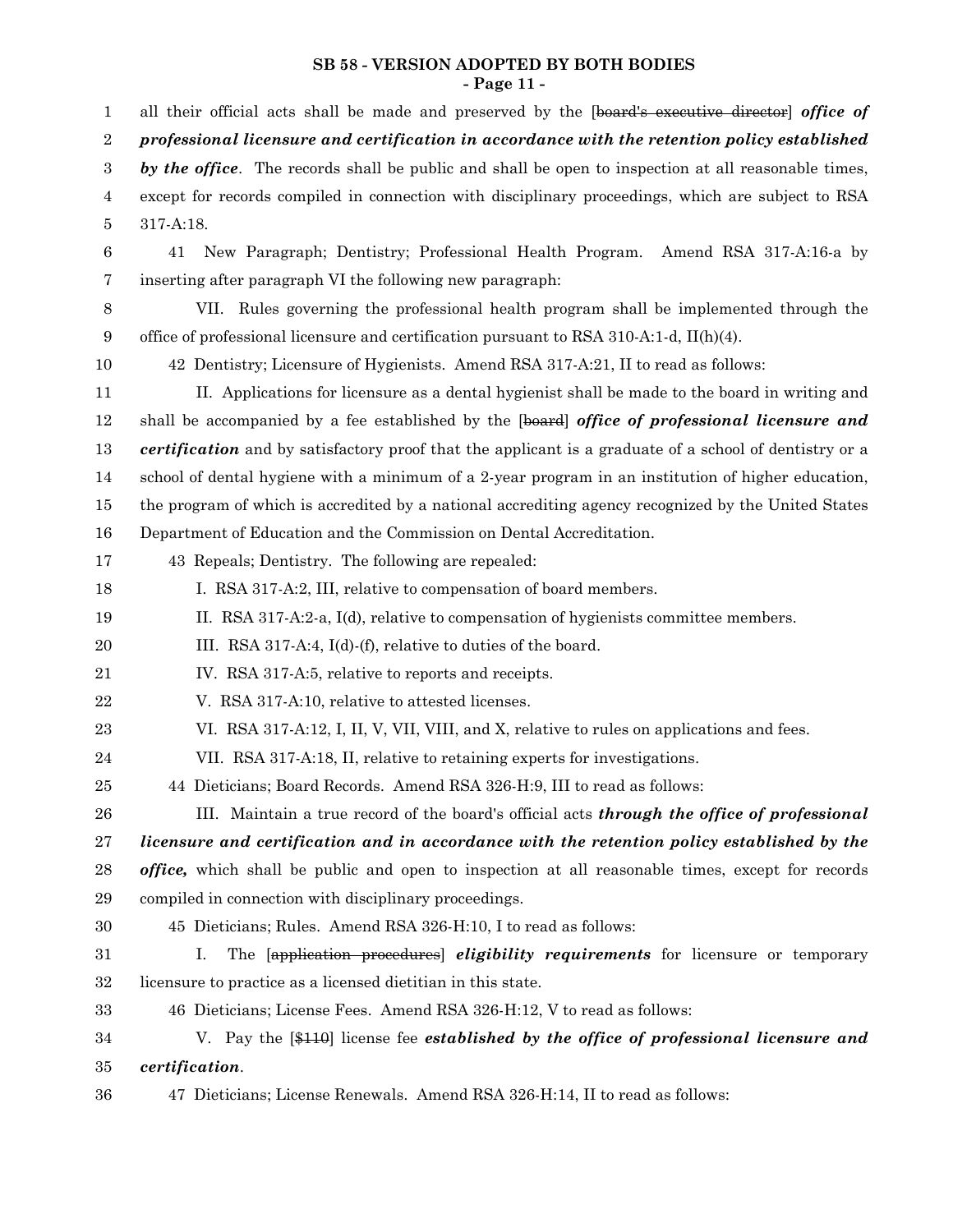#### **SB 58 - VERSION ADOPTED BY BOTH BODIES - Page 11 -**

all their official acts shall be made and preserved by the [board's executive director] *office of professional licensure and certification in accordance with the retention policy established by the office*. The records shall be public and shall be open to inspection at all reasonable times, except for records compiled in connection with disciplinary proceedings, which are subject to RSA 317-A:18. 41 New Paragraph; Dentistry; Professional Health Program. Amend RSA 317-A:16-a by inserting after paragraph VI the following new paragraph: VII. Rules governing the professional health program shall be implemented through the office of professional licensure and certification pursuant to RSA 310-A:1-d, II(h)(4). 42 Dentistry; Licensure of Hygienists. Amend RSA 317-A:21, II to read as follows: II. Applications for licensure as a dental hygienist shall be made to the board in writing and shall be accompanied by a fee established by the [board] *office of professional licensure and certification* and by satisfactory proof that the applicant is a graduate of a school of dentistry or a school of dental hygiene with a minimum of a 2-year program in an institution of higher education, the program of which is accredited by a national accrediting agency recognized by the United States Department of Education and the Commission on Dental Accreditation. 43 Repeals; Dentistry. The following are repealed: I. RSA 317-A:2, III, relative to compensation of board members. II. RSA 317-A:2-a, I(d), relative to compensation of hygienists committee members. III. RSA 317-A:4, I(d)-(f), relative to duties of the board. IV. RSA 317-A:5, relative to reports and receipts. V. RSA 317-A:10, relative to attested licenses. VI. RSA 317-A:12, I, II, V, VII, VIII, and X, relative to rules on applications and fees. VII. RSA 317-A:18, II, relative to retaining experts for investigations. 44 Dieticians; Board Records. Amend RSA 326-H:9, III to read as follows: III. Maintain a true record of the board's official acts *through the office of professional licensure and certification and in accordance with the retention policy established by the office,* which shall be public and open to inspection at all reasonable times, except for records compiled in connection with disciplinary proceedings. 45 Dieticians; Rules. Amend RSA 326-H:10, I to read as follows: I. The [application procedures] *eligibility requirements* for licensure or temporary licensure to practice as a licensed dietitian in this state. 46 Dieticians; License Fees. Amend RSA 326-H:12, V to read as follows: V. Pay the [\$110] license fee *established by the office of professional licensure and certification*. 47 Dieticians; License Renewals. Amend RSA 326-H:14, II to read as follows: 1 2 3 4 5 6 7 8 9 10 11 12 13 14 15 16 17 18 19 20 21 22 23 24 25 26 27 28 29 30 31 32 33 34 35 36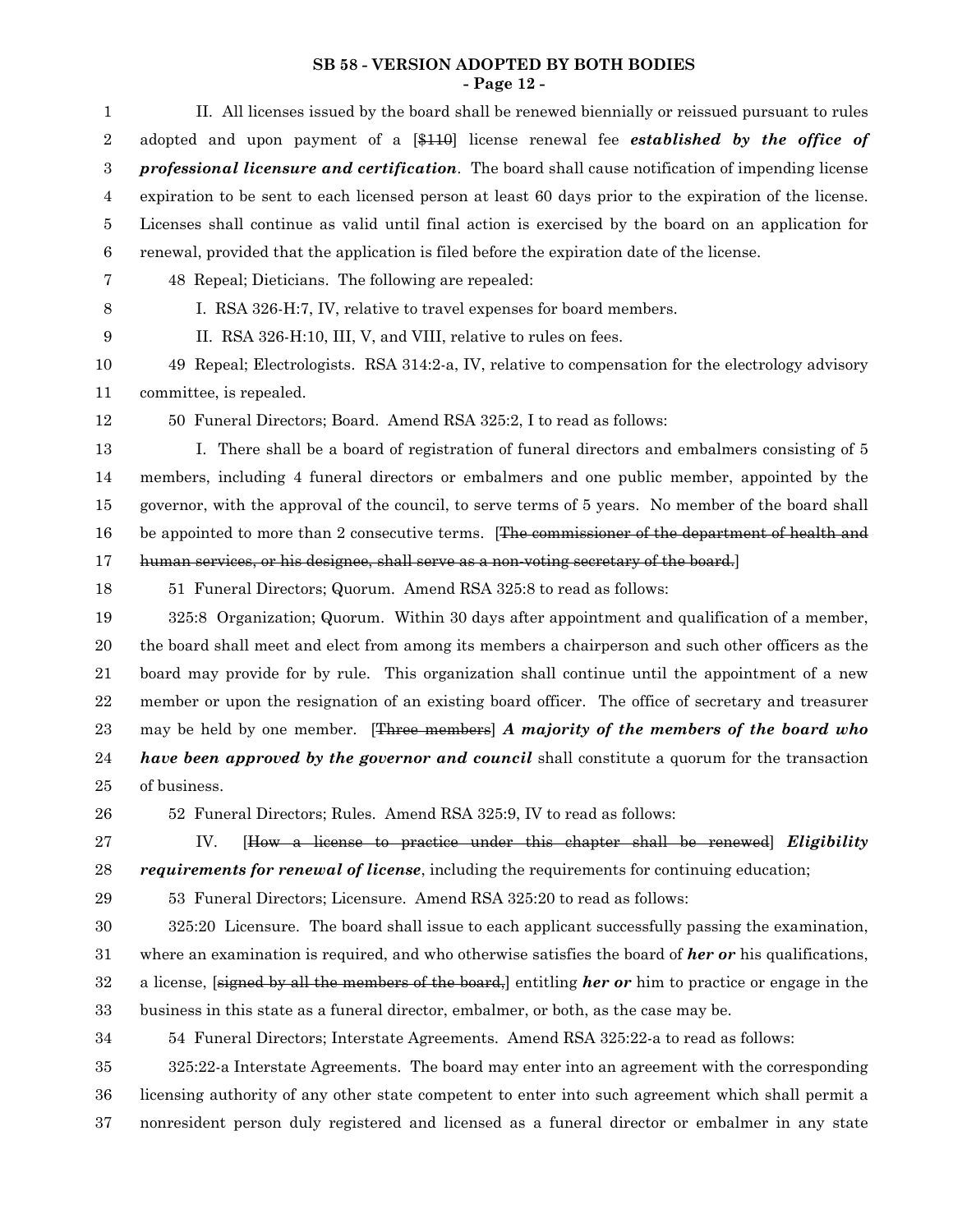#### **SB 58 - VERSION ADOPTED BY BOTH BODIES - Page 12 -**

| $\mathbf{1}$     | II. All licenses issued by the board shall be renewed biennially or reissued pursuant to rules               |
|------------------|--------------------------------------------------------------------------------------------------------------|
| $\boldsymbol{2}$ | adopted and upon payment of a [\$110] license renewal fee <b>established by the office of</b>                |
| $\boldsymbol{3}$ | <b>professional licensure and certification</b> . The board shall cause notification of impending license    |
| $\overline{4}$   | expiration to be sent to each licensed person at least 60 days prior to the expiration of the license.       |
| 5                | Licenses shall continue as valid until final action is exercised by the board on an application for          |
| $\,6\,$          | renewal, provided that the application is filed before the expiration date of the license.                   |
| 7                | 48 Repeal; Dieticians. The following are repealed:                                                           |
| 8                | I. RSA 326-H:7, IV, relative to travel expenses for board members.                                           |
| 9                | II. RSA 326-H:10, III, V, and VIII, relative to rules on fees.                                               |
| 10               | 49 Repeal; Electrologists. RSA 314:2-a, IV, relative to compensation for the electrology advisory            |
| 11               | committee, is repealed.                                                                                      |
| 12               | 50 Funeral Directors; Board. Amend RSA 325:2, I to read as follows:                                          |
| 13               | I. There shall be a board of registration of funeral directors and embalmers consisting of 5                 |
| 14               | members, including 4 funeral directors or embalmers and one public member, appointed by the                  |
| 15               | governor, with the approval of the council, to serve terms of 5 years. No member of the board shall          |
| 16               | be appointed to more than 2 consecutive terms. [The commissioner of the department of health and             |
| 17               | human services, or his designee, shall serve as a non-voting secretary of the board.                         |
| 18               | 51 Funeral Directors; Quorum. Amend RSA 325:8 to read as follows:                                            |
| 19               | 325:8 Organization; Quorum. Within 30 days after appointment and qualification of a member,                  |
| 20               | the board shall meet and elect from among its members a chairperson and such other officers as the           |
| 21               | board may provide for by rule. This organization shall continue until the appointment of a new               |
| 22               | member or upon the resignation of an existing board officer. The office of secretary and treasurer           |
| 23               | may be held by one member. [Three members] A majority of the members of the board who                        |
| 24               | <i>have been approved by the governor and council</i> shall constitute a quorum for the transaction          |
| 25               | of business.                                                                                                 |
| 26               | 52 Funeral Directors; Rules. Amend RSA 325:9, IV to read as follows:                                         |
| 27               | IV.<br>[How a license to practice under this chapter shall be renewed] <i>Eligibility</i>                    |
| 28               | <i>requirements for renewal of license</i> , including the requirements for continuing education;            |
| 29               | 53 Funeral Directors; Licensure. Amend RSA 325:20 to read as follows:                                        |
| 30               | 325:20 Licensure. The board shall issue to each applicant successfully passing the examination,              |
| 31               | where an examination is required, and who otherwise satisfies the board of <b>her or</b> his qualifications, |
| 32               | a license, so all the members of the board, entitling <i>her</i> or him to practice or engage in the         |
| 33               | business in this state as a funeral director, embalmer, or both, as the case may be.                         |
| 34               | 54 Funeral Directors; Interstate Agreements. Amend RSA 325:22-a to read as follows:                          |
| 35               | 325:22-a Interstate Agreements. The board may enter into an agreement with the corresponding                 |
| 36               | licensing authority of any other state competent to enter into such agreement which shall permit a           |
| 37               | nonresident person duly registered and licensed as a funeral director or embalmer in any state               |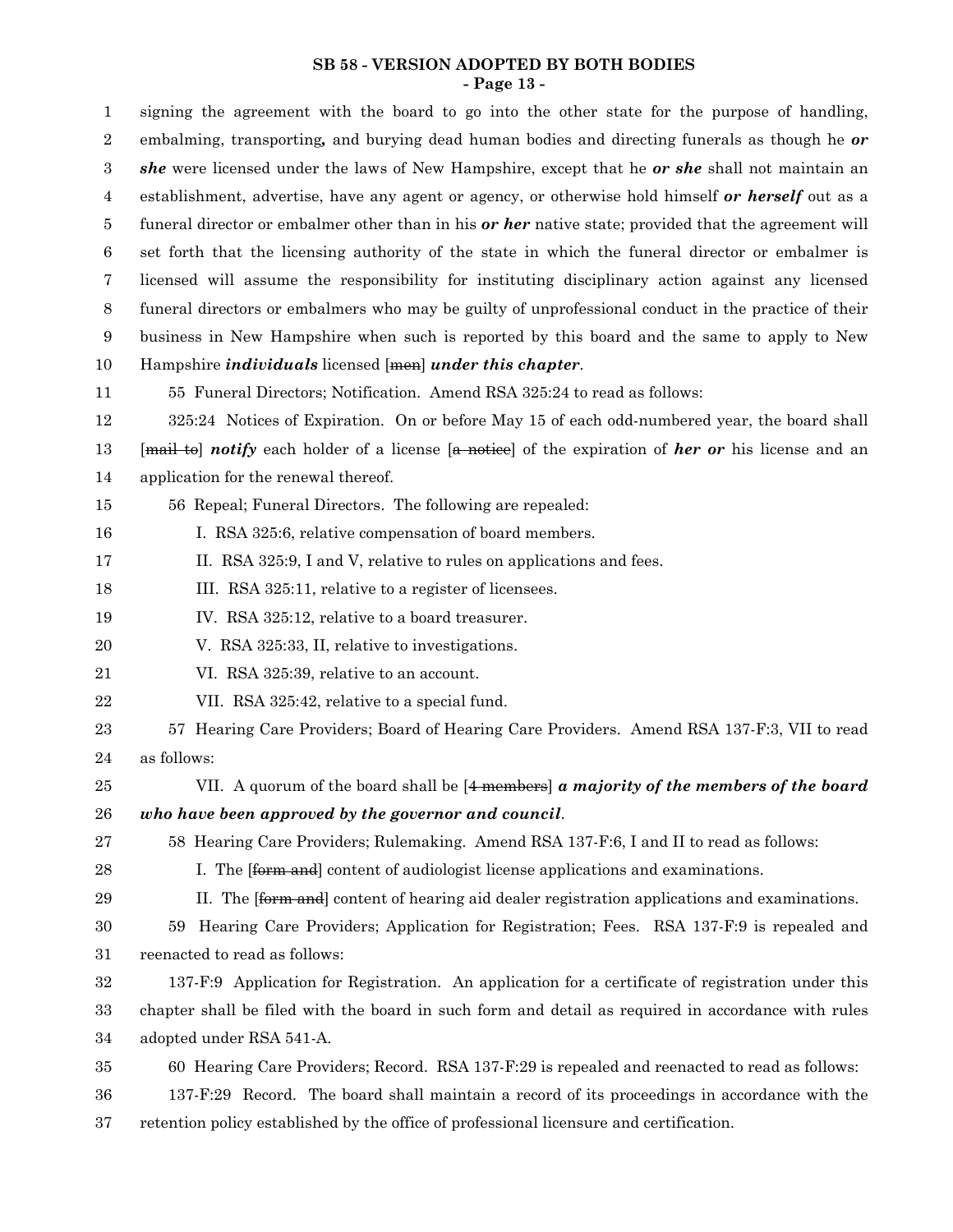#### **SB 58 - VERSION ADOPTED BY BOTH BODIES - Page 13 -**

signing the agreement with the board to go into the other state for the purpose of handling, embalming, transporting*,* and burying dead human bodies and directing funerals as though he *or she* were licensed under the laws of New Hampshire, except that he *or she* shall not maintain an establishment, advertise, have any agent or agency, or otherwise hold himself *or herself* out as a funeral director or embalmer other than in his *or her* native state; provided that the agreement will set forth that the licensing authority of the state in which the funeral director or embalmer is licensed will assume the responsibility for instituting disciplinary action against any licensed funeral directors or embalmers who may be guilty of unprofessional conduct in the practice of their business in New Hampshire when such is reported by this board and the same to apply to New Hampshire *individuals* licensed [men] *under this chapter*. 55 Funeral Directors; Notification. Amend RSA 325:24 to read as follows: 325:24 Notices of Expiration. On or before May 15 of each odd-numbered year, the board shall [mail to] *notify* each holder of a license [a notice] of the expiration of *her or* his license and an application for the renewal thereof. 56 Repeal; Funeral Directors. The following are repealed: I. RSA 325:6, relative compensation of board members. II. RSA 325:9, I and V, relative to rules on applications and fees. III. RSA 325:11, relative to a register of licensees. IV. RSA 325:12, relative to a board treasurer. V. RSA 325:33, II, relative to investigations. VI. RSA 325:39, relative to an account. VII. RSA 325:42, relative to a special fund. 57 Hearing Care Providers; Board of Hearing Care Providers. Amend RSA 137-F:3, VII to read as follows: VII. A quorum of the board shall be [4 members] *a majority of the members of the board who have been approved by the governor and council*. 58 Hearing Care Providers; Rulemaking. Amend RSA 137-F:6, I and II to read as follows: I. The *[form and]* content of audiologist license applications and examinations. II. The [form and] content of hearing aid dealer registration applications and examinations. 59 Hearing Care Providers; Application for Registration; Fees. RSA 137-F:9 is repealed and reenacted to read as follows: 137-F:9 Application for Registration. An application for a certificate of registration under this chapter shall be filed with the board in such form and detail as required in accordance with rules adopted under RSA 541-A. 60 Hearing Care Providers; Record. RSA 137-F:29 is repealed and reenacted to read as follows: 137-F:29 Record. The board shall maintain a record of its proceedings in accordance with the retention policy established by the office of professional licensure and certification. 1 2 3 4 5 6 7 8 9 10 11 12 13 14 15 16 17 18 19 20 21 22 23 24 25 26 27 28 29 30 31 32 33 34 35 36 37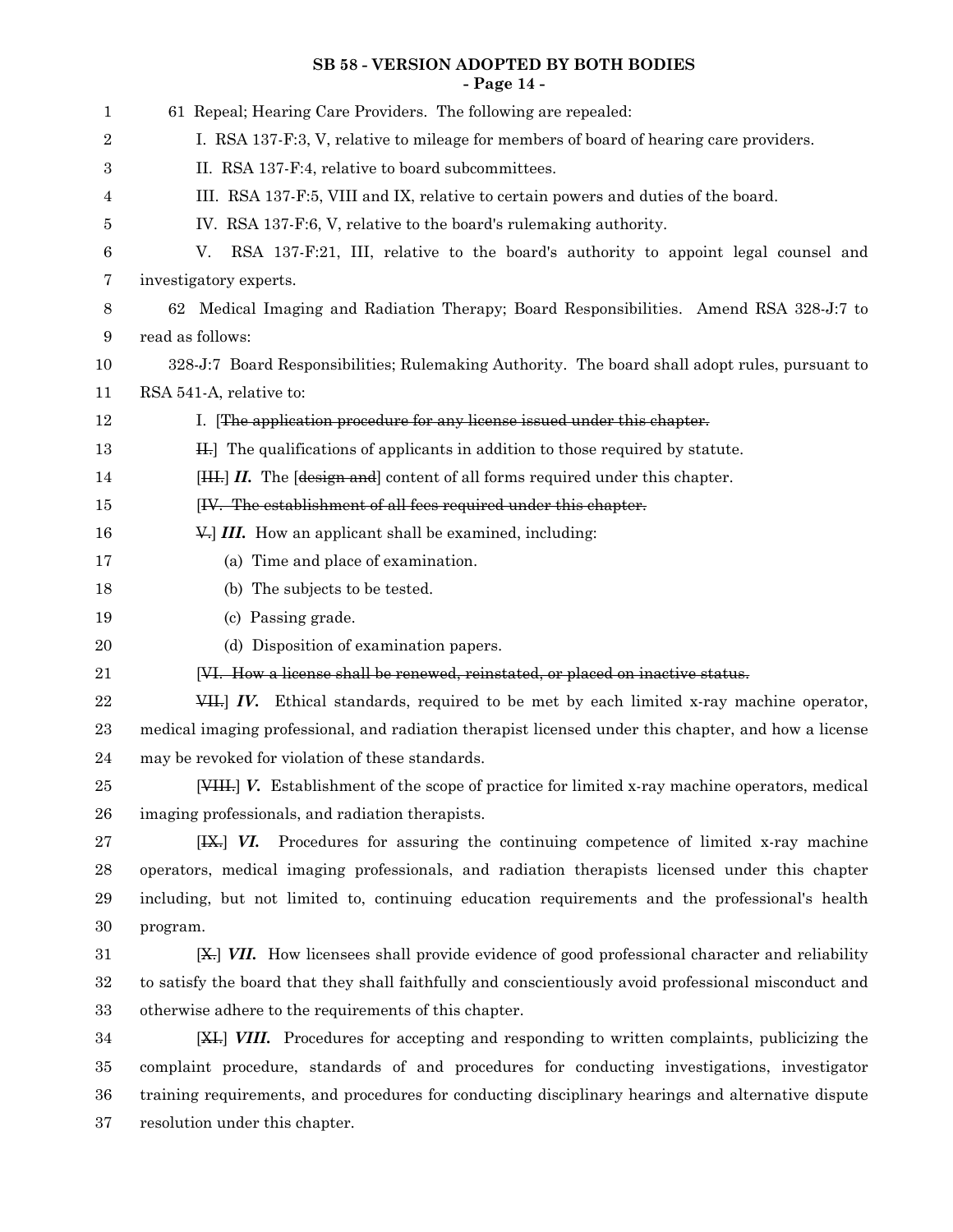## **SB 58 - VERSION ADOPTED BY BOTH BODIES - Page 14 -**

| 1      | 61 Repeal; Hearing Care Providers. The following are repealed:                                        |
|--------|-------------------------------------------------------------------------------------------------------|
| 2      | I. RSA 137-F:3, V, relative to mileage for members of board of hearing care providers.                |
| 3      | II. RSA 137-F:4, relative to board subcommittees.                                                     |
| 4      | III. RSA 137-F:5, VIII and IX, relative to certain powers and duties of the board.                    |
|        | IV. RSA 137-F:6, V, relative to the board's rulemaking authority.                                     |
| 5      |                                                                                                       |
| 6      | RSA 137-F:21, III, relative to the board's authority to appoint legal counsel and<br>V.               |
| 7      | investigatory experts.                                                                                |
| 8      | 62 Medical Imaging and Radiation Therapy; Board Responsibilities. Amend RSA 328-J:7 to                |
| 9      | read as follows:                                                                                      |
| 10     | 328-J:7 Board Responsibilities; Rulemaking Authority. The board shall adopt rules, pursuant to        |
| 11     | RSA 541-A, relative to:                                                                               |
| 12     | I. [The application procedure for any license issued under this chapter.                              |
| 13     | H.] The qualifications of applicants in addition to those required by statute.                        |
| 14     | [HH.] II. The [design and] content of all forms required under this chapter.                          |
| 15     | [IV. The establishment of all fees required under this chapter.                                       |
| 16     | V. III. How an applicant shall be examined, including:                                                |
| 17     | (a) Time and place of examination.                                                                    |
| 18     | (b) The subjects to be tested.                                                                        |
| 19     | (c) Passing grade.                                                                                    |
| 20     | (d) Disposition of examination papers.                                                                |
| 21     | [VI. How a license shall be renewed, reinstated, or placed on inactive status.                        |
| 22     | VII. IV. Ethical standards, required to be met by each limited x-ray machine operator,                |
| 23     | medical imaging professional, and radiation therapist licensed under this chapter, and how a license  |
| 24     | may be revoked for violation of these standards.                                                      |
| 25     | [VIII.] V. Establishment of the scope of practice for limited x-ray machine operators, medical        |
| 26     | imaging professionals, and radiation therapists.                                                      |
| 27     | Procedures for assuring the continuing competence of limited x-ray machine<br>$[H]+ VI.$              |
| 28     | operators, medical imaging professionals, and radiation therapists licensed under this chapter        |
| 29     | including, but not limited to, continuing education requirements and the professional's health        |
| $30\,$ | program.                                                                                              |
| 31     | [X,] VII. How licensess shall provide evidence of good professional character and reliability         |
| 32     | to satisfy the board that they shall faithfully and conscientiously avoid professional misconduct and |
| $33\,$ | otherwise adhere to the requirements of this chapter.                                                 |
| 34     | [XII] VIII. Procedures for accepting and responding to written complaints, publicizing the            |
| $35\,$ | complaint procedure, standards of and procedures for conducting investigations, investigator          |
|        |                                                                                                       |

resolution under this chapter. 37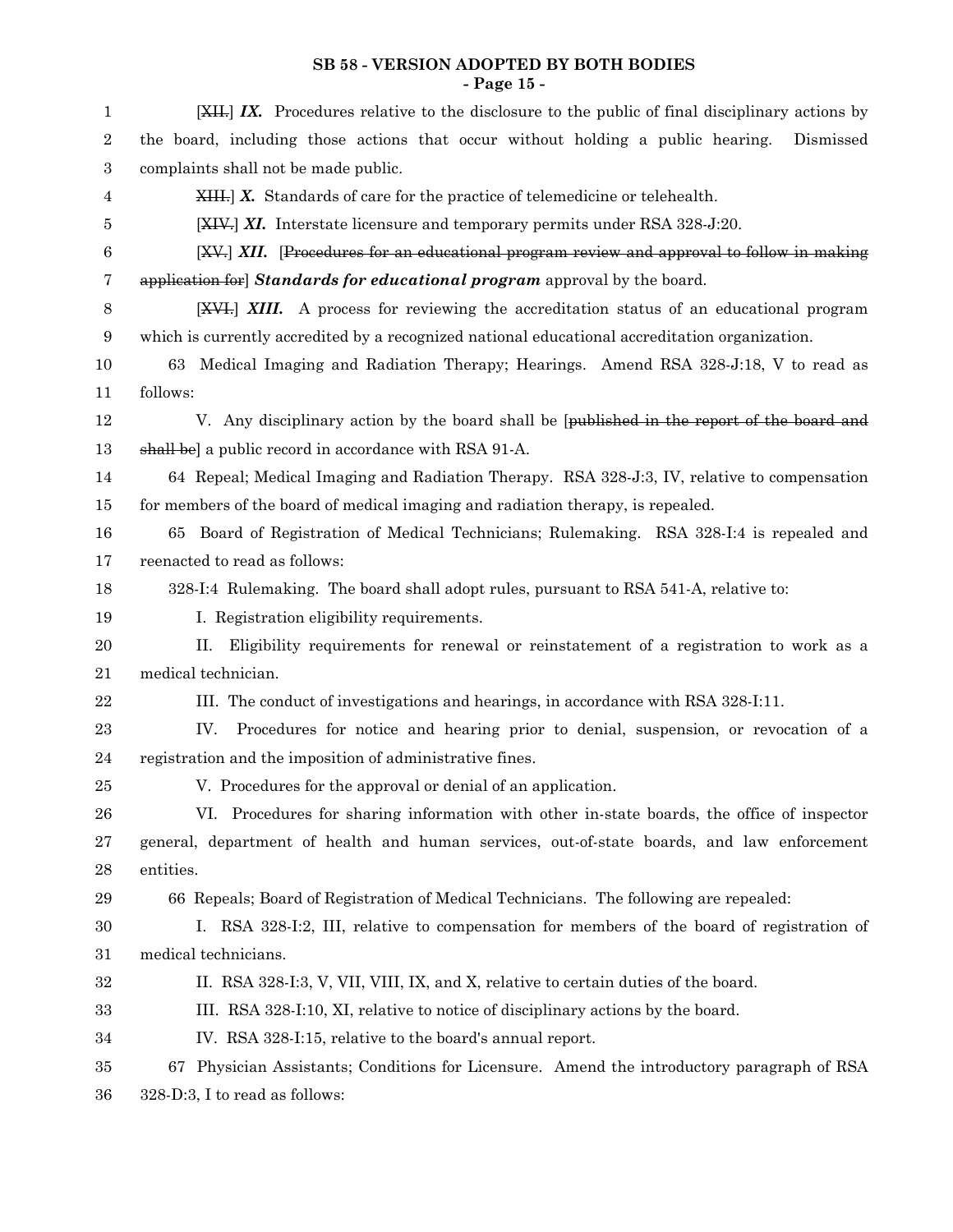#### **SB 58 - VERSION ADOPTED BY BOTH BODIES - Page 15 -**

| 1                | $\left[\frac{XH}{I}, I\right] I X$ . Procedures relative to the disclosure to the public of final disciplinary actions by |
|------------------|---------------------------------------------------------------------------------------------------------------------------|
| $\boldsymbol{2}$ | the board, including those actions that occur without holding a public hearing.<br>Dismissed                              |
| 3                | complaints shall not be made public.                                                                                      |
| 4                | $XHH1 X$ . Standards of care for the practice of telemedicine or telehealth.                                              |
| 5                | $[XIV$ ] XI. Interstate licensure and temporary permits under RSA 328-J:20.                                               |
| $\boldsymbol{6}$ | [XV.] XII. [Procedures for an educational program review and approval to follow in making                                 |
| 7                | application for Standards for educational program approval by the board.                                                  |
| 8                | <b>[XVI.]</b> XIII. A process for reviewing the accreditation status of an educational program                            |
| 9                | which is currently accredited by a recognized national educational accreditation organization.                            |
| 10               | 63 Medical Imaging and Radiation Therapy; Hearings. Amend RSA 328-J:18, V to read as                                      |
| 11               | follows:                                                                                                                  |
| 12               | V. Any disciplinary action by the board shall be [published in the report of the board and                                |
| 13               | shall be] a public record in accordance with RSA 91-A.                                                                    |
| 14               | 64 Repeal; Medical Imaging and Radiation Therapy. RSA 328-J:3, IV, relative to compensation                               |
| 15               | for members of the board of medical imaging and radiation therapy, is repealed.                                           |
| 16               | 65 Board of Registration of Medical Technicians; Rulemaking. RSA 328-I:4 is repealed and                                  |
| 17               | reenacted to read as follows:                                                                                             |
| 18               | 328-I:4 Rulemaking. The board shall adopt rules, pursuant to RSA 541-A, relative to:                                      |
| 19               | I. Registration eligibility requirements.                                                                                 |
| <b>20</b>        | Eligibility requirements for renewal or reinstatement of a registration to work as a<br>П.                                |
| 21               | medical technician.                                                                                                       |
| 22               | III. The conduct of investigations and hearings, in accordance with RSA 328-I:11.                                         |
| 23               | Procedures for notice and hearing prior to denial, suspension, or revocation of a<br>IV.                                  |
| 24               | registration and the imposition of administrative fines.                                                                  |
| 25               | V. Procedures for the approval or denial of an application.                                                               |
| 26               | VI. Procedures for sharing information with other in-state boards, the office of inspector                                |
| 27               | general, department of health and human services, out-of-state boards, and law enforcement                                |
| 28               | entities.                                                                                                                 |
| 29               | 66 Repeals; Board of Registration of Medical Technicians. The following are repealed:                                     |
| $30\,$           | I. RSA 328-I:2, III, relative to compensation for members of the board of registration of                                 |
| 31               | medical technicians.                                                                                                      |
| 32               | II. RSA 328-I:3, V, VII, VIII, IX, and X, relative to certain duties of the board.                                        |
| 33               | III. RSA 328-I:10, XI, relative to notice of disciplinary actions by the board.                                           |
| 34               | IV. RSA 328-I:15, relative to the board's annual report.                                                                  |
| 35               | 67 Physician Assistants; Conditions for Licensure. Amend the introductory paragraph of RSA                                |
| 36               | 328-D:3, I to read as follows:                                                                                            |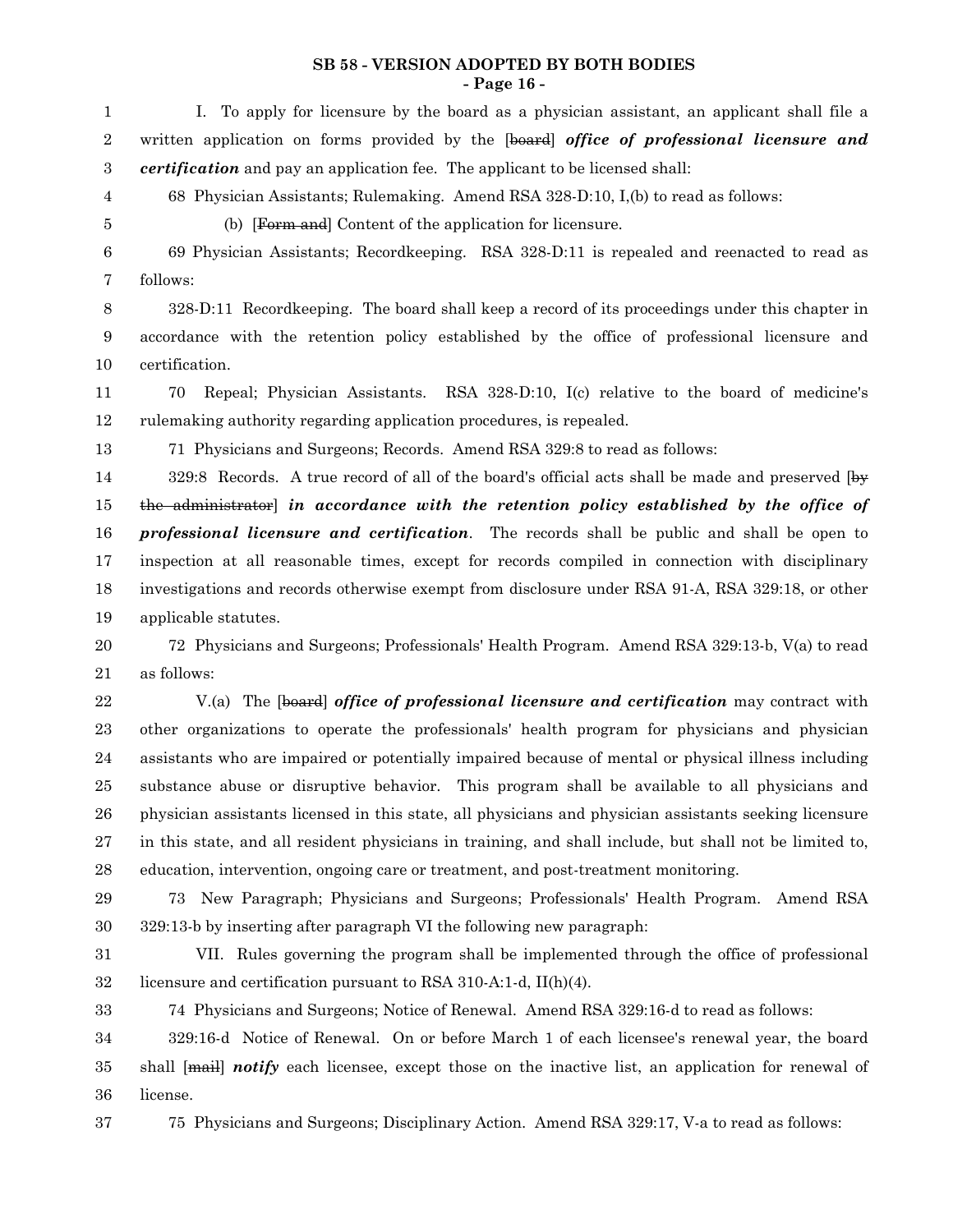#### **SB 58 - VERSION ADOPTED BY BOTH BODIES - Page 16 -**

I. To apply for licensure by the board as a physician assistant, an applicant shall file a written application on forms provided by the [board] *office of professional licensure and certification* and pay an application fee. The applicant to be licensed shall: 1 2 3

- 68 Physician Assistants; Rulemaking. Amend RSA 328-D:10, I,(b) to read as follows:
- 4 5

33

(b) [Form and] Content of the application for licensure.

69 Physician Assistants; Recordkeeping. RSA 328-D:11 is repealed and reenacted to read as follows: 6 7

328-D:11 Recordkeeping. The board shall keep a record of its proceedings under this chapter in accordance with the retention policy established by the office of professional licensure and certification. 8 9 10

70 Repeal; Physician Assistants. RSA 328-D:10, I(c) relative to the board of medicine's rulemaking authority regarding application procedures, is repealed. 11 12

71 Physicians and Surgeons; Records. Amend RSA 329:8 to read as follows: 13

 $329:8$  Records. A true record of all of the board's official acts shall be made and preserved  $\overline{b}$ the administrator] *in accordance with the retention policy established by the office of professional licensure and certification*. The records shall be public and shall be open to inspection at all reasonable times, except for records compiled in connection with disciplinary investigations and records otherwise exempt from disclosure under RSA 91-A, RSA 329:18, or other applicable statutes. 14 15 16 17 18 19

72 Physicians and Surgeons; Professionals' Health Program. Amend RSA 329:13-b, V(a) to read as follows: 20 21

V.(a) The [board] *office of professional licensure and certification* may contract with other organizations to operate the professionals' health program for physicians and physician assistants who are impaired or potentially impaired because of mental or physical illness including substance abuse or disruptive behavior. This program shall be available to all physicians and physician assistants licensed in this state, all physicians and physician assistants seeking licensure in this state, and all resident physicians in training, and shall include, but shall not be limited to, education, intervention, ongoing care or treatment, and post-treatment monitoring. 22 23 24 25 26 27 28

73 New Paragraph; Physicians and Surgeons; Professionals' Health Program. Amend RSA 329:13-b by inserting after paragraph VI the following new paragraph: 29 30

VII. Rules governing the program shall be implemented through the office of professional licensure and certification pursuant to RSA 310-A:1-d, II(h)(4). 31 32

74 Physicians and Surgeons; Notice of Renewal. Amend RSA 329:16-d to read as follows:

329:16-d Notice of Renewal. On or before March 1 of each licensee's renewal year, the board shall [mail] *notify* each licensee, except those on the inactive list, an application for renewal of license. 34 35 36

75 Physicians and Surgeons; Disciplinary Action. Amend RSA 329:17, V-a to read as follows: 37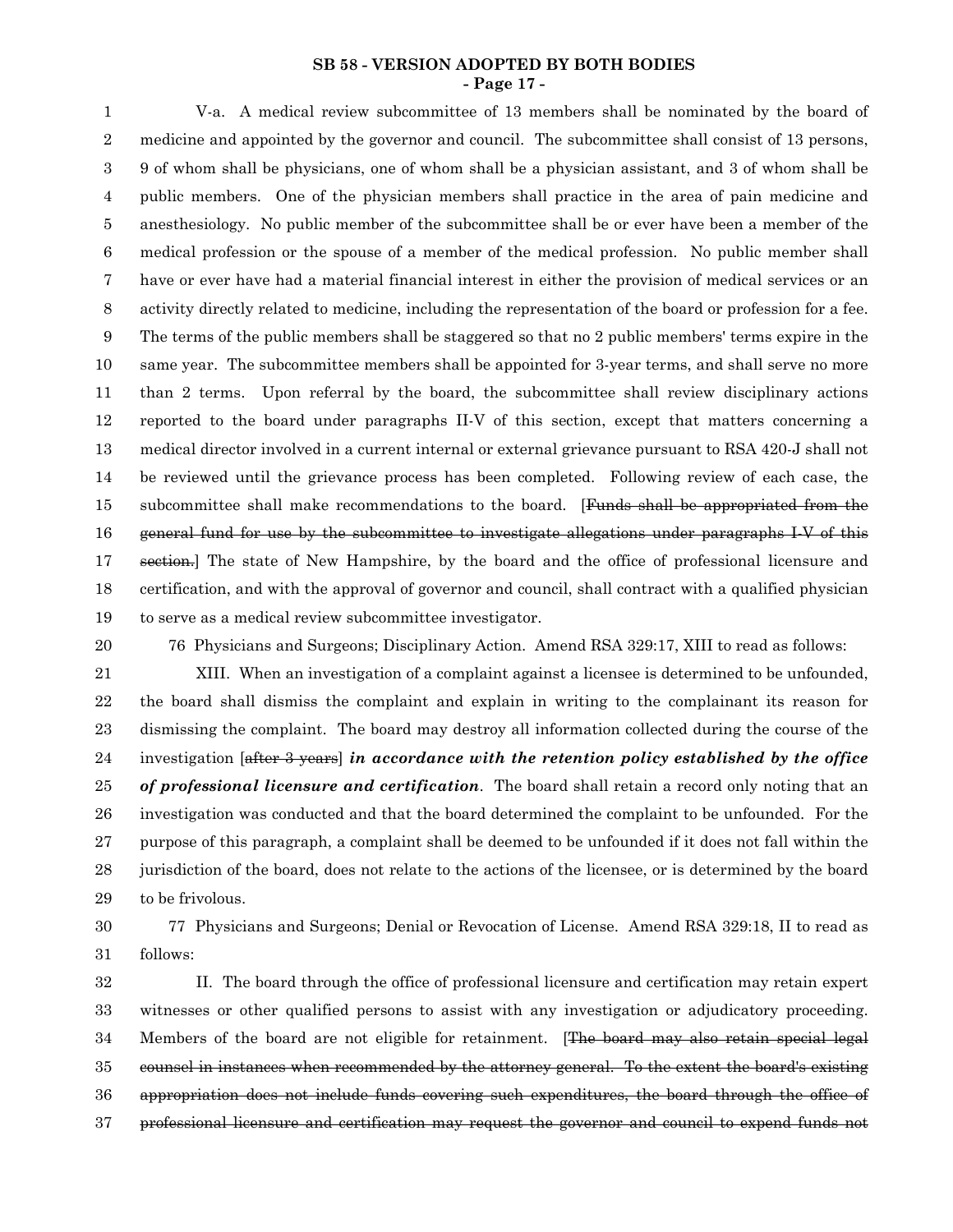#### **SB 58 - VERSION ADOPTED BY BOTH BODIES - Page 17 -**

V-a. A medical review subcommittee of 13 members shall be nominated by the board of medicine and appointed by the governor and council. The subcommittee shall consist of 13 persons, 9 of whom shall be physicians, one of whom shall be a physician assistant, and 3 of whom shall be public members. One of the physician members shall practice in the area of pain medicine and anesthesiology. No public member of the subcommittee shall be or ever have been a member of the medical profession or the spouse of a member of the medical profession. No public member shall have or ever have had a material financial interest in either the provision of medical services or an activity directly related to medicine, including the representation of the board or profession for a fee. The terms of the public members shall be staggered so that no 2 public members' terms expire in the same year. The subcommittee members shall be appointed for 3-year terms, and shall serve no more than 2 terms. Upon referral by the board, the subcommittee shall review disciplinary actions reported to the board under paragraphs II-V of this section, except that matters concerning a medical director involved in a current internal or external grievance pursuant to RSA 420-J shall not be reviewed until the grievance process has been completed. Following review of each case, the subcommittee shall make recommendations to the board. [Funds shall be appropriated from the general fund for use by the subcommittee to investigate allegations under paragraphs I-V of this section.] The state of New Hampshire, by the board and the office of professional licensure and certification, and with the approval of governor and council, shall contract with a qualified physician to serve as a medical review subcommittee investigator. 1 2 3 4 5 6 7 8 9 10 11 12 13 14 15 16 17 18 19

20

76 Physicians and Surgeons; Disciplinary Action. Amend RSA 329:17, XIII to read as follows:

XIII. When an investigation of a complaint against a licensee is determined to be unfounded, the board shall dismiss the complaint and explain in writing to the complainant its reason for dismissing the complaint. The board may destroy all information collected during the course of the investigation [after 3 years] *in accordance with the retention policy established by the office of professional licensure and certification*. The board shall retain a record only noting that an investigation was conducted and that the board determined the complaint to be unfounded. For the purpose of this paragraph, a complaint shall be deemed to be unfounded if it does not fall within the jurisdiction of the board, does not relate to the actions of the licensee, or is determined by the board to be frivolous. 21 22 23 24 25 26 27 28 29

77 Physicians and Surgeons; Denial or Revocation of License. Amend RSA 329:18, II to read as follows: 30 31

II. The board through the office of professional licensure and certification may retain expert witnesses or other qualified persons to assist with any investigation or adjudicatory proceeding. Members of the board are not eligible for retainment. [The board may also retain special legal counsel in instances when recommended by the attorney general. To the extent the board's existing appropriation does not include funds covering such expenditures, the board through the office of professional licensure and certification may request the governor and council to expend funds not 32 33 34 35 36 37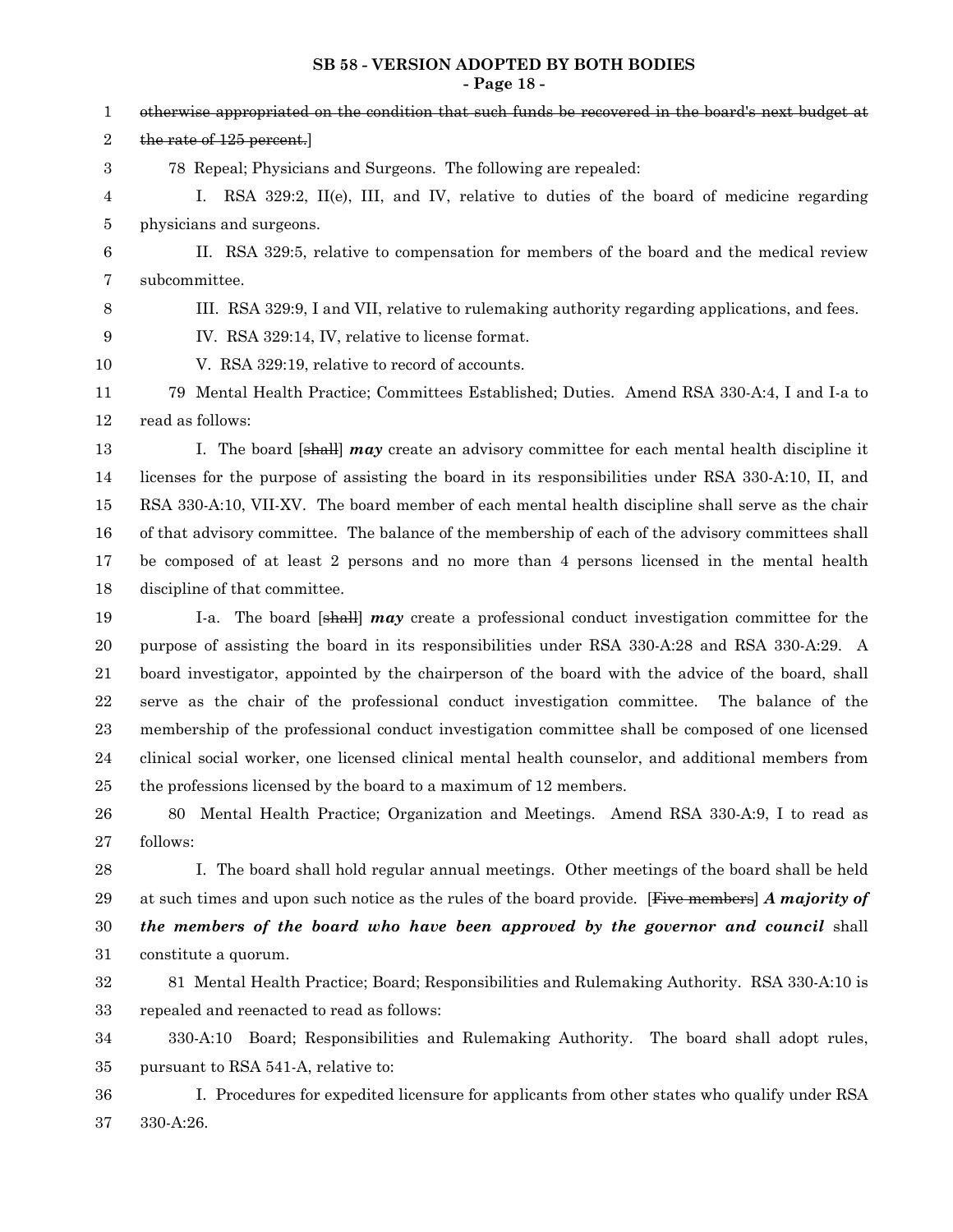# **SB 58 - VERSION ADOPTED BY BOTH BODIES**

|                  | - Page 18 -                                                                                         |
|------------------|-----------------------------------------------------------------------------------------------------|
| $\mathbf 1$      | otherwise appropriated on the condition that such funds be recovered in the board's next budget at  |
| $\,2$            | the rate of 125 percent.                                                                            |
| 3                | 78 Repeal; Physicians and Surgeons. The following are repealed:                                     |
| 4                | Ι.<br>RSA 329:2, II(e), III, and IV, relative to duties of the board of medicine regarding          |
| 5                | physicians and surgeons.                                                                            |
| $\,6$            | II. RSA 329:5, relative to compensation for members of the board and the medical review             |
| 7                | subcommittee.                                                                                       |
| $8\,$            | III. RSA 329:9, I and VII, relative to rulemaking authority regarding applications, and fees.       |
| $\boldsymbol{9}$ | IV. RSA 329:14, IV, relative to license format.                                                     |
| 10               | V. RSA 329:19, relative to record of accounts.                                                      |
| 11               | 79 Mental Health Practice; Committees Established; Duties. Amend RSA 330-A:4, I and I-a to          |
| 12               | read as follows:                                                                                    |
| 13               | I. The board [shall] $may$ create an advisory committee for each mental health discipline it        |
| 14               | licenses for the purpose of assisting the board in its responsibilities under RSA 330-A:10, II, and |
| 15               | RSA 330-A:10, VII-XV. The board member of each mental health discipline shall serve as the chair    |
| 16               | of that advisory committee. The balance of the membership of each of the advisory committees shall  |
| 17               | be composed of at least 2 persons and no more than 4 persons licensed in the mental health          |
| 18               | discipline of that committee.                                                                       |
| 19               | I-a. The board [shall] $may$ create a professional conduct investigation committee for the          |
| 20               | purpose of assisting the board in its responsibilities under RSA 330-A:28 and RSA 330-A:29. A       |
| 21               | board investigator, appointed by the chairperson of the board with the advice of the board, shall   |
| $\bf 22$         | serve as the chair of the professional conduct investigation committee. The balance of the          |
| 23               | membership of the professional conduct investigation committee shall be composed of one licensed    |
| 24               | clinical social worker, one licensed clinical mental health counselor, and additional members from  |
| $25\,$           | the professions licensed by the board to a maximum of 12 members.                                   |
| 26               | Mental Health Practice; Organization and Meetings. Amend RSA 330-A:9, I to read as<br>80            |
| 27               | follows:                                                                                            |
| 28               | I. The board shall hold regular annual meetings. Other meetings of the board shall be held          |
| 29               | at such times and upon such notice as the rules of the board provide. [Five members] A majority of  |
| 30               | the members of the board who have been approved by the governor and council shall                   |
| 31               | constitute a quorum.                                                                                |
| 32               | 81 Mental Health Practice; Board; Responsibilities and Rulemaking Authority. RSA 330-A:10 is        |
| 33               | repealed and reenacted to read as follows:                                                          |
| 34               | Board; Responsibilities and Rulemaking Authority. The board shall adopt rules,<br>330-A:10          |

pursuant to RSA 541-A, relative to: 35

I. Procedures for expedited licensure for applicants from other states who qualify under RSA 330-A:26. 36 37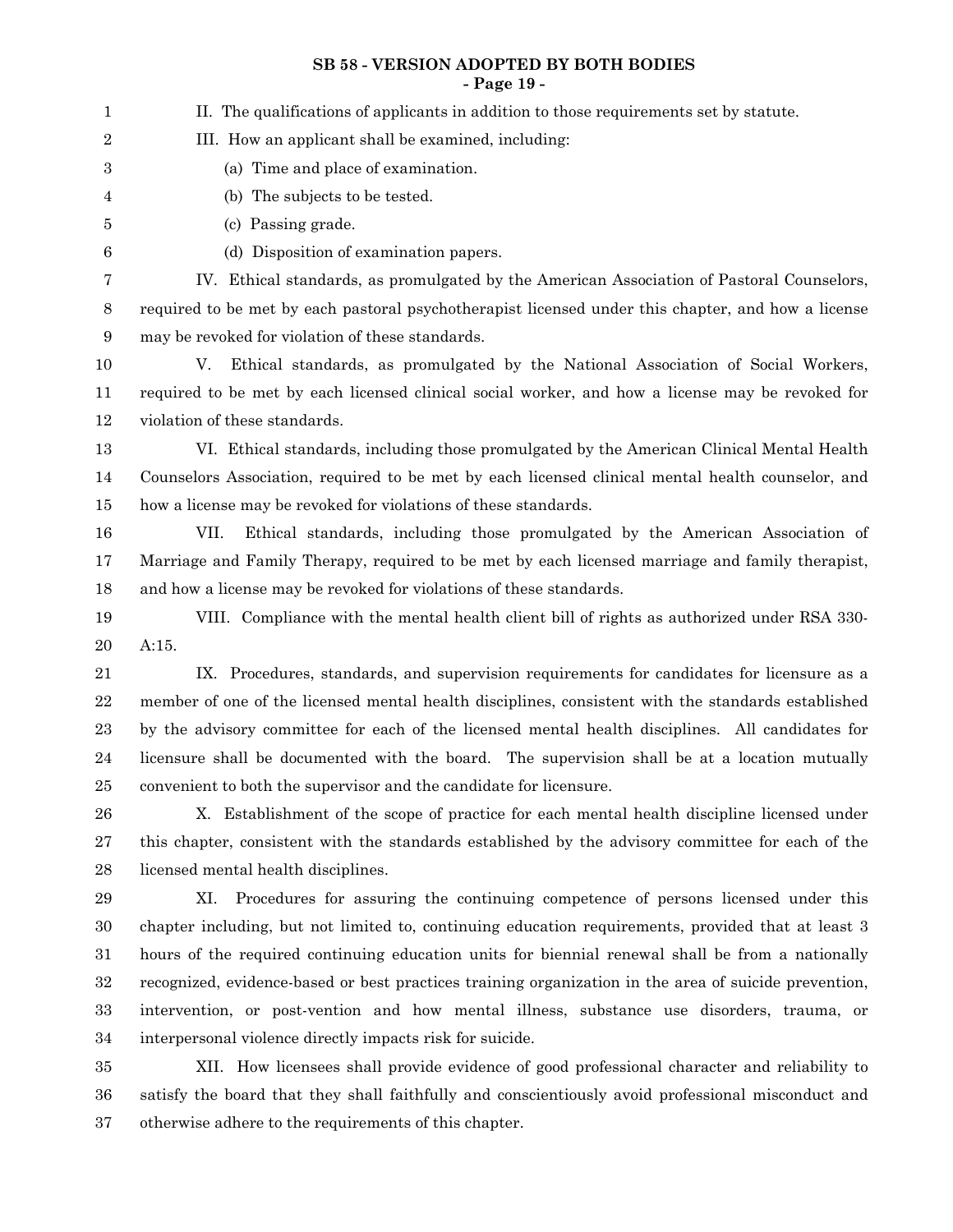#### **SB 58 - VERSION ADOPTED BY BOTH BODIES - Page 19 -**

II. The qualifications of applicants in addition to those requirements set by statute. III. How an applicant shall be examined, including: (a) Time and place of examination. (b) The subjects to be tested. (c) Passing grade. (d) Disposition of examination papers. IV. Ethical standards, as promulgated by the American Association of Pastoral Counselors, required to be met by each pastoral psychotherapist licensed under this chapter, and how a license may be revoked for violation of these standards. V. Ethical standards, as promulgated by the National Association of Social Workers, required to be met by each licensed clinical social worker, and how a license may be revoked for violation of these standards. VI. Ethical standards, including those promulgated by the American Clinical Mental Health Counselors Association, required to be met by each licensed clinical mental health counselor, and how a license may be revoked for violations of these standards. VII. Ethical standards, including those promulgated by the American Association of Marriage and Family Therapy, required to be met by each licensed marriage and family therapist, and how a license may be revoked for violations of these standards. VIII. Compliance with the mental health client bill of rights as authorized under RSA 330- A:15. IX. Procedures, standards, and supervision requirements for candidates for licensure as a member of one of the licensed mental health disciplines, consistent with the standards established by the advisory committee for each of the licensed mental health disciplines. All candidates for licensure shall be documented with the board. The supervision shall be at a location mutually convenient to both the supervisor and the candidate for licensure. X. Establishment of the scope of practice for each mental health discipline licensed under this chapter, consistent with the standards established by the advisory committee for each of the licensed mental health disciplines. XI. Procedures for assuring the continuing competence of persons licensed under this chapter including, but not limited to, continuing education requirements, provided that at least 3 hours of the required continuing education units for biennial renewal shall be from a nationally recognized, evidence-based or best practices training organization in the area of suicide prevention, intervention, or post-vention and how mental illness, substance use disorders, trauma, or interpersonal violence directly impacts risk for suicide. XII. How licensees shall provide evidence of good professional character and reliability to 1 2 3 4 5 6 7 8 9 10 11 12 13 14 15 16 17 18 19 20 21 22 23 24 25 26 27 28 29 30 31 32 33 34 35

satisfy the board that they shall faithfully and conscientiously avoid professional misconduct and otherwise adhere to the requirements of this chapter. 36 37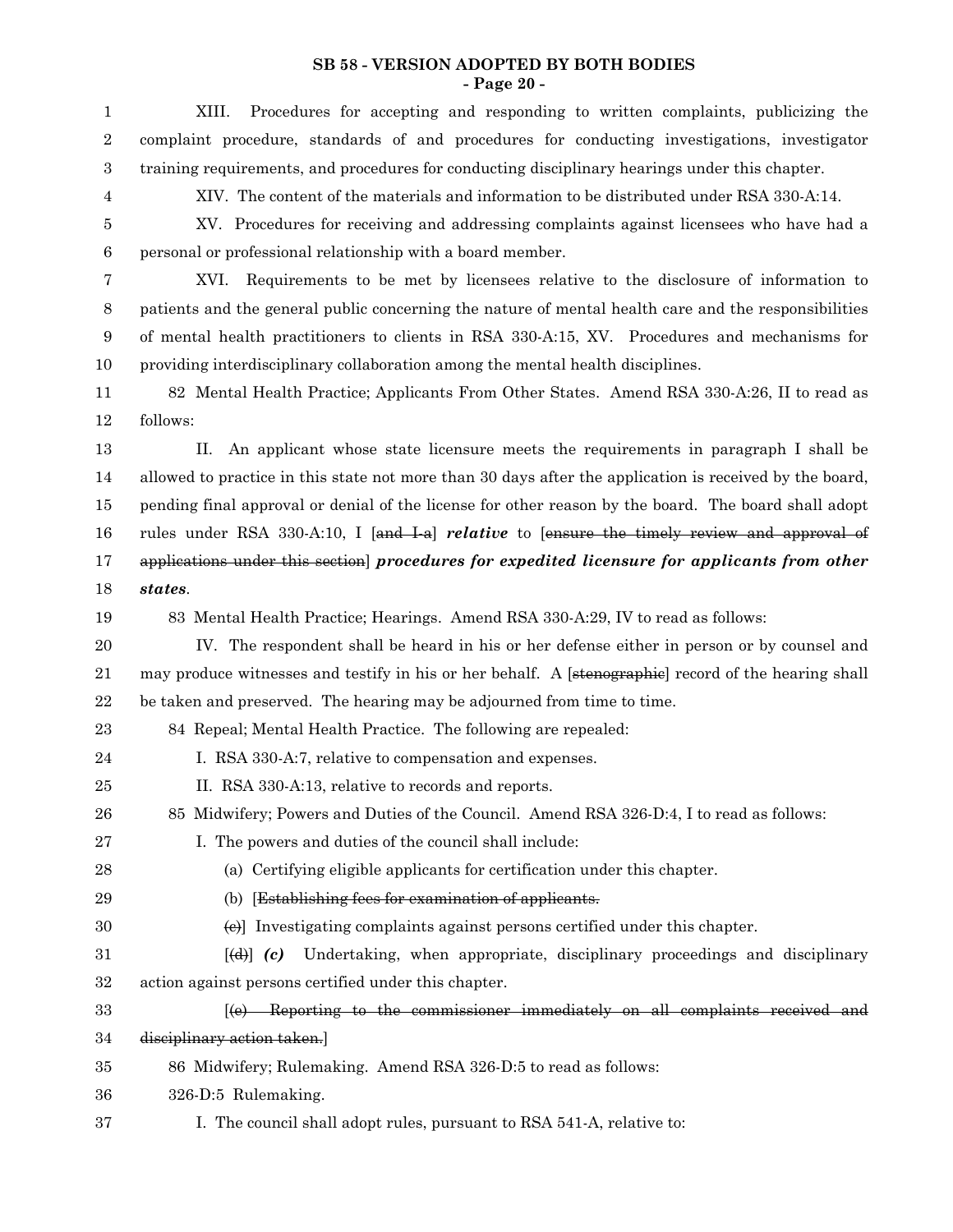#### **SB 58 - VERSION ADOPTED BY BOTH BODIES - Page 20 -**

| 1                | Procedures for accepting and responding to written complaints, publicizing the<br>XIII.                 |
|------------------|---------------------------------------------------------------------------------------------------------|
| 2                | complaint procedure, standards of and procedures for conducting investigations, investigator            |
| 3                | training requirements, and procedures for conducting disciplinary hearings under this chapter.          |
| 4                | XIV. The content of the materials and information to be distributed under RSA 330-A:14.                 |
| 5                | XV. Procedures for receiving and addressing complaints against licensees who have had a                 |
| $\boldsymbol{6}$ | personal or professional relationship with a board member.                                              |
| 7                | Requirements to be met by licensees relative to the disclosure of information to<br>XVI.                |
| 8                | patients and the general public concerning the nature of mental health care and the responsibilities    |
| $\boldsymbol{9}$ | of mental health practitioners to clients in RSA 330-A:15, XV. Procedures and mechanisms for            |
| 10               | providing interdisciplinary collaboration among the mental health disciplines.                          |
| 11               | 82 Mental Health Practice; Applicants From Other States. Amend RSA 330-A:26, II to read as              |
| 12               | follows:                                                                                                |
| 13               | An applicant whose state licensure meets the requirements in paragraph I shall be<br>II.                |
| 14               | allowed to practice in this state not more than 30 days after the application is received by the board, |
| 15               | pending final approval or denial of the license for other reason by the board. The board shall adopt    |
| 16               | rules under RSA 330-A:10, I [and I-a] <i>relative</i> to [ensure the timely review and approval of      |
| 17               | applications under this section] procedures for expedited licensure for applicants from other           |
| 18               | states.                                                                                                 |
| 19               | 83 Mental Health Practice; Hearings. Amend RSA 330-A:29, IV to read as follows:                         |
| 20               | IV. The respondent shall be heard in his or her defense either in person or by counsel and              |
| 21               | may produce witnesses and testify in his or her behalf. A [stenographie] record of the hearing shall    |
| 22               | be taken and preserved. The hearing may be adjourned from time to time.                                 |
| 23               | 84 Repeal; Mental Health Practice. The following are repealed:                                          |
| 24               | I. RSA 330-A:7, relative to compensation and expenses.                                                  |
| 25               | II. RSA 330-A:13, relative to records and reports.                                                      |
| 26               | 85 Midwifery; Powers and Duties of the Council. Amend RSA 326-D:4, I to read as follows:                |
| 27               | I. The powers and duties of the council shall include:                                                  |
| 28               | (a) Certifying eligible applicants for certification under this chapter.                                |
| 29               | (b) [Establishing fees for examination of applicants.                                                   |
| 30               | (e) Investigating complaints against persons certified under this chapter.                              |
| 31               | Undertaking, when appropriate, disciplinary proceedings and disciplinary<br>$[\text{4} \text{4}]$ (c)   |
| 32               | action against persons certified under this chapter.                                                    |
| 33               | (e) Reporting to the commissioner immediately on all complaints received and                            |
| 34               | disciplinary action taken.]                                                                             |
| 35               | 86 Midwifery; Rulemaking. Amend RSA 326-D:5 to read as follows:                                         |
| 36               | 326-D:5 Rulemaking.                                                                                     |
| 37               | I. The council shall adopt rules, pursuant to RSA 541-A, relative to:                                   |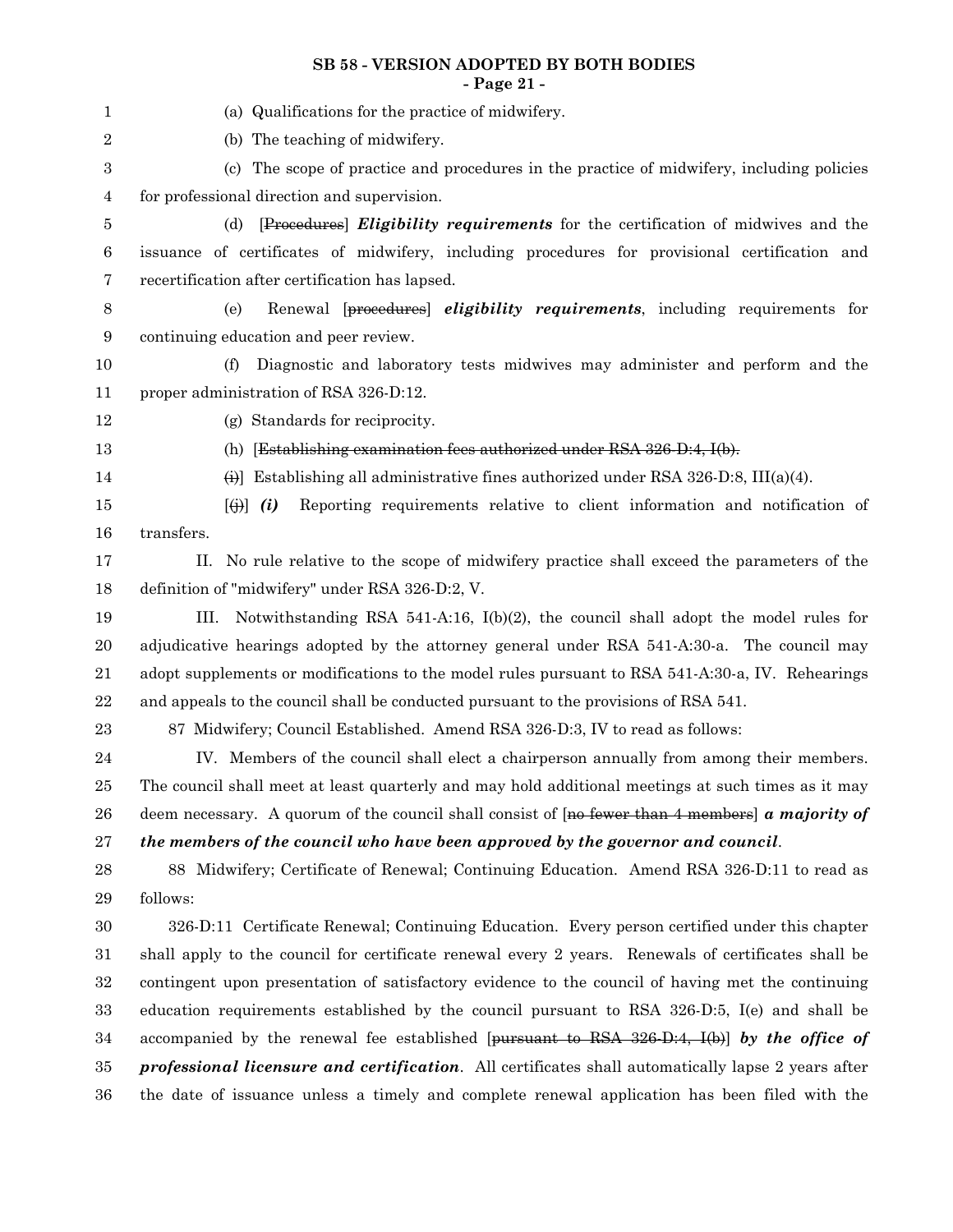#### **SB 58 - VERSION ADOPTED BY BOTH BODIES - Page 21 -**

| 1          | (a) Qualifications for the practice of midwifery.                                                         |
|------------|-----------------------------------------------------------------------------------------------------------|
| 2          | (b) The teaching of midwifery.                                                                            |
| 3          | (c) The scope of practice and procedures in the practice of midwifery, including policies                 |
| 4          | for professional direction and supervision.                                                               |
| 5          | [Procedures] <i>Eligibility requirements</i> for the certification of midwives and the<br>(d)             |
| 6          | issuance of certificates of midwifery, including procedures for provisional certification and             |
| 7          | recertification after certification has lapsed.                                                           |
| 8          | Renewal [procedures] eligibility requirements, including requirements for<br>(e)                          |
| 9          | continuing education and peer review.                                                                     |
| 10         | (f)<br>Diagnostic and laboratory tests midwives may administer and perform and the                        |
| 11         | proper administration of RSA 326-D:12.                                                                    |
| 12         | (g) Standards for reciprocity.                                                                            |
| 13         | (h) [Establishing examination fees authorized under RSA 326-D:4, I(b).                                    |
| 14         | $\leftrightarrow$ Establishing all administrative fines authorized under RSA 326-D:8, III(a)(4).          |
| 15         | Reporting requirements relative to client information and notification of<br>$[\biguplus] (i)$            |
| 16         | transfers.                                                                                                |
| 17         | No rule relative to the scope of midwifery practice shall exceed the parameters of the<br>II.             |
| 18         | definition of "midwifery" under RSA 326-D:2, V.                                                           |
| 19         | Notwithstanding RSA $541-A:16$ , $I(b)(2)$ , the council shall adopt the model rules for<br>III.          |
| 20         | adjudicative hearings adopted by the attorney general under RSA 541-A:30-a. The council may               |
| 21         | adopt supplements or modifications to the model rules pursuant to RSA 541-A:30-a, IV. Rehearings          |
| $\bf{22}$  | and appeals to the council shall be conducted pursuant to the provisions of RSA 541.                      |
| 23         | 87 Midwifery; Council Established. Amend RSA 326-D:3, IV to read as follows:                              |
| 24         | IV. Members of the council shall elect a chairperson annually from among their members.                   |
| 25         | The council shall meet at least quarterly and may hold additional meetings at such times as it may        |
| ${\bf 26}$ | deem necessary. A quorum of the council shall consist of $[no-fewer-than-4-members]$ a majority of        |
| 27         | the members of the council who have been approved by the governor and council.                            |
| 28         | 88 Midwifery; Certificate of Renewal; Continuing Education. Amend RSA 326-D:11 to read as                 |
| 29         | follows:                                                                                                  |
| 30         | 326-D:11 Certificate Renewal; Continuing Education. Every person certified under this chapter             |
| 31         | shall apply to the council for certificate renewal every 2 years. Renewals of certificates shall be       |
| $32\,$     | contingent upon presentation of satisfactory evidence to the council of having met the continuing         |
| $33\,$     | education requirements established by the council pursuant to RSA 326-D:5, I(e) and shall be              |
| 34         | accompanied by the renewal fee established [ $\mu$ ursuant to RSA 326-D:4, I(b)] by the office of         |
| $35\,$     | <b>professional licensure and certification.</b> All certificates shall automatically lapse 2 years after |
| 36         | the date of issuance unless a timely and complete renewal application has been filed with the             |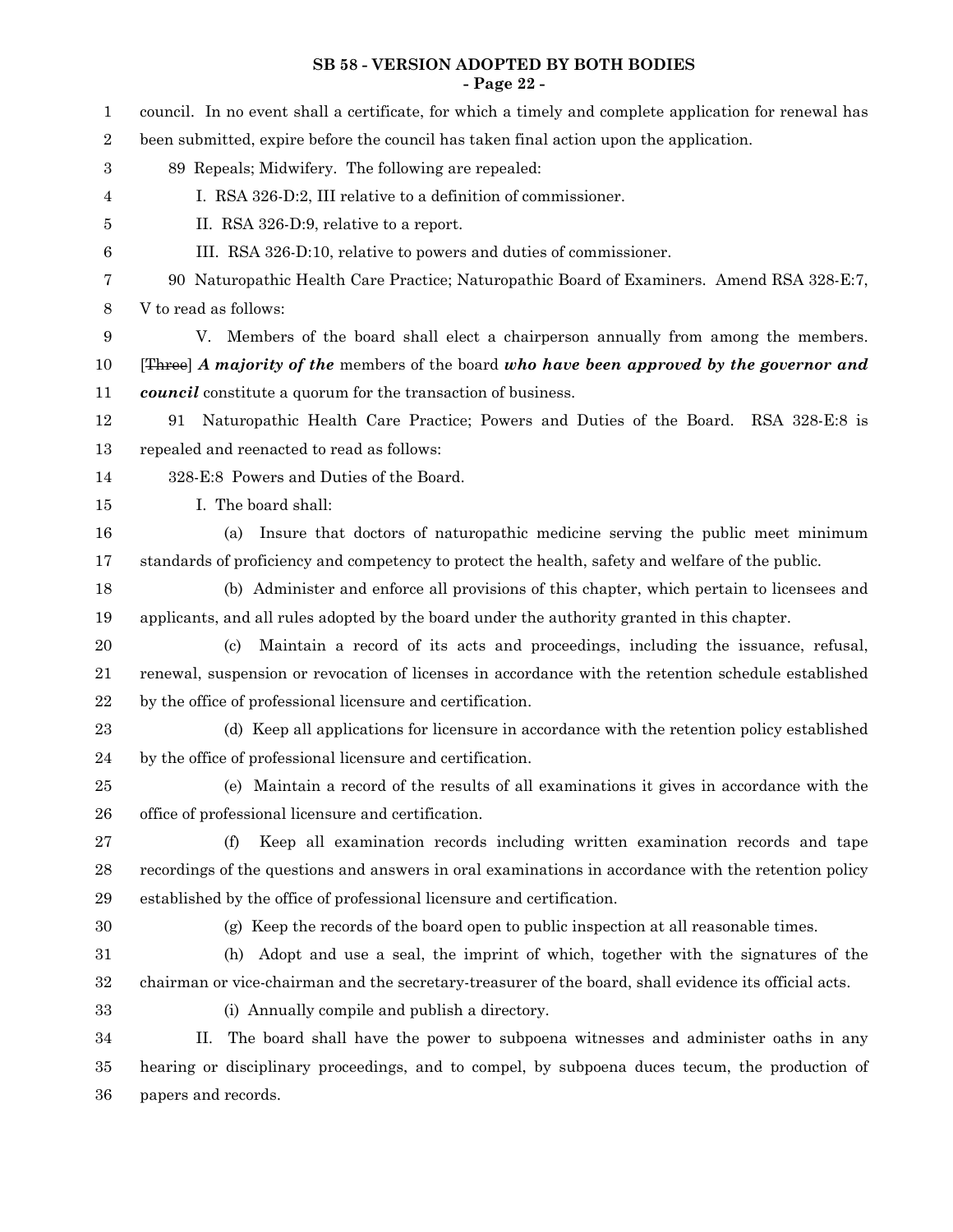#### **SB 58 - VERSION ADOPTED BY BOTH BODIES - Page 22 -**

| $\mathbf{1}$ | council. In no event shall a certificate, for which a timely and complete application for renewal has |
|--------------|-------------------------------------------------------------------------------------------------------|
| $\,2$        | been submitted, expire before the council has taken final action upon the application.                |
| $\,3$        | 89 Repeals; Midwifery. The following are repealed:                                                    |
| 4            | I. RSA 326-D:2, III relative to a definition of commissioner.                                         |
| 5            | II. RSA 326-D:9, relative to a report.                                                                |
| 6            | III. RSA 326-D:10, relative to powers and duties of commissioner.                                     |
| 7            | 90 Naturopathic Health Care Practice; Naturopathic Board of Examiners. Amend RSA 328-E:7,             |
| 8            | V to read as follows:                                                                                 |
| 9            | V. Members of the board shall elect a chairperson annually from among the members.                    |
| 10           | [Three] A majority of the members of the board who have been approved by the governor and             |
| 11           | <b>council</b> constitute a quorum for the transaction of business.                                   |
| 12           | Naturopathic Health Care Practice; Powers and Duties of the Board. RSA 328-E:8 is<br>91               |
| 13           | repealed and reenacted to read as follows:                                                            |
| 14           | 328-E:8 Powers and Duties of the Board.                                                               |
| 15           | I. The board shall:                                                                                   |
| 16           | Insure that doctors of naturopathic medicine serving the public meet minimum<br>(a)                   |
| 17           | standards of proficiency and competency to protect the health, safety and welfare of the public.      |
| 18           | (b) Administer and enforce all provisions of this chapter, which pertain to licensees and             |
| 19           | applicants, and all rules adopted by the board under the authority granted in this chapter.           |
| 20           | Maintain a record of its acts and proceedings, including the issuance, refusal,<br>(c)                |
| 21           | renewal, suspension or revocation of licenses in accordance with the retention schedule established   |
| $22\,$       | by the office of professional licensure and certification.                                            |
| 23           | (d) Keep all applications for licensure in accordance with the retention policy established           |
| $\bf{24}$    | by the office of professional licensure and certification.                                            |
| 25           | (e) Maintain a record of the results of all examinations it gives in accordance with the              |
| ${\bf 26}$   | office of professional licensure and certification.                                                   |
| $\sqrt{27}$  | Keep all examination records including written examination records and tape<br>(f)                    |
| $\bf{28}$    | recordings of the questions and answers in oral examinations in accordance with the retention policy  |
| $\,29$       | established by the office of professional licensure and certification.                                |
| $30\,$       | (g) Keep the records of the board open to public inspection at all reasonable times.                  |
| 31           | Adopt and use a seal, the imprint of which, together with the signatures of the<br>(h)                |
| $32\,$       | chairman or vice-chairman and the secretary-treasurer of the board, shall evidence its official acts. |
| $33\,$       | (i) Annually compile and publish a directory.                                                         |
| 34           | П.<br>The board shall have the power to subpoena witnesses and administer oaths in any                |
| $35\,$       | hearing or disciplinary proceedings, and to compel, by subpoena duces tecum, the production of        |
| 36           | papers and records.                                                                                   |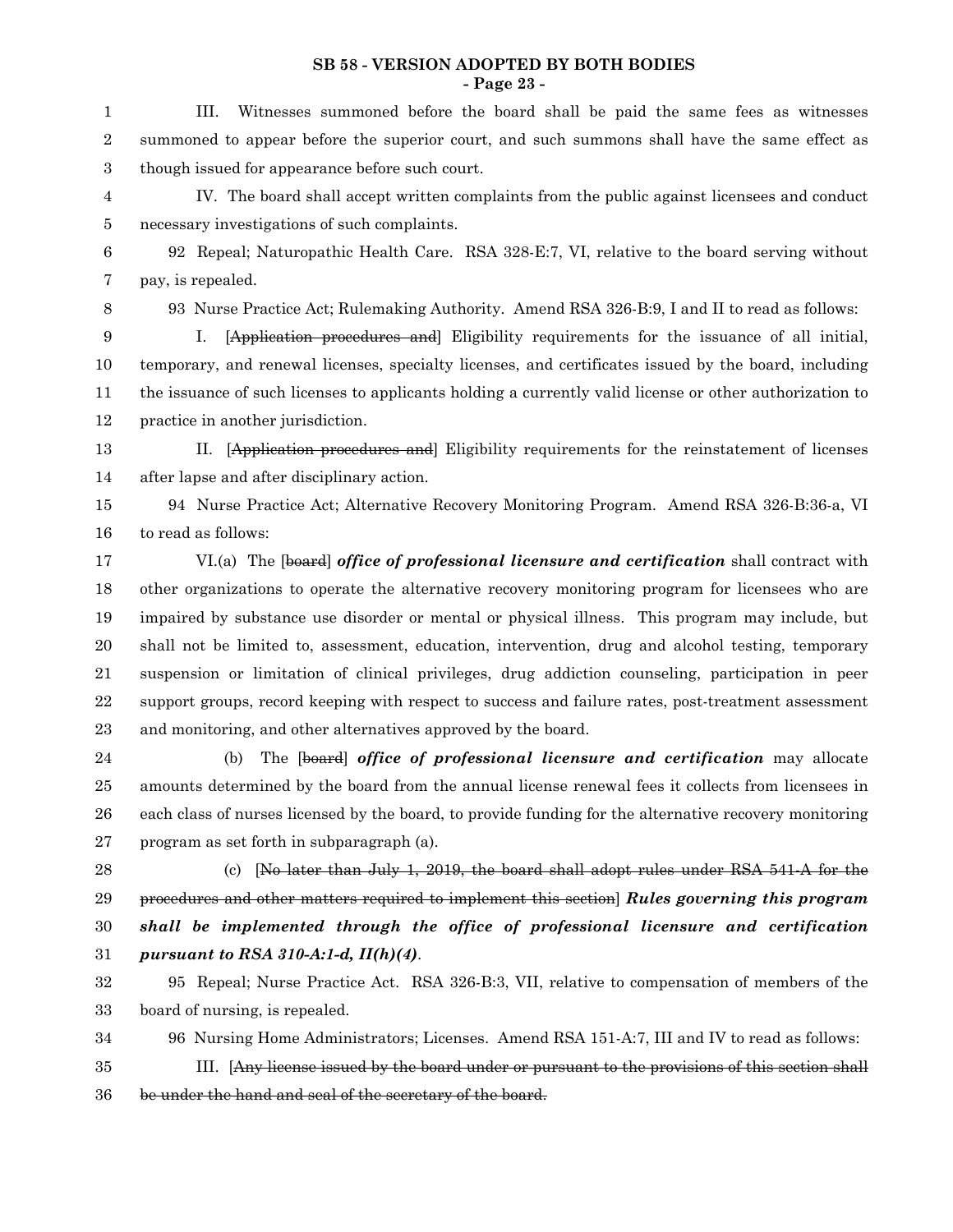#### **SB 58 - VERSION ADOPTED BY BOTH BODIES - Page 23 -**

III. Witnesses summoned before the board shall be paid the same fees as witnesses summoned to appear before the superior court, and such summons shall have the same effect as though issued for appearance before such court. 1 2 3

IV. The board shall accept written complaints from the public against licensees and conduct necessary investigations of such complaints. 4 5

92 Repeal; Naturopathic Health Care. RSA 328-E:7, VI, relative to the board serving without pay, is repealed. 6 7

8

93 Nurse Practice Act; Rulemaking Authority. Amend RSA 326-B:9, I and II to read as follows:

I. [Application procedures and] Eligibility requirements for the issuance of all initial, temporary, and renewal licenses, specialty licenses, and certificates issued by the board, including the issuance of such licenses to applicants holding a currently valid license or other authorization to practice in another jurisdiction. 9 10 11 12

II. [Application procedures and] Eligibility requirements for the reinstatement of licenses after lapse and after disciplinary action. 13 14

94 Nurse Practice Act; Alternative Recovery Monitoring Program. Amend RSA 326-B:36-a, VI to read as follows: 15 16

VI.(a) The [board] *office of professional licensure and certification* shall contract with other organizations to operate the alternative recovery monitoring program for licensees who are impaired by substance use disorder or mental or physical illness. This program may include, but shall not be limited to, assessment, education, intervention, drug and alcohol testing, temporary suspension or limitation of clinical privileges, drug addiction counseling, participation in peer support groups, record keeping with respect to success and failure rates, post-treatment assessment and monitoring, and other alternatives approved by the board. 17 18 19 20 21 22 23

(b) The [board] *office of professional licensure and certification* may allocate amounts determined by the board from the annual license renewal fees it collects from licensees in each class of nurses licensed by the board, to provide funding for the alternative recovery monitoring program as set forth in subparagraph (a). 24 25 26 27

28

(c) [No later than July 1, 2019, the board shall adopt rules under RSA 541-A for the procedures and other matters required to implement this section] *Rules governing this program shall be implemented through the office of professional licensure and certification pursuant to RSA 310-A:1-d, II(h)(4)*. 29 30 31

95 Repeal; Nurse Practice Act. RSA 326-B:3, VII, relative to compensation of members of the board of nursing, is repealed. 32 33

96 Nursing Home Administrators; Licenses. Amend RSA 151-A:7, III and IV to read as follows: 34

III. [Any license issued by the board under or pursuant to the provisions of this section shall be under the hand and seal of the secretary of the board. 35 36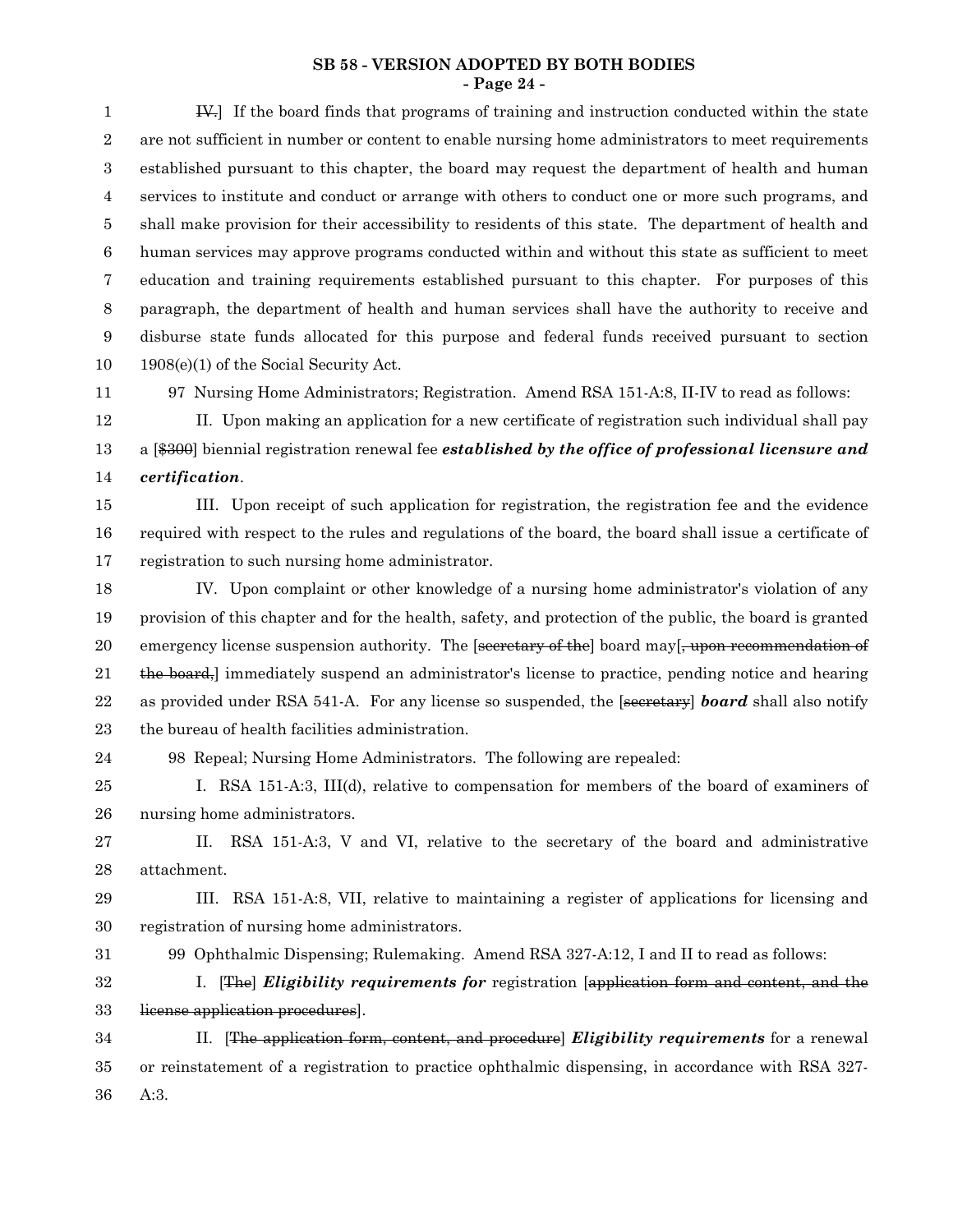#### **SB 58 - VERSION ADOPTED BY BOTH BODIES - Page 24 -**

IV.] If the board finds that programs of training and instruction conducted within the state are not sufficient in number or content to enable nursing home administrators to meet requirements established pursuant to this chapter, the board may request the department of health and human services to institute and conduct or arrange with others to conduct one or more such programs, and shall make provision for their accessibility to residents of this state. The department of health and human services may approve programs conducted within and without this state as sufficient to meet education and training requirements established pursuant to this chapter. For purposes of this paragraph, the department of health and human services shall have the authority to receive and disburse state funds allocated for this purpose and federal funds received pursuant to section 1908(e)(1) of the Social Security Act. 1 2 3 4 5 6 7 8 9 10

11

97 Nursing Home Administrators; Registration. Amend RSA 151-A:8, II-IV to read as follows:

II. Upon making an application for a new certificate of registration such individual shall pay a [\$300] biennial registration renewal fee *established by the office of professional licensure and certification*. 12 13 14

III. Upon receipt of such application for registration, the registration fee and the evidence required with respect to the rules and regulations of the board, the board shall issue a certificate of registration to such nursing home administrator. 15 16 17

IV. Upon complaint or other knowledge of a nursing home administrator's violation of any provision of this chapter and for the health, safety, and protection of the public, the board is granted emergency license suspension authority. The [secretary of the] board may[, upon recommendation of the board,] immediately suspend an administrator's license to practice, pending notice and hearing as provided under RSA 541-A. For any license so suspended, the [secretary] *board* shall also notify the bureau of health facilities administration. 18 19 20 21 22 23

24

98 Repeal; Nursing Home Administrators. The following are repealed:

I. RSA 151-A:3, III(d), relative to compensation for members of the board of examiners of nursing home administrators. 25 26

II. RSA 151-A:3, V and VI, relative to the secretary of the board and administrative attachment. 27 28

III. RSA 151-A:8, VII, relative to maintaining a register of applications for licensing and registration of nursing home administrators. 29 30

99 Ophthalmic Dispensing; Rulemaking. Amend RSA 327-A:12, I and II to read as follows: 31

I. [The] *Eligibility requirements for* registration [application form and content, and the license application procedures]. 32 33

II. [The application form, content, and procedure] *Eligibility requirements* for a renewal or reinstatement of a registration to practice ophthalmic dispensing, in accordance with RSA 327- A:3. 34 35 36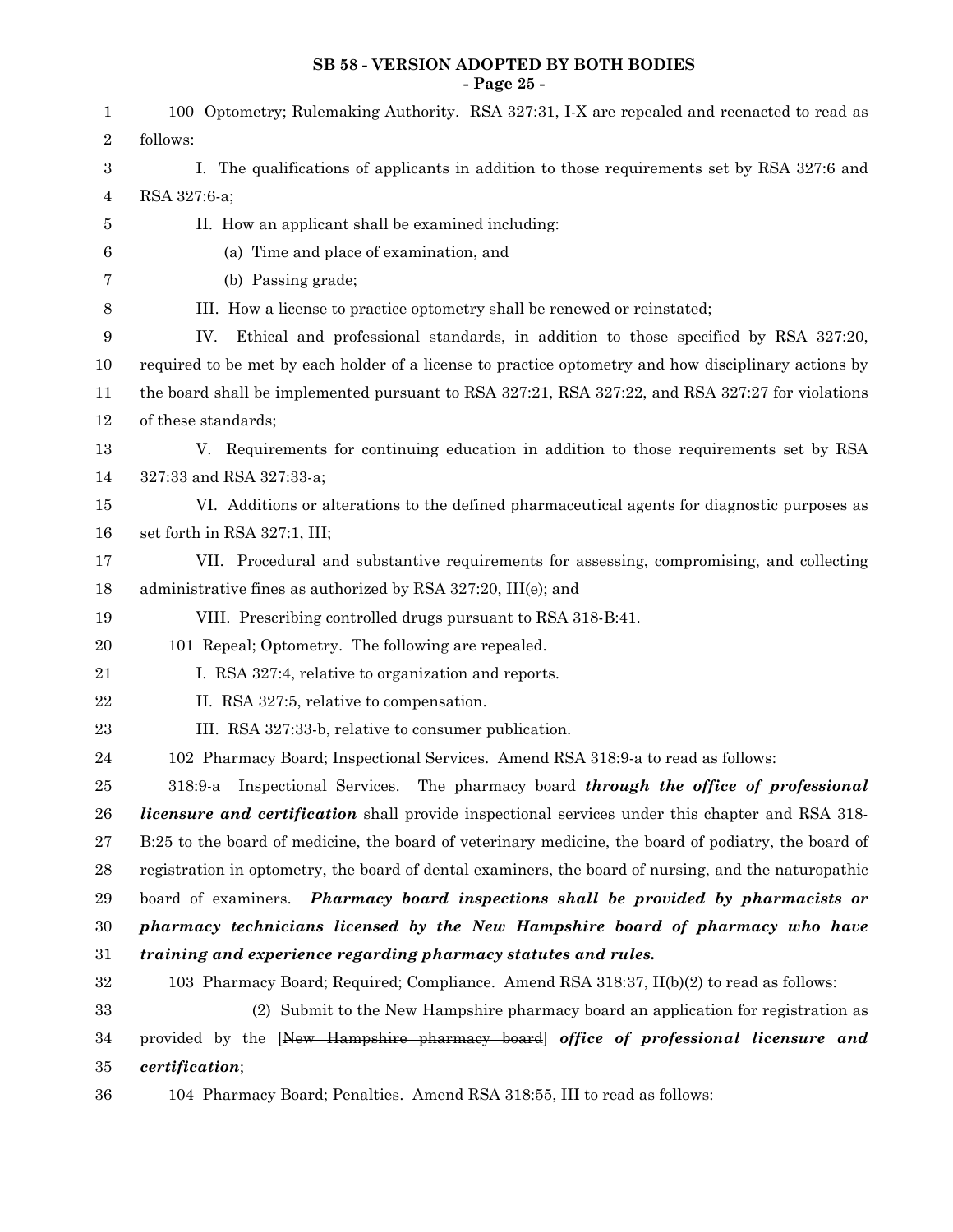#### **SB 58 - VERSION ADOPTED BY BOTH BODIES - Page 25 -**

| 1                | 100 Optometry; Rulemaking Authority. RSA 327:31, I-X are repealed and reenacted to read as             |
|------------------|--------------------------------------------------------------------------------------------------------|
| 2                | follows:                                                                                               |
| 3                | I. The qualifications of applicants in addition to those requirements set by RSA 327:6 and             |
| 4                | RSA 327:6-a;                                                                                           |
| 5                | II. How an applicant shall be examined including:                                                      |
| 6                | (a) Time and place of examination, and                                                                 |
| 7                | (b) Passing grade;                                                                                     |
| 8                | III. How a license to practice optometry shall be renewed or reinstated;                               |
| $\boldsymbol{9}$ | Ethical and professional standards, in addition to those specified by RSA 327:20,<br>IV.               |
| 10               | required to be met by each holder of a license to practice optometry and how disciplinary actions by   |
| 11               | the board shall be implemented pursuant to RSA 327:21, RSA 327:22, and RSA 327:27 for violations       |
| 12               | of these standards;                                                                                    |
| 13               | V. Requirements for continuing education in addition to those requirements set by RSA                  |
| 14               | 327:33 and RSA 327:33-a;                                                                               |
| 15               | VI. Additions or alterations to the defined pharmaceutical agents for diagnostic purposes as           |
| 16               | set forth in RSA 327:1, III;                                                                           |
| 17               | VII. Procedural and substantive requirements for assessing, compromising, and collecting               |
| 18               | administrative fines as authorized by RSA $327:20$ , III(e); and                                       |
| 19               | VIII. Prescribing controlled drugs pursuant to RSA 318-B:41.                                           |
| 20               | 101 Repeal; Optometry. The following are repealed.                                                     |
| 21               | I. RSA 327:4, relative to organization and reports.                                                    |
| $\bf{22}$        | II. RSA 327:5, relative to compensation.                                                               |
| 23               | III. RSA 327:33-b, relative to consumer publication.                                                   |
| 24               | 102 Pharmacy Board; Inspectional Services. Amend RSA 318:9-a to read as follows:                       |
| 25               | Inspectional Services. The pharmacy board through the office of professional<br>318:9-a                |
| ${\bf 26}$       | <i>licensure and certification</i> shall provide inspectional services under this chapter and RSA 318- |
| $\sqrt{27}$      | B:25 to the board of medicine, the board of veterinary medicine, the board of podiatry, the board of   |
| $\bf 28$         | registration in optometry, the board of dental examiners, the board of nursing, and the naturopathic   |
| $\bf 29$         | board of examiners. Pharmacy board inspections shall be provided by pharmacists or                     |
| $30\,$           | pharmacy technicians licensed by the New Hampshire board of pharmacy who have                          |
| 31               | training and experience regarding pharmacy statutes and rules.                                         |
| $32\,$           | 103 Pharmacy Board; Required; Compliance. Amend RSA 318:37, II(b)(2) to read as follows:               |
| 33               | (2) Submit to the New Hampshire pharmacy board an application for registration as                      |
| 34               | provided by the [New Hampshire pharmacy board] office of professional licensure and                    |
| 35               | certification;                                                                                         |
| 36               | 104 Pharmacy Board; Penalties. Amend RSA 318:55, III to read as follows:                               |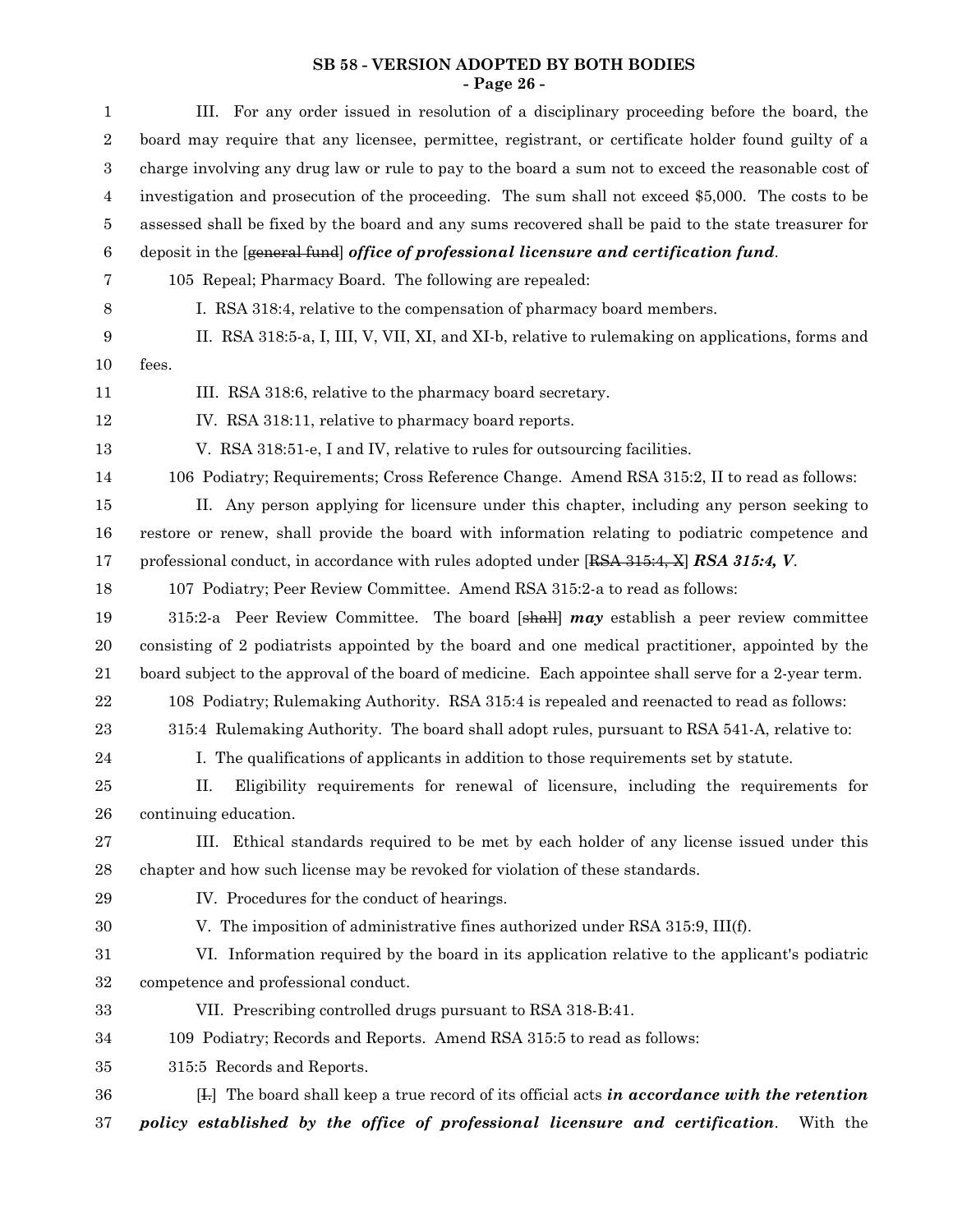#### **SB 58 - VERSION ADOPTED BY BOTH BODIES - Page 26 -**

| $\mathbf{1}$     | III. For any order issued in resolution of a disciplinary proceeding before the board, the            |
|------------------|-------------------------------------------------------------------------------------------------------|
| $\,2$            | board may require that any licensee, permittee, registrant, or certificate holder found guilty of a   |
| $\,3$            | charge involving any drug law or rule to pay to the board a sum not to exceed the reasonable cost of  |
| $\overline{4}$   | investigation and prosecution of the proceeding. The sum shall not exceed \$5,000. The costs to be    |
| $\bf 5$          | assessed shall be fixed by the board and any sums recovered shall be paid to the state treasurer for  |
| $\,6$            | deposit in the [general fund] office of professional licensure and certification fund.                |
| 7                | 105 Repeal; Pharmacy Board. The following are repealed:                                               |
| $\,8\,$          | I. RSA 318:4, relative to the compensation of pharmacy board members.                                 |
| $\boldsymbol{9}$ | II. RSA 318:5-a, I, III, V, VII, XI, and XI-b, relative to rulemaking on applications, forms and      |
| 10               | fees.                                                                                                 |
| 11               | III. RSA 318:6, relative to the pharmacy board secretary.                                             |
| 12               | IV. RSA 318:11, relative to pharmacy board reports.                                                   |
| 13               | V. RSA 318:51-e, I and IV, relative to rules for outsourcing facilities.                              |
| 14               | 106 Podiatry; Requirements; Cross Reference Change. Amend RSA 315:2, II to read as follows:           |
| 15               | II. Any person applying for licensure under this chapter, including any person seeking to             |
| 16               | restore or renew, shall provide the board with information relating to podiatric competence and       |
| 17               | professional conduct, in accordance with rules adopted under [RSA 315:4, X] RSA 315:4, V.             |
| 18               | 107 Podiatry; Peer Review Committee. Amend RSA 315:2-a to read as follows:                            |
| 19               | 315:2-a Peer Review Committee. The board [shall] $may$ establish a peer review committee              |
| $20\,$           | consisting of 2 podiatrists appointed by the board and one medical practitioner, appointed by the     |
| 21               | board subject to the approval of the board of medicine. Each appointee shall serve for a 2-year term. |
| $\bf{22}$        | 108 Podiatry; Rulemaking Authority. RSA 315:4 is repealed and reenacted to read as follows:           |
| 23               | 315:4 Rulemaking Authority. The board shall adopt rules, pursuant to RSA 541-A, relative to:          |
| $\bf{24}$        | I. The qualifications of applicants in addition to those requirements set by statute.                 |
| 25               | II. Eligibility requirements for renewal of licensure, including the requirements for                 |
| ${\bf 26}$       | continuing education.                                                                                 |
| $\sqrt{27}$      | III. Ethical standards required to be met by each holder of any license issued under this             |
| 28               | chapter and how such license may be revoked for violation of these standards.                         |
| $\,29$           | IV. Procedures for the conduct of hearings.                                                           |
| 30               | V. The imposition of administrative fines authorized under RSA 315:9, III(f).                         |
| 31               | VI. Information required by the board in its application relative to the applicant's podiatric        |
| $32\,$           | competence and professional conduct.                                                                  |
| 33               | VII. Prescribing controlled drugs pursuant to RSA 318-B:41.                                           |
| 34               | 109 Podiatry; Records and Reports. Amend RSA 315:5 to read as follows:                                |
| 35               | 315:5 Records and Reports.                                                                            |
| 36               | $[1]$ . The board shall keep a true record of its official acts in accordance with the retention      |
| 37               | policy established by the office of professional licensure and certification.<br>With the             |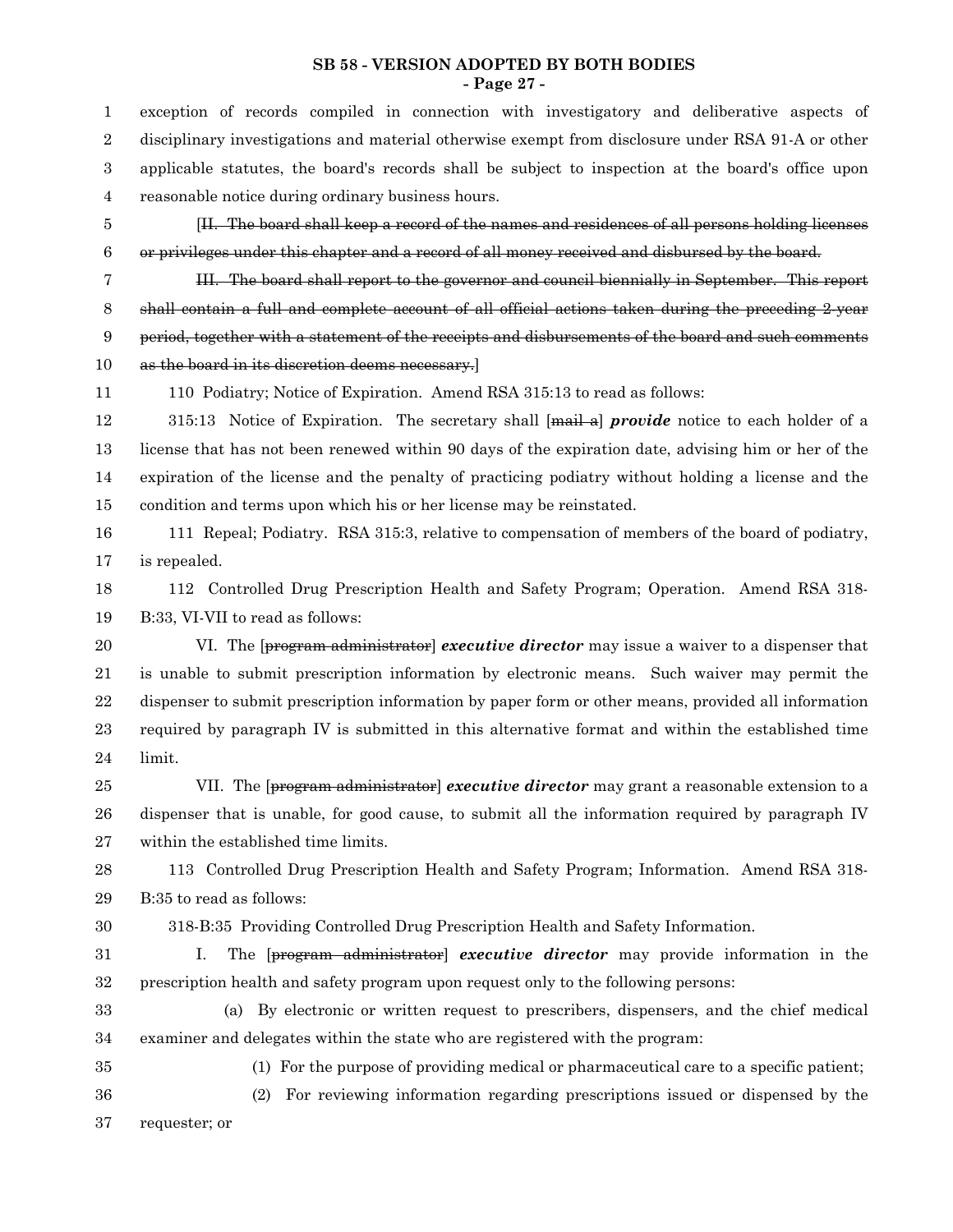#### **SB 58 - VERSION ADOPTED BY BOTH BODIES - Page 27 -**

exception of records compiled in connection with investigatory and deliberative aspects of disciplinary investigations and material otherwise exempt from disclosure under RSA 91-A or other applicable statutes, the board's records shall be subject to inspection at the board's office upon reasonable notice during ordinary business hours. [II. The board shall keep a record of the names and residences of all persons holding licenses or privileges under this chapter and a record of all money received and disbursed by the board. III. The board shall report to the governor and council biennially in September. This report shall contain a full and complete account of all official actions taken during the preceding 2-year period, together with a statement of the receipts and disbursements of the board and such comments as the board in its discretion deems necessary.] 110 Podiatry; Notice of Expiration. Amend RSA 315:13 to read as follows: 315:13 Notice of Expiration. The secretary shall [mail a] *provide* notice to each holder of a license that has not been renewed within 90 days of the expiration date, advising him or her of the expiration of the license and the penalty of practicing podiatry without holding a license and the condition and terms upon which his or her license may be reinstated. 111 Repeal; Podiatry. RSA 315:3, relative to compensation of members of the board of podiatry, is repealed. 112 Controlled Drug Prescription Health and Safety Program; Operation. Amend RSA 318- B:33, VI-VII to read as follows: VI. The [program administrator] *executive director* may issue a waiver to a dispenser that is unable to submit prescription information by electronic means. Such waiver may permit the dispenser to submit prescription information by paper form or other means, provided all information required by paragraph IV is submitted in this alternative format and within the established time limit. VII. The [program administrator] *executive director* may grant a reasonable extension to a dispenser that is unable, for good cause, to submit all the information required by paragraph IV within the established time limits. 113 Controlled Drug Prescription Health and Safety Program; Information. Amend RSA 318- B:35 to read as follows: 318-B:35 Providing Controlled Drug Prescription Health and Safety Information. I. The [program administrator] *executive director* may provide information in the prescription health and safety program upon request only to the following persons: (a) By electronic or written request to prescribers, dispensers, and the chief medical examiner and delegates within the state who are registered with the program: (1) For the purpose of providing medical or pharmaceutical care to a specific patient; (2) For reviewing information regarding prescriptions issued or dispensed by the requester; or 1 2 3 4 5 6 7 8 9 10 11 12 13 14 15 16 17 18 19 20 21 22 23 24 25 26 27 28 29 30 31 32 33 34 35 36 37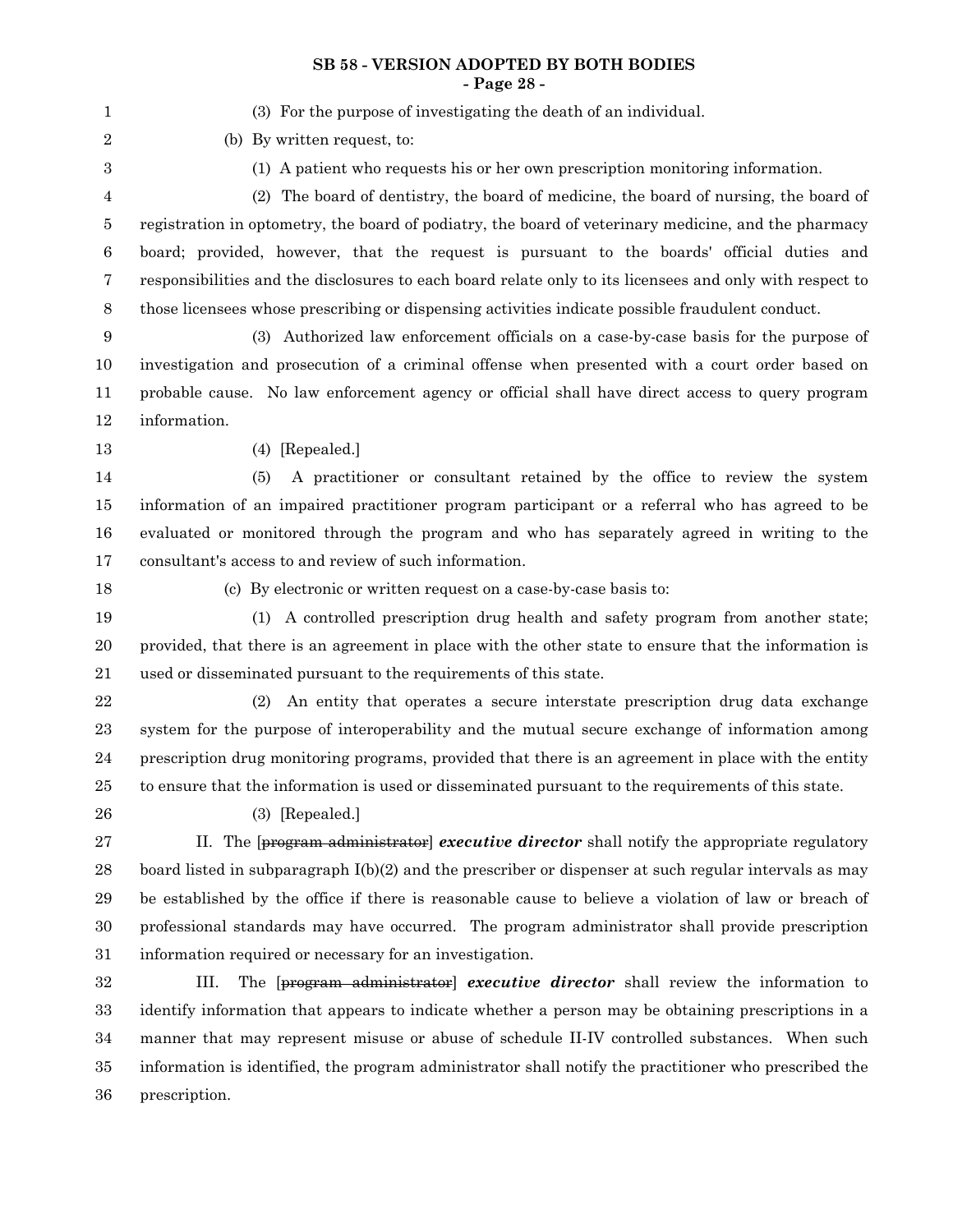#### **SB 58 - VERSION ADOPTED BY BOTH BODIES - Page 28 -**

| 1           | (3) For the purpose of investigating the death of an individual.                                         |
|-------------|----------------------------------------------------------------------------------------------------------|
| 2           | (b) By written request, to:                                                                              |
| 3           | (1) A patient who requests his or her own prescription monitoring information.                           |
| 4           | (2) The board of dentistry, the board of medicine, the board of nursing, the board of                    |
| 5           | registration in optometry, the board of podiatry, the board of veterinary medicine, and the pharmacy     |
| 6           | board; provided, however, that the request is pursuant to the boards' official duties and                |
| 7           | responsibilities and the disclosures to each board relate only to its licensees and only with respect to |
| $8\,$       | those licensees whose prescribing or dispensing activities indicate possible fraudulent conduct.         |
| 9           | (3) Authorized law enforcement officials on a case-by-case basis for the purpose of                      |
| 10          | investigation and prosecution of a criminal offense when presented with a court order based on           |
| 11          | probable cause. No law enforcement agency or official shall have direct access to query program          |
| 12          | information.                                                                                             |
| 13          | $(4)$ [Repealed.]                                                                                        |
| 14          | A practitioner or consultant retained by the office to review the system<br>(5)                          |
| 15          | information of an impaired practitioner program participant or a referral who has agreed to be           |
| 16          | evaluated or monitored through the program and who has separately agreed in writing to the               |
| 17          | consultant's access to and review of such information.                                                   |
| 18          | (c) By electronic or written request on a case-by-case basis to:                                         |
| 19          | (1) A controlled prescription drug health and safety program from another state;                         |
| 20          | provided, that there is an agreement in place with the other state to ensure that the information is     |
| 21          | used or disseminated pursuant to the requirements of this state.                                         |
| $\bf 22$    | An entity that operates a secure interstate prescription drug data exchange<br>(2)                       |
| 23          | system for the purpose of interoperability and the mutual secure exchange of information among           |
| 24          | prescription drug monitoring programs, provided that there is an agreement in place with the entity      |
| 25          | to ensure that the information is used or disseminated pursuant to the requirements of this state.       |
| 26          | $(3)$ [Repealed.]                                                                                        |
| $\sqrt{27}$ | II. The $[program administrator] executive directory shall notify the appropriate regulatory$            |
| 28          | board listed in subparagraph $I(b)(2)$ and the prescriber or dispenser at such regular intervals as may  |
| 29          | be established by the office if there is reasonable cause to believe a violation of law or breach of     |
| 30          | professional standards may have occurred. The program administrator shall provide prescription           |
| 31          | information required or necessary for an investigation.                                                  |
| 32          | The [program administrator] executive director shall review the information to<br>III.                   |
| 33          | identify information that appears to indicate whether a person may be obtaining prescriptions in a       |
| 34          | manner that may represent misuse or abuse of schedule II-IV controlled substances. When such             |
| 35          | information is identified, the program administrator shall notify the practitioner who prescribed the    |

prescription. 36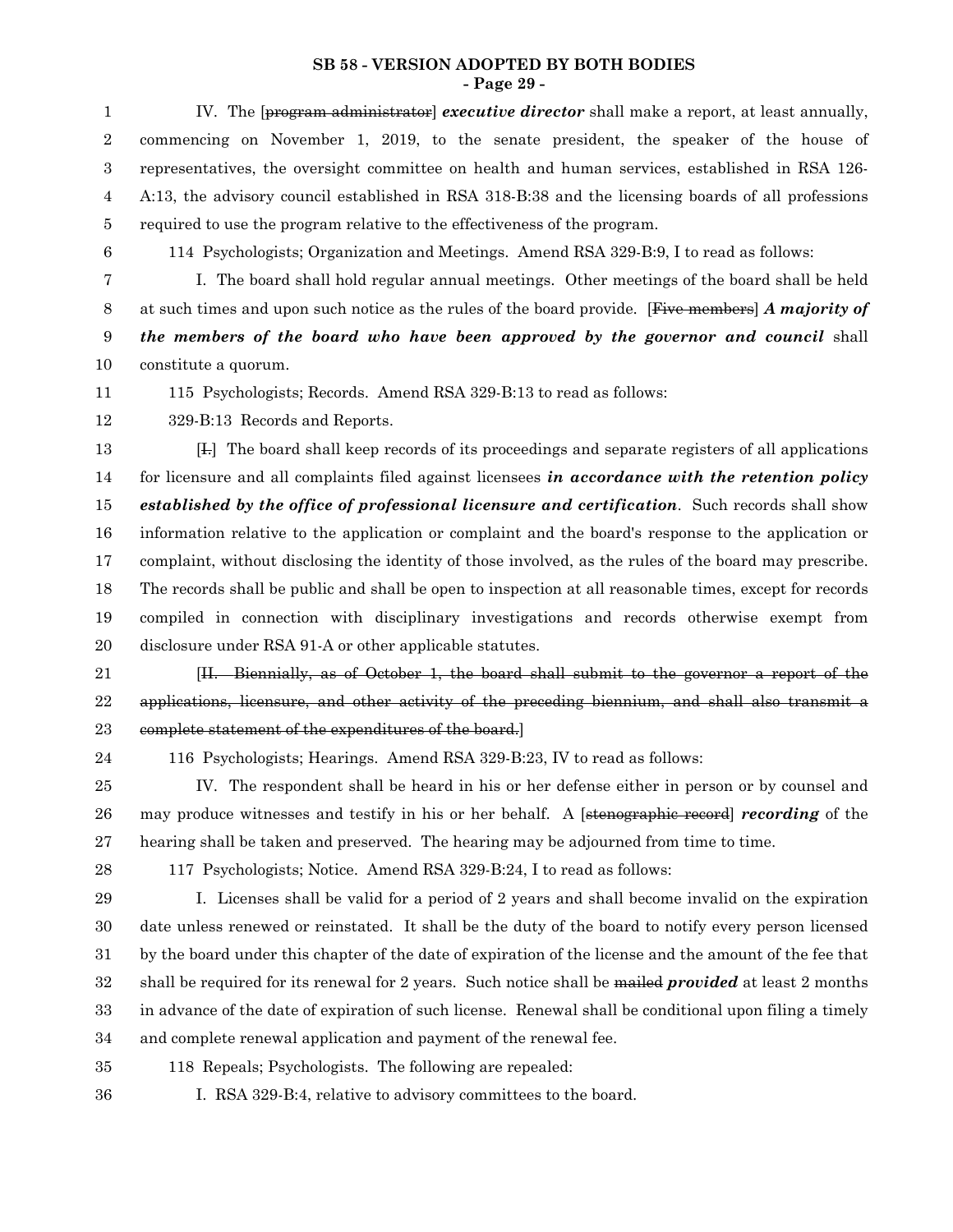#### **SB 58 - VERSION ADOPTED BY BOTH BODIES - Page 29 -**

IV. The [program administrator] *executive director* shall make a report, at least annually, commencing on November 1, 2019, to the senate president, the speaker of the house of representatives, the oversight committee on health and human services, established in RSA 126- A:13, the advisory council established in RSA 318-B:38 and the licensing boards of all professions required to use the program relative to the effectiveness of the program. 1 2 3 4 5

6

114 Psychologists; Organization and Meetings. Amend RSA 329-B:9, I to read as follows:

I. The board shall hold regular annual meetings. Other meetings of the board shall be held at such times and upon such notice as the rules of the board provide. [Five members] *A majority of the members of the board who have been approved by the governor and council* shall constitute a quorum. 7 8 9 10

115 Psychologists; Records. Amend RSA 329-B:13 to read as follows: 11

329-B:13 Records and Reports. 12

[I.] The board shall keep records of its proceedings and separate registers of all applications for licensure and all complaints filed against licensees *in accordance with the retention policy established by the office of professional licensure and certification*. Such records shall show information relative to the application or complaint and the board's response to the application or complaint, without disclosing the identity of those involved, as the rules of the board may prescribe. The records shall be public and shall be open to inspection at all reasonable times, except for records compiled in connection with disciplinary investigations and records otherwise exempt from disclosure under RSA 91-A or other applicable statutes. 13 14 15 16 17 18 19 20

- [II. Biennially, as of October 1, the board shall submit to the governor a report of the applications, licensure, and other activity of the preceding biennium, and shall also transmit a complete statement of the expenditures of the board.] 21 22 23
- 24

116 Psychologists; Hearings. Amend RSA 329-B:23, IV to read as follows:

IV. The respondent shall be heard in his or her defense either in person or by counsel and may produce witnesses and testify in his or her behalf. A [stenographic record] *recording* of the hearing shall be taken and preserved. The hearing may be adjourned from time to time. 25 26 27

28

117 Psychologists; Notice. Amend RSA 329-B:24, I to read as follows:

I. Licenses shall be valid for a period of 2 years and shall become invalid on the expiration date unless renewed or reinstated. It shall be the duty of the board to notify every person licensed by the board under this chapter of the date of expiration of the license and the amount of the fee that shall be required for its renewal for 2 years. Such notice shall be mailed *provided* at least 2 months in advance of the date of expiration of such license. Renewal shall be conditional upon filing a timely and complete renewal application and payment of the renewal fee. 29 30 31 32 33 34

- 118 Repeals; Psychologists. The following are repealed: 35
- 36

I. RSA 329-B:4, relative to advisory committees to the board.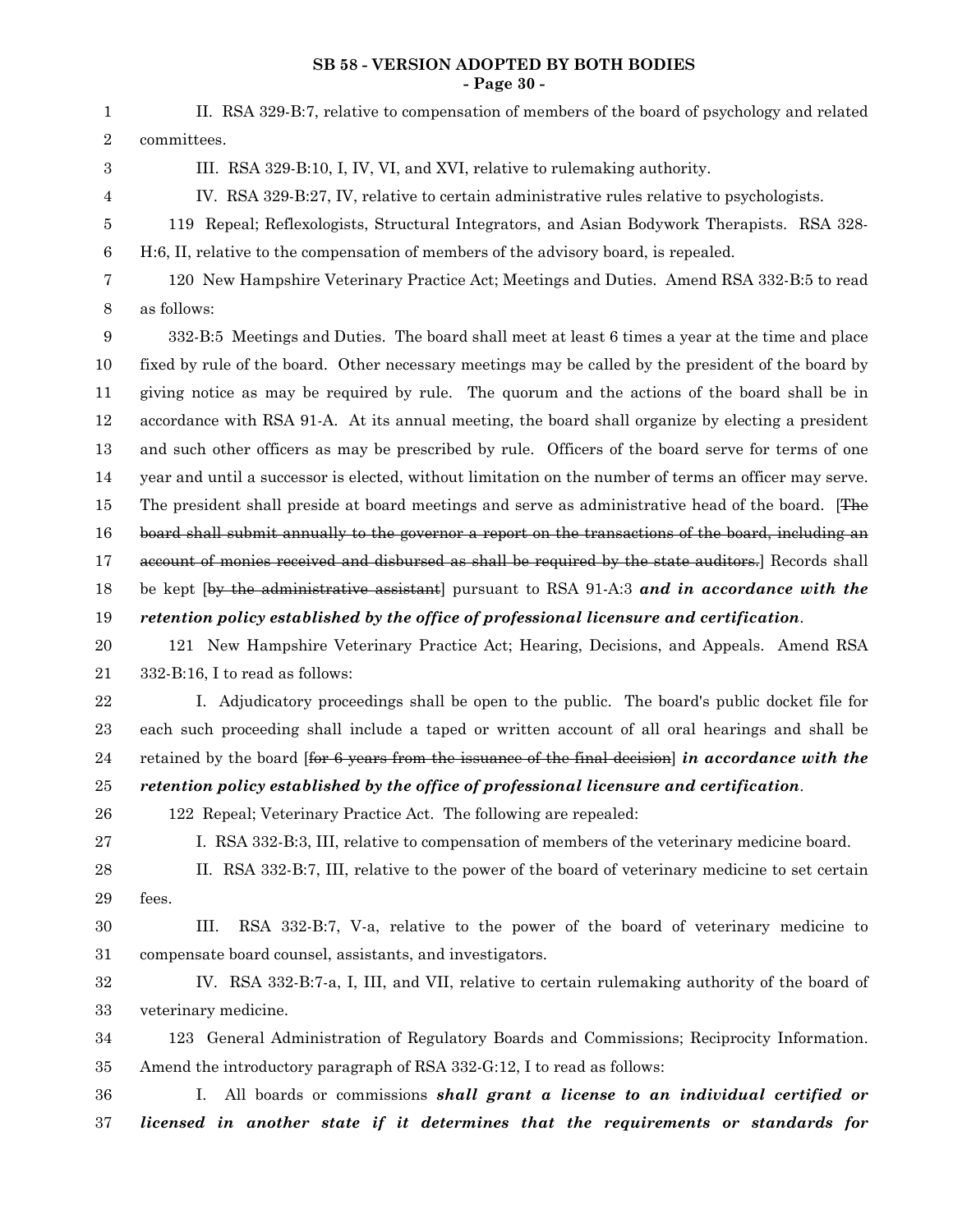#### **SB 58 - VERSION ADOPTED BY BOTH BODIES - Page 30 -**

| 1                | II. RSA 329-B:7, relative to compensation of members of the board of psychology and related            |
|------------------|--------------------------------------------------------------------------------------------------------|
| 2                | committees.                                                                                            |
| 3                | III. RSA 329-B:10, I, IV, VI, and XVI, relative to rulemaking authority.                               |
| 4                | IV. RSA 329-B:27, IV, relative to certain administrative rules relative to psychologists.              |
| 5                | 119 Repeal; Reflexologists, Structural Integrators, and Asian Bodywork Therapists. RSA 328-            |
| 6                | H:6, II, relative to the compensation of members of the advisory board, is repealed.                   |
| $\overline{7}$   | 120 New Hampshire Veterinary Practice Act; Meetings and Duties. Amend RSA 332-B:5 to read              |
| $8\phantom{1}$   | as follows:                                                                                            |
| $\boldsymbol{9}$ | 332-B:5 Meetings and Duties. The board shall meet at least 6 times a year at the time and place        |
| 10               | fixed by rule of the board. Other necessary meetings may be called by the president of the board by    |
| 11               | giving notice as may be required by rule. The quorum and the actions of the board shall be in          |
| 12               | accordance with RSA 91-A. At its annual meeting, the board shall organize by electing a president      |
| 13               | and such other officers as may be prescribed by rule. Officers of the board serve for terms of one     |
| 14               | year and until a successor is elected, without limitation on the number of terms an officer may serve. |
| 15               | The president shall preside at board meetings and serve as administrative head of the board. [The      |
| 16               | board shall submit annually to the governor a report on the transactions of the board, including an    |
| 17               | account of monies received and disbursed as shall be required by the state auditors.] Records shall    |
| 18               | be kept (by the administrative assistant) pursuant to RSA 91-A:3 and in accordance with the            |
| 19               | retention policy established by the office of professional licensure and certification.                |
| 20               | 121 New Hampshire Veterinary Practice Act; Hearing, Decisions, and Appeals. Amend RSA                  |
| 21               | 332-B:16, I to read as follows:                                                                        |
| 22               | I. Adjudicatory proceedings shall be open to the public. The board's public docket file for            |
| 23               | each such proceeding shall include a taped or written account of all oral hearings and shall be        |
| 24               | retained by the board for 6 years from the issuance of the final decision in accordance with the       |
| 25               | retention policy established by the office of professional licensure and certification.                |
| 26               | 122 Repeal; Veterinary Practice Act. The following are repealed:                                       |
| 27               | I. RSA 332-B:3, III, relative to compensation of members of the veterinary medicine board.             |
| 28               | II. RSA 332-B:7, III, relative to the power of the board of veterinary medicine to set certain         |
| 29               | fees.                                                                                                  |
| 30               | RSA 332-B:7, V-a, relative to the power of the board of veterinary medicine to<br>III.                 |
| 31               | compensate board counsel, assistants, and investigators.                                               |
| 32               | IV. RSA 332-B:7-a, I, III, and VII, relative to certain rulemaking authority of the board of           |
| 33               | veterinary medicine.                                                                                   |
| 34               | 123 General Administration of Regulatory Boards and Commissions; Reciprocity Information.              |
| 35               | Amend the introductory paragraph of RSA 332-G:12, I to read as follows:                                |
| 36               | All boards or commissions shall grant a license to an individual certified or<br>T.                    |
| 37               | licensed in another state if it determines that the requirements or standards for                      |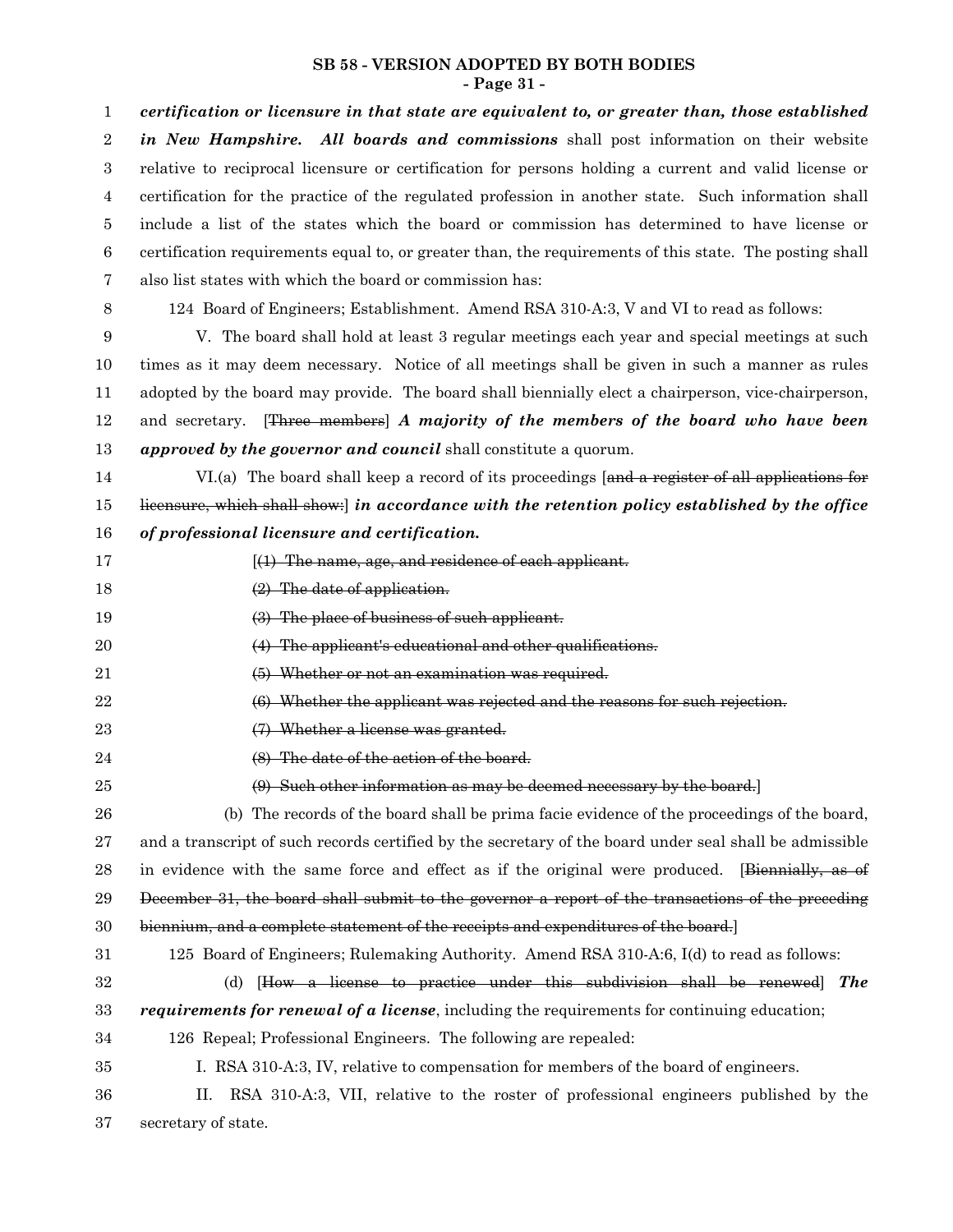#### **SB 58 - VERSION ADOPTED BY BOTH BODIES - Page 31 -**

| $\mathbf{1}$     | certification or licensure in that state are equivalent to, or greater than, those established          |
|------------------|---------------------------------------------------------------------------------------------------------|
| $\overline{2}$   | in New Hampshire. All boards and commissions shall post information on their website                    |
| 3                | relative to reciprocal licensure or certification for persons holding a current and valid license or    |
| 4                | certification for the practice of the regulated profession in another state. Such information shall     |
| 5                | include a list of the states which the board or commission has determined to have license or            |
| $\boldsymbol{6}$ | certification requirements equal to, or greater than, the requirements of this state. The posting shall |
| 7                | also list states with which the board or commission has:                                                |
| 8                | 124 Board of Engineers; Establishment. Amend RSA 310-A:3, V and VI to read as follows:                  |
| 9                | V. The board shall hold at least 3 regular meetings each year and special meetings at such              |
| 10               | times as it may deem necessary. Notice of all meetings shall be given in such a manner as rules         |
| 11               | adopted by the board may provide. The board shall biennially elect a chairperson, vice-chairperson,     |
| 12               | and secretary. [Three members] A majority of the members of the board who have been                     |
| 13               | approved by the governor and council shall constitute a quorum.                                         |
| 14               | VI.(a) The board shall keep a record of its proceedings [and a register of all applications for         |
| 15               | licensure, which shall show: in accordance with the retention policy established by the office          |
| 16               | of professional licensure and certification.                                                            |
| 17               | $(1)$ The name, age, and residence of each applicant.                                                   |
| 18               | $(2)$ The date of application.                                                                          |
| 19               | (3) The place of business of such applicant.                                                            |
| 20               | (4) The applicant's educational and other qualifications.                                               |
| 21               | (5) Whether or not an examination was required.                                                         |
| $\bf 22$         | (6) Whether the applicant was rejected and the reasons for such rejection.                              |
| 23               | (7) Whether a license was granted.                                                                      |
| 24               | (8) The date of the action of the board.                                                                |
| 25               | (9) Such other information as may be deemed necessary by the board.                                     |
| 26               | (b) The records of the board shall be prima facie evidence of the proceedings of the board,             |
| $\sqrt{27}$      | and a transcript of such records certified by the secretary of the board under seal shall be admissible |
| 28               | in evidence with the same force and effect as if the original were produced. [Biennially, as of         |
| 29               | December 31, the board shall submit to the governor a report of the transactions of the preceding       |
| 30               | biennium, and a complete statement of the receipts and expenditures of the board.]                      |
| 31               | 125 Board of Engineers; Rulemaking Authority. Amend RSA 310-A:6, I(d) to read as follows:               |
| $32\,$           | [How a license to practice under this subdivision shall be renewed] The<br>(d)                          |
| 33               | <i>requirements for renewal of a license</i> , including the requirements for continuing education;     |
| 34               | 126 Repeal; Professional Engineers. The following are repealed:                                         |
| 35               | I. RSA 310-A:3, IV, relative to compensation for members of the board of engineers.                     |
| 36               | RSA 310-A:3, VII, relative to the roster of professional engineers published by the<br>П.               |
| 37               | secretary of state.                                                                                     |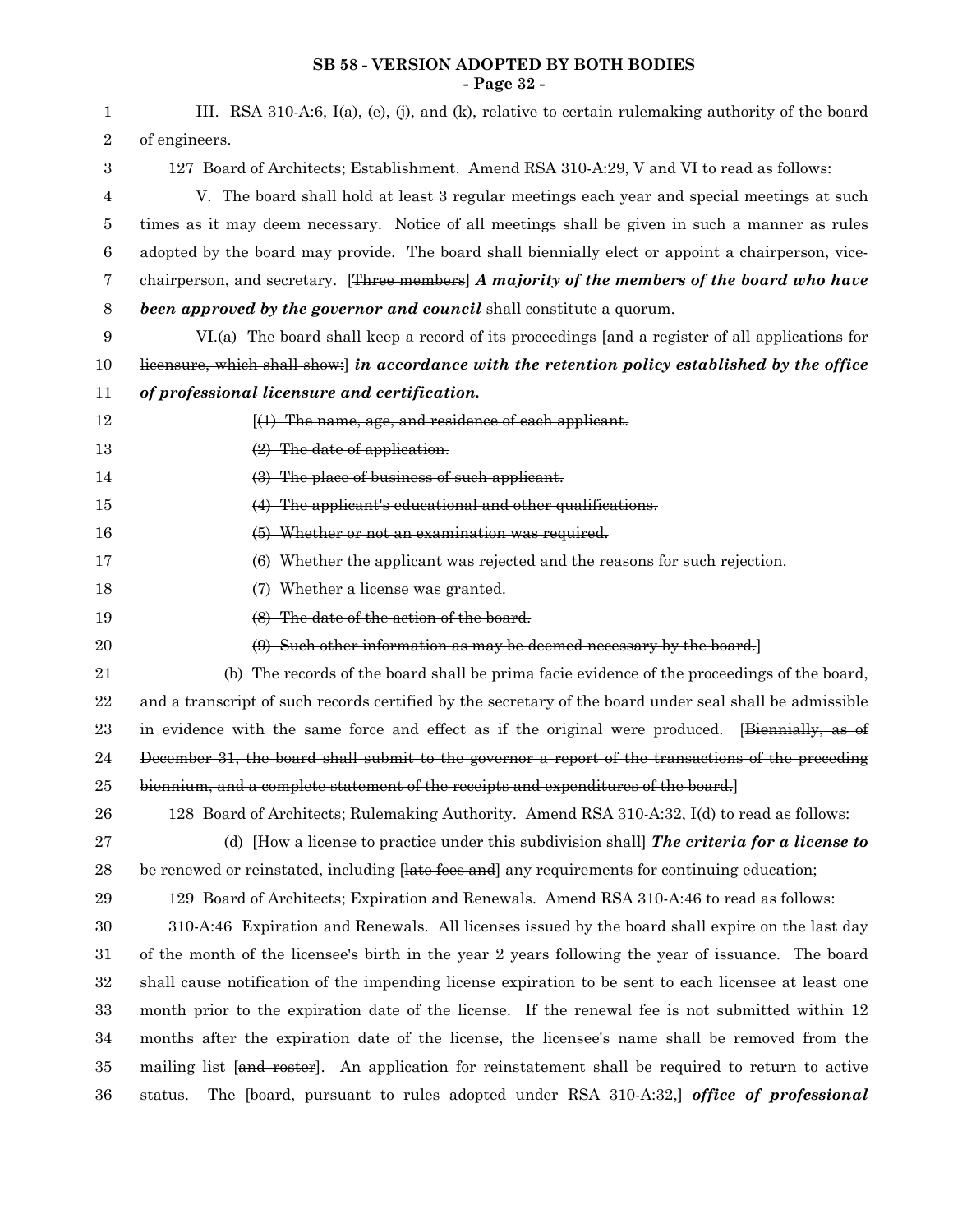#### **SB 58 - VERSION ADOPTED BY BOTH BODIES - Page 32 -**

| 1              | III. RSA 310-A:6, I(a), (e), (j), and (k), relative to certain rulemaking authority of the board        |
|----------------|---------------------------------------------------------------------------------------------------------|
| $\overline{2}$ | of engineers.                                                                                           |
| 3              | 127 Board of Architects; Establishment. Amend RSA 310-A:29, V and VI to read as follows:                |
| 4              | V. The board shall hold at least 3 regular meetings each year and special meetings at such              |
| 5              | times as it may deem necessary. Notice of all meetings shall be given in such a manner as rules         |
| $\,6$          | adopted by the board may provide. The board shall biennially elect or appoint a chairperson, vice-      |
| 7              | chairperson, and secretary. [Three members] A majority of the members of the board who have             |
| 8              | been approved by the governor and council shall constitute a quorum.                                    |
| 9              | VI.(a) The board shall keep a record of its proceedings [and a register of all applications for         |
| 10             | licensure, which shall show: in accordance with the retention policy established by the office          |
| 11             | of professional licensure and certification.                                                            |
| 12             | $(1)$ The name, age, and residence of each applicant.                                                   |
| 13             | $(2)$ The date of application.                                                                          |
| 14             | (3) The place of business of such applicant.                                                            |
| $15\,$         | (4) The applicant's educational and other qualifications.                                               |
| 16             | (5) Whether or not an examination was required.                                                         |
| 17             | (6) Whether the applicant was rejected and the reasons for such rejection.                              |
| 18             | (7) Whether a license was granted.                                                                      |
| 19             | (8) The date of the action of the board.                                                                |
| 20             | (9) Such other information as may be deemed necessary by the board.                                     |
| 21             | (b) The records of the board shall be prima facie evidence of the proceedings of the board,             |
| 22             | and a transcript of such records certified by the secretary of the board under seal shall be admissible |
| 23             | in evidence with the same force and effect as if the original were produced. [Biennially, as of         |
| 24             | December 31, the board shall submit to the governor a report of the transactions of the preceding       |
| 25             | biennium, and a complete statement of the receipts and expenditures of the board.                       |
| 26             | 128 Board of Architects; Rulemaking Authority. Amend RSA 310-A:32, I(d) to read as follows:             |
| 27             | (d) [How a license to practice under this subdivision shall] The criteria for a license to              |
| 28             | be renewed or reinstated, including [late fees and] any requirements for continuing education;          |
| 29             | 129 Board of Architects; Expiration and Renewals. Amend RSA 310-A:46 to read as follows:                |
| 30             | 310-A:46 Expiration and Renewals. All licenses issued by the board shall expire on the last day         |
| $31\,$         | of the month of the licensee's birth in the year 2 years following the year of issuance. The board      |
| $32\,$         | shall cause notification of the impending license expiration to be sent to each licensee at least one   |
| 33             | month prior to the expiration date of the license. If the renewal fee is not submitted within 12        |
| 34             | months after the expiration date of the license, the licensee's name shall be removed from the          |
| $35\,$         | mailing list [and roster]. An application for reinstatement shall be required to return to active       |
| 36             | The [board, pursuant to rules adopted under RSA 310-A:32,] office of professional<br>status.            |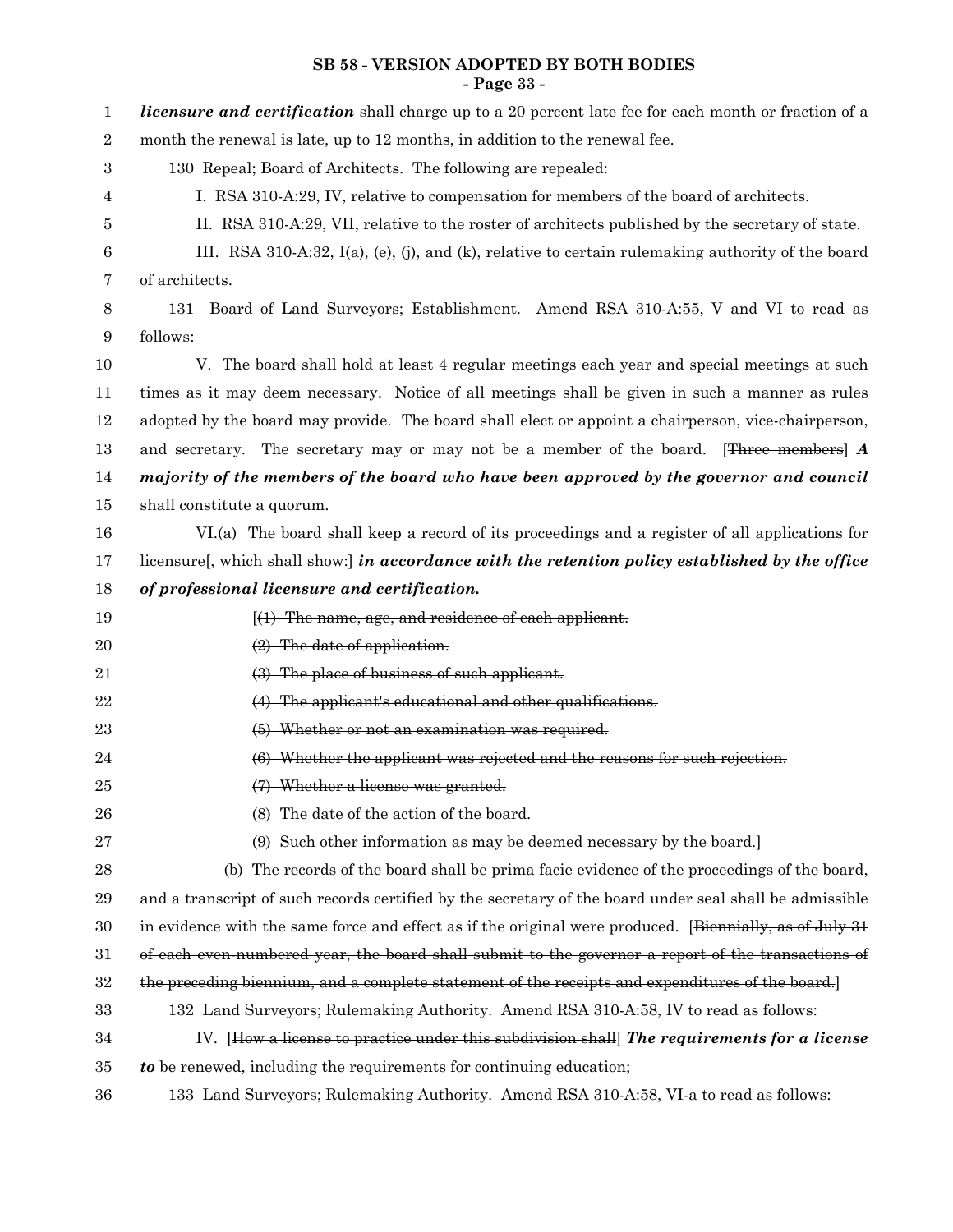## **SB 58 - VERSION ADOPTED BY BOTH BODIES - Page 33 -**

| 1     | <i>licensure and certification</i> shall charge up to a 20 percent late fee for each month or fraction of a   |
|-------|---------------------------------------------------------------------------------------------------------------|
| $\,2$ | month the renewal is late, up to 12 months, in addition to the renewal fee.                                   |
| 3     | 130 Repeal; Board of Architects. The following are repealed:                                                  |
| 4     | I. RSA 310-A:29, IV, relative to compensation for members of the board of architects.                         |
| 5     | II. RSA 310-A:29, VII, relative to the roster of architects published by the secretary of state.              |
| 6     | III. RSA 310-A:32, $I(a)$ , $(e)$ , $(j)$ , and $(k)$ , relative to certain rulemaking authority of the board |
| 7     | of architects.                                                                                                |
| 8     | Board of Land Surveyors; Establishment. Amend RSA 310-A:55, V and VI to read as<br>131                        |
| 9     | follows:                                                                                                      |
| 10    | V. The board shall hold at least 4 regular meetings each year and special meetings at such                    |
| 11    | times as it may deem necessary. Notice of all meetings shall be given in such a manner as rules               |
| 12    | adopted by the board may provide. The board shall elect or appoint a chairperson, vice-chairperson,           |
| 13    | and secretary. The secretary may or may not be a member of the board. [Three members] $\boldsymbol{A}$        |
| 14    | majority of the members of the board who have been approved by the governor and council                       |
| 15    | shall constitute a quorum.                                                                                    |
| 16    | VI.(a) The board shall keep a record of its proceedings and a register of all applications for                |
| 17    | licensure $\frac{1}{2}$ , which shall show. In accordance with the retention policy established by the office |
| 18    | of professional licensure and certification.                                                                  |
| 19    | $(1)$ The name, age, and residence of each applicant.                                                         |
| 20    | $(2)$ The date of application.                                                                                |
|       |                                                                                                               |
| 21    | (3) The place of business of such applicant.                                                                  |
| 22    | (4) The applicant's educational and other qualifications.                                                     |
| 23    | (5) Whether or not an examination was required.                                                               |
| 24    | (6) Whether the applicant was rejected and the reasons for such rejection.                                    |
| 25    | (7) Whether a license was granted.                                                                            |
| 26    | (8) The date of the action of the board.                                                                      |
| 27    | (9) Such other information as may be deemed necessary by the board.                                           |
| 28    | (b) The records of the board shall be prima facie evidence of the proceedings of the board,                   |
| 29    | and a transcript of such records certified by the secretary of the board under seal shall be admissible       |
| 30    | in evidence with the same force and effect as if the original were produced. [Biennially, as of July 31]      |
| 31    | of each even numbered year, the board shall submit to the governor a report of the transactions of            |
| 32    | the preceding biennium, and a complete statement of the receipts and expenditures of the board.               |
| 33    | 132 Land Surveyors; Rulemaking Authority. Amend RSA 310-A:58, IV to read as follows:                          |
| 34    | IV. [How a license to practice under this subdivision shall] The requirements for a license                   |
| 35    | to be renewed, including the requirements for continuing education;                                           |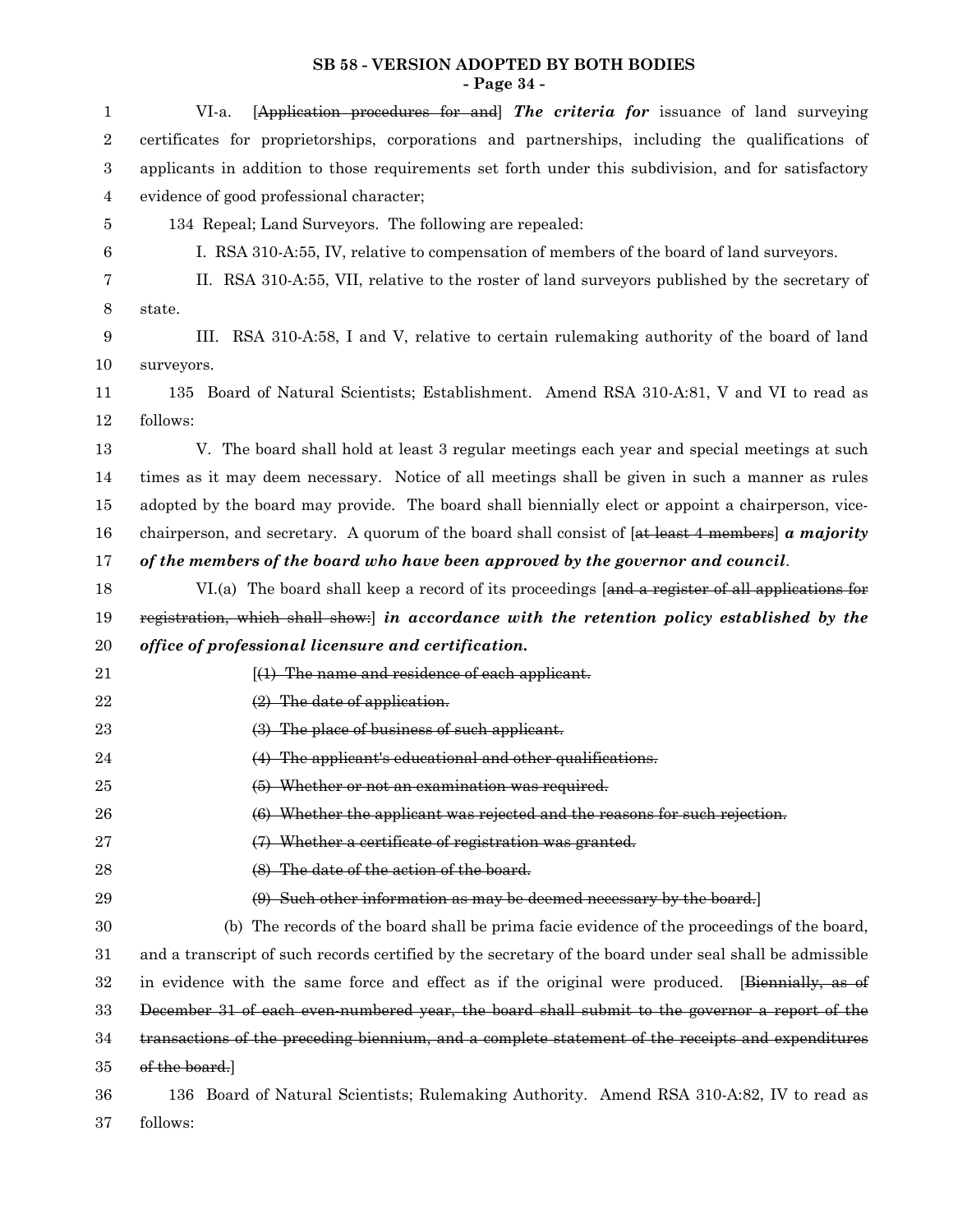#### **SB 58 - VERSION ADOPTED BY BOTH BODIES - Page 34 -**

| 1                | [Application procedures for and] The criteria for issuance of land surveying<br>VI-a.                    |
|------------------|----------------------------------------------------------------------------------------------------------|
| $\,2$            | certificates for proprietorships, corporations and partnerships, including the qualifications of         |
| $\,3$            | applicants in addition to those requirements set forth under this subdivision, and for satisfactory      |
| $\overline{4}$   | evidence of good professional character;                                                                 |
| 5                | 134 Repeal; Land Surveyors. The following are repealed:                                                  |
| 6                | I. RSA 310-A:55, IV, relative to compensation of members of the board of land surveyors.                 |
| 7                | II. RSA 310-A:55, VII, relative to the roster of land surveyors published by the secretary of            |
| 8                | state.                                                                                                   |
| $\boldsymbol{9}$ | III. RSA 310-A:58, I and V, relative to certain rulemaking authority of the board of land                |
| 10               | surveyors.                                                                                               |
| 11               | Board of Natural Scientists; Establishment. Amend RSA 310-A:81, V and VI to read as<br>135               |
| 12               | follows:                                                                                                 |
| 13               | V. The board shall hold at least 3 regular meetings each year and special meetings at such               |
| 14               | times as it may deem necessary. Notice of all meetings shall be given in such a manner as rules          |
| 15               | adopted by the board may provide. The board shall biennially elect or appoint a chairperson, vice-       |
| 16               | chairperson, and secretary. A quorum of the board shall consist of $[$ at least 4 members $]$ a majority |
| 17               | of the members of the board who have been approved by the governor and council.                          |
| 18               | VI.(a) The board shall keep a record of its proceedings [and a register of all applications for          |
| 19               | registration, which shall show: [in accordance with the retention policy established by the              |
| $20\,$           | office of professional licensure and certification.                                                      |
| 21               | $(1)$ The name and residence of each applicant.                                                          |
| $22\,$           | $(2)$ The date of application.                                                                           |
| 23               | (3) The place of business of such applicant.                                                             |
| 24               | (4) The applicant's educational and other qualifications.                                                |
| $25\,$           | (5) Whether or not an examination was required.                                                          |
| 26               | (6) Whether the applicant was rejected and the reasons for such rejection.                               |
| 27               | (7) Whether a certificate of registration was granted.                                                   |
| 28               | (8) The date of the action of the board.                                                                 |
| 29               | (9) Such other information as may be deemed necessary by the board.                                      |
| 30               | (b) The records of the board shall be prima facie evidence of the proceedings of the board,              |
| 31               | and a transcript of such records certified by the secretary of the board under seal shall be admissible  |
| 32               | in evidence with the same force and effect as if the original were produced. [Biennially, as of          |
| 33               | December 31 of each even-numbered year, the board shall submit to the governor a report of the           |
| 34               | transactions of the preceding biennium, and a complete statement of the receipts and expenditures        |
| 35               | of the board.]                                                                                           |
| 36               | 136 Board of Natural Scientists; Rulemaking Authority. Amend RSA 310-A:82, IV to read as                 |
| 37               | follows:                                                                                                 |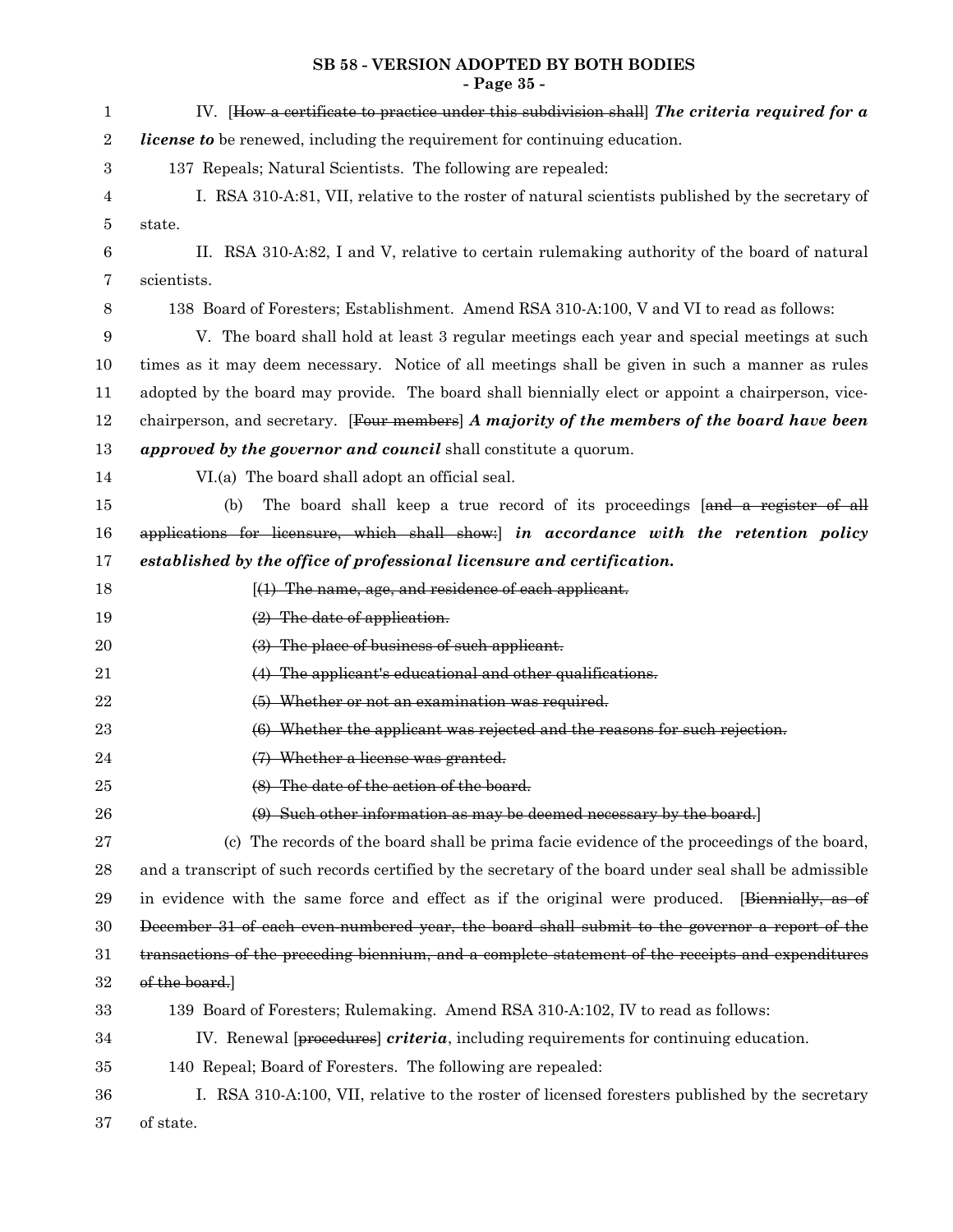#### **SB 58 - VERSION ADOPTED BY BOTH BODIES - Page 35 -**

| 1           | IV. [How a certificate to practice under this subdivision shall] The criteria required for $a$          |
|-------------|---------------------------------------------------------------------------------------------------------|
| $\sqrt{2}$  | license to be renewed, including the requirement for continuing education.                              |
| 3           | 137 Repeals; Natural Scientists. The following are repealed:                                            |
| 4           | I. RSA 310-A:81, VII, relative to the roster of natural scientists published by the secretary of        |
| 5           | state.                                                                                                  |
| $\,6$       | II. RSA 310-A:82, I and V, relative to certain rulemaking authority of the board of natural             |
| 7           | scientists.                                                                                             |
| 8           | 138 Board of Foresters; Establishment. Amend RSA 310-A:100, V and VI to read as follows:                |
| 9           | V. The board shall hold at least 3 regular meetings each year and special meetings at such              |
| 10          | times as it may deem necessary. Notice of all meetings shall be given in such a manner as rules         |
| 11          | adopted by the board may provide. The board shall biennially elect or appoint a chairperson, vice-      |
| 12          | chairperson, and secretary. [Four members] A majority of the members of the board have been             |
| 13          | approved by the governor and council shall constitute a quorum.                                         |
| 14          | VI.(a) The board shall adopt an official seal.                                                          |
| 15          | The board shall keep a true record of its proceedings [and a register of all<br>(b)                     |
| 16          | applications for licensure, which shall show: in accordance with the retention policy                   |
| 17          | established by the office of professional licensure and certification.                                  |
| 18          | $(1)$ The name, age, and residence of each applicant.                                                   |
| 19          | $(2)$ The date of application.                                                                          |
| 20          | (3) The place of business of such applicant.                                                            |
| 21          | (4) The applicant's educational and other qualifications.                                               |
| $\bf 22$    | (5) Whether or not an examination was required.                                                         |
| 23          | (6) Whether the applicant was rejected and the reasons for such rejection.                              |
| 24          | (7) Whether a license was granted.                                                                      |
| $25\,$      | (8) The date of the action of the board.                                                                |
| 26          | (9) Such other information as may be deemed necessary by the board.                                     |
| $\sqrt{27}$ | (c) The records of the board shall be prima facie evidence of the proceedings of the board,             |
| 28          | and a transcript of such records certified by the secretary of the board under seal shall be admissible |
| 29          | in evidence with the same force and effect as if the original were produced. [Biennially, as of         |
| 30          | December 31 of each even-numbered year, the board shall submit to the governor a report of the          |
| 31          | transactions of the preceding biennium, and a complete statement of the receipts and expenditures       |
| 32          | of the board.]                                                                                          |
| 33          | 139 Board of Foresters; Rulemaking. Amend RSA 310-A:102, IV to read as follows:                         |
| 34          | IV. Renewal [procedures] criteria, including requirements for continuing education.                     |
| 35          | 140 Repeal; Board of Foresters. The following are repealed:                                             |
| 36          | I. RSA 310-A:100, VII, relative to the roster of licensed foresters published by the secretary          |
| 37          | of state.                                                                                               |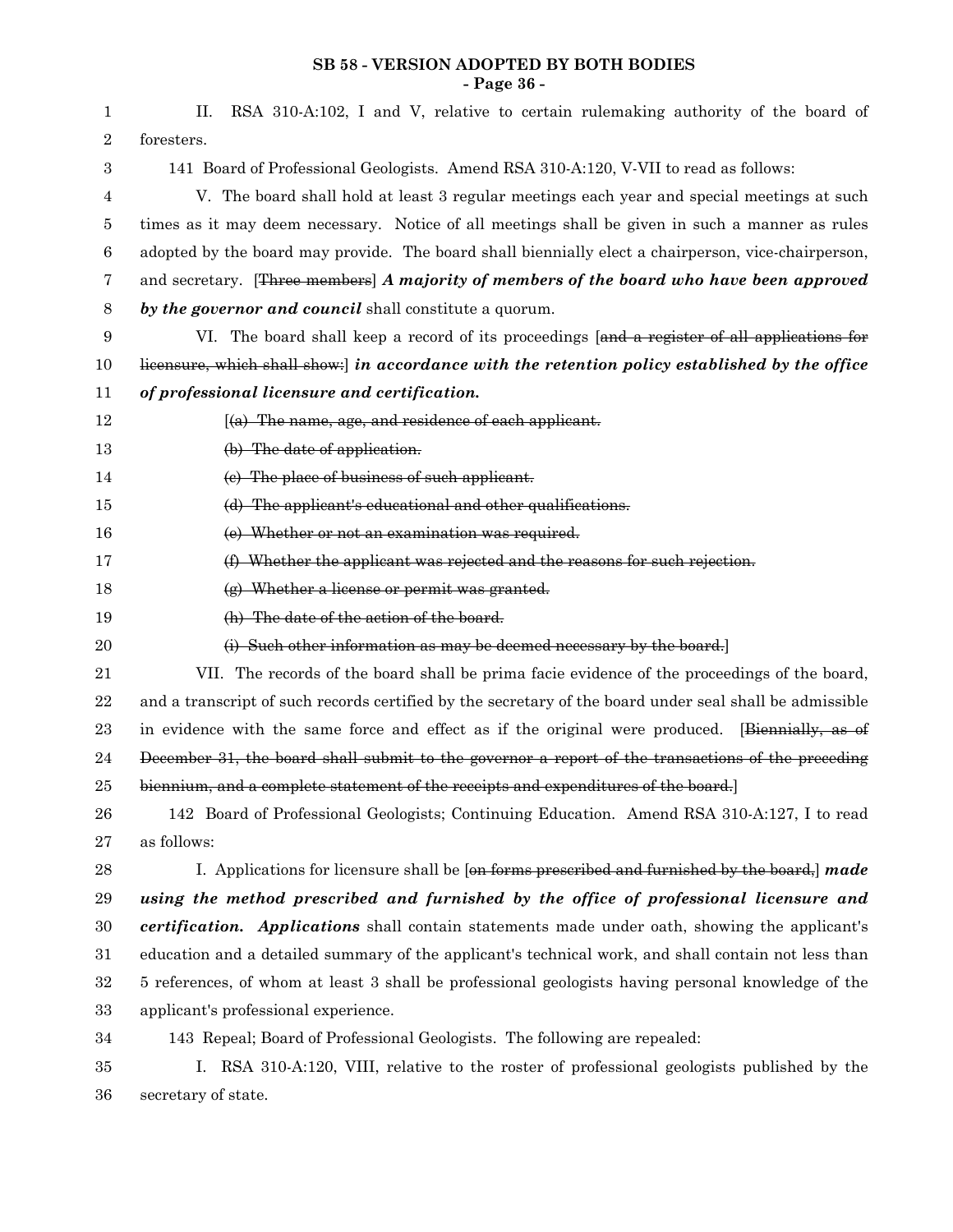#### **SB 58 - VERSION ADOPTED BY BOTH BODIES - Page 36 -**

| 1                | RSA 310-A:102, I and V, relative to certain rulemaking authority of the board of<br>П.                  |
|------------------|---------------------------------------------------------------------------------------------------------|
| $\,2$            | foresters.                                                                                              |
| $\boldsymbol{3}$ | 141 Board of Professional Geologists. Amend RSA 310-A:120, V-VII to read as follows:                    |
| 4                | V. The board shall hold at least 3 regular meetings each year and special meetings at such              |
| 5                | times as it may deem necessary. Notice of all meetings shall be given in such a manner as rules         |
| $\,6$            | adopted by the board may provide. The board shall biennially elect a chairperson, vice-chairperson,     |
| 7                | and secretary. [Three members] A majority of members of the board who have been approved                |
| 8                | by the governor and council shall constitute a quorum.                                                  |
| $\boldsymbol{9}$ | VI. The board shall keep a record of its proceedings [and a register of all applications for            |
| 10               | licensure, which shall show: in accordance with the retention policy established by the office          |
| 11               | of professional licensure and certification.                                                            |
| 12               | $(a)$ The name, age, and residence of each applicant.                                                   |
| 13               | (b) The date of application.                                                                            |
| 14               | (e) The place of business of such applicant.                                                            |
| 15               | (d) The applicant's educational and other qualifications.                                               |
| 16               | (e) Whether or not an examination was required.                                                         |
| 17               | (f) Whether the applicant was rejected and the reasons for such rejection.                              |
| 18               | (g) Whether a license or permit was granted.                                                            |
| 19               | (h) The date of the action of the board.                                                                |
| $20\,$           | (i) Such other information as may be deemed necessary by the board.                                     |
| 21               | VII. The records of the board shall be prima facie evidence of the proceedings of the board,            |
| $\bf{22}$        | and a transcript of such records certified by the secretary of the board under seal shall be admissible |
| 23               | in evidence with the same force and effect as if the original were produced. [Biennially, as of         |
| 24               | December 31, the board shall submit to the governor a report of the transactions of the preceding       |
| $25\,$           | biennium, and a complete statement of the receipts and expenditures of the board.                       |
| 26               | 142 Board of Professional Geologists; Continuing Education. Amend RSA 310-A:127, I to read              |
| 27               | as follows:                                                                                             |
| $\bf 28$         | I. Applications for licensure shall be [on forms prescribed and furnished by the board,] made           |
| 29               | using the method prescribed and furnished by the office of professional licensure and                   |
| $30\,$           | certification. Applications shall contain statements made under oath, showing the applicant's           |
| 31               | education and a detailed summary of the applicant's technical work, and shall contain not less than     |
| $32\,$           | 5 references, of whom at least 3 shall be professional geologists having personal knowledge of the      |
| 33               | applicant's professional experience.                                                                    |
| 34               | 143 Repeal; Board of Professional Geologists. The following are repealed:                               |
| 35               | I. RSA 310-A:120, VIII, relative to the roster of professional geologists published by the              |
| 36               | secretary of state.                                                                                     |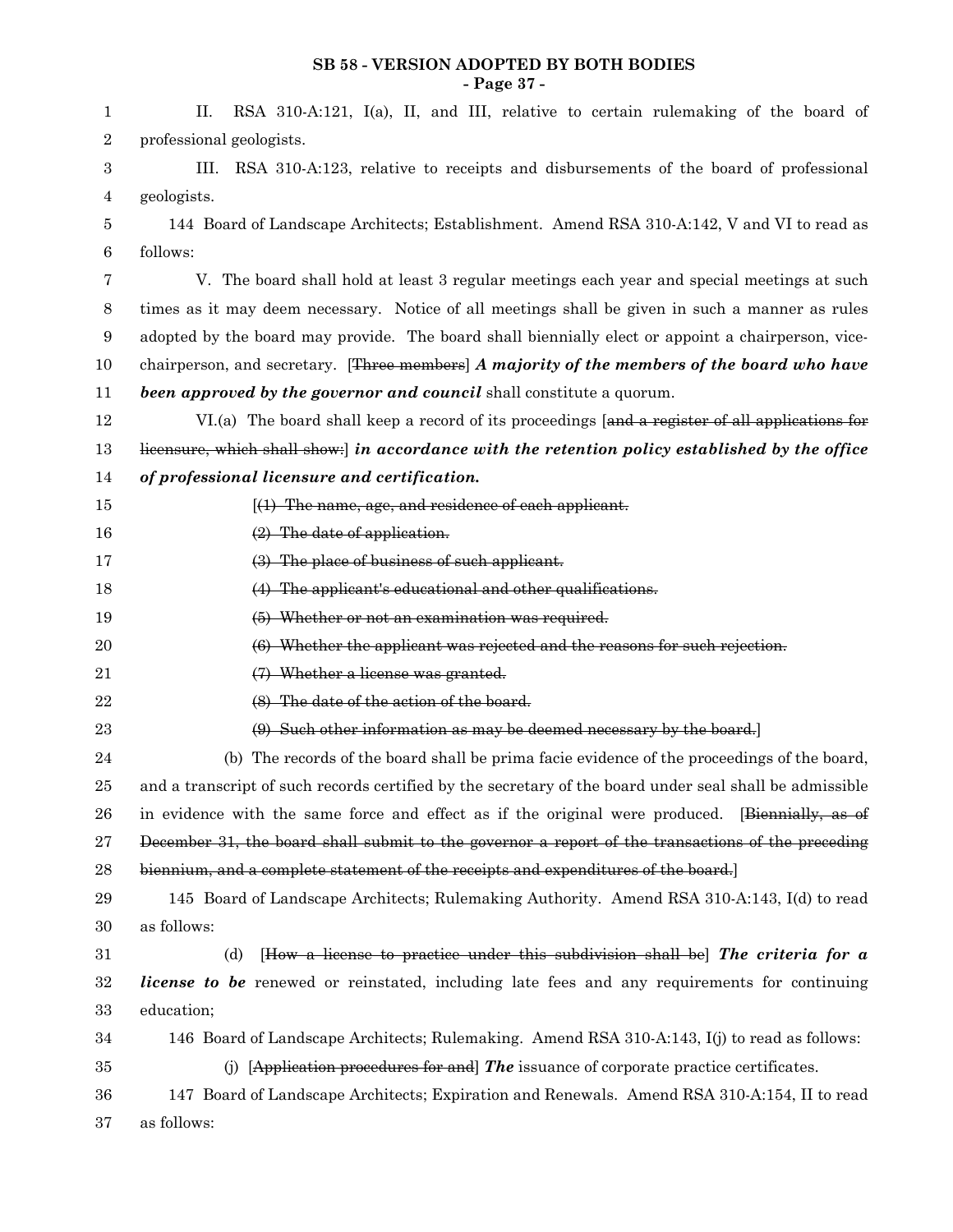#### **SB 58 - VERSION ADOPTED BY BOTH BODIES - Page 37 -**

| 1                | RSA 310-A:121, I(a), II, and III, relative to certain rulemaking of the board of<br>П.                  |
|------------------|---------------------------------------------------------------------------------------------------------|
| $\boldsymbol{2}$ | professional geologists.                                                                                |
| 3                | RSA 310-A:123, relative to receipts and disbursements of the board of professional<br>HL.               |
| 4                | geologists.                                                                                             |
| 5                | 144 Board of Landscape Architects; Establishment. Amend RSA 310-A:142, V and VI to read as              |
| 6                | follows:                                                                                                |
| 7                | V. The board shall hold at least 3 regular meetings each year and special meetings at such              |
| 8                | times as it may deem necessary. Notice of all meetings shall be given in such a manner as rules         |
| 9                | adopted by the board may provide. The board shall biennially elect or appoint a chairperson, vice-      |
| 10               | chairperson, and secretary. [Three members] A majority of the members of the board who have             |
| 11               | been approved by the governor and council shall constitute a quorum.                                    |
| 12               | VI.(a) The board shall keep a record of its proceedings [and a register of all applications for         |
| 13               | licensure, which shall show: in accordance with the retention policy established by the office          |
| 14               | of professional licensure and certification.                                                            |
| 15               | $(1)$ The name, age, and residence of each applicant.                                                   |
| 16               | $(2)$ The date of application.                                                                          |
| 17               | (3) The place of business of such applicant.                                                            |
| 18               | (4) The applicant's educational and other qualifications.                                               |
| 19               | (5) Whether or not an examination was required.                                                         |
| $20\,$           | (6) Whether the applicant was rejected and the reasons for such rejection.                              |
| 21               | (7) Whether a license was granted.                                                                      |
| 22               | (8) The date of the action of the board.                                                                |
| 23               | (9) Such other information as may be deemed necessary by the board.                                     |
| 24               | (b) The records of the board shall be prima facie evidence of the proceedings of the board,             |
| 25               | and a transcript of such records certified by the secretary of the board under seal shall be admissible |
| 26               | in evidence with the same force and effect as if the original were produced. [Biennially, as of         |
| 27               | December 31, the board shall submit to the governor a report of the transactions of the preceding       |
| 28               | biennium, and a complete statement of the receipts and expenditures of the board.                       |
| 29               | 145 Board of Landscape Architects; Rulemaking Authority. Amend RSA 310-A:143, I(d) to read              |
| 30               | as follows:                                                                                             |
| 31               | $[How a license to practice under this subdivision shall be] The criteria for a$<br>(d)                 |
| 32               | <i>license to be</i> renewed or reinstated, including late fees and any requirements for continuing     |
| 33               | education;                                                                                              |
| 34               | 146 Board of Landscape Architects; Rulemaking. Amend RSA 310-A:143, I(j) to read as follows:            |
| 35               | (j) [Application procedures for and] The issuance of corporate practice certificates.                   |
| 36               | 147 Board of Landscape Architects; Expiration and Renewals. Amend RSA 310-A:154, II to read             |
| 37               | as follows:                                                                                             |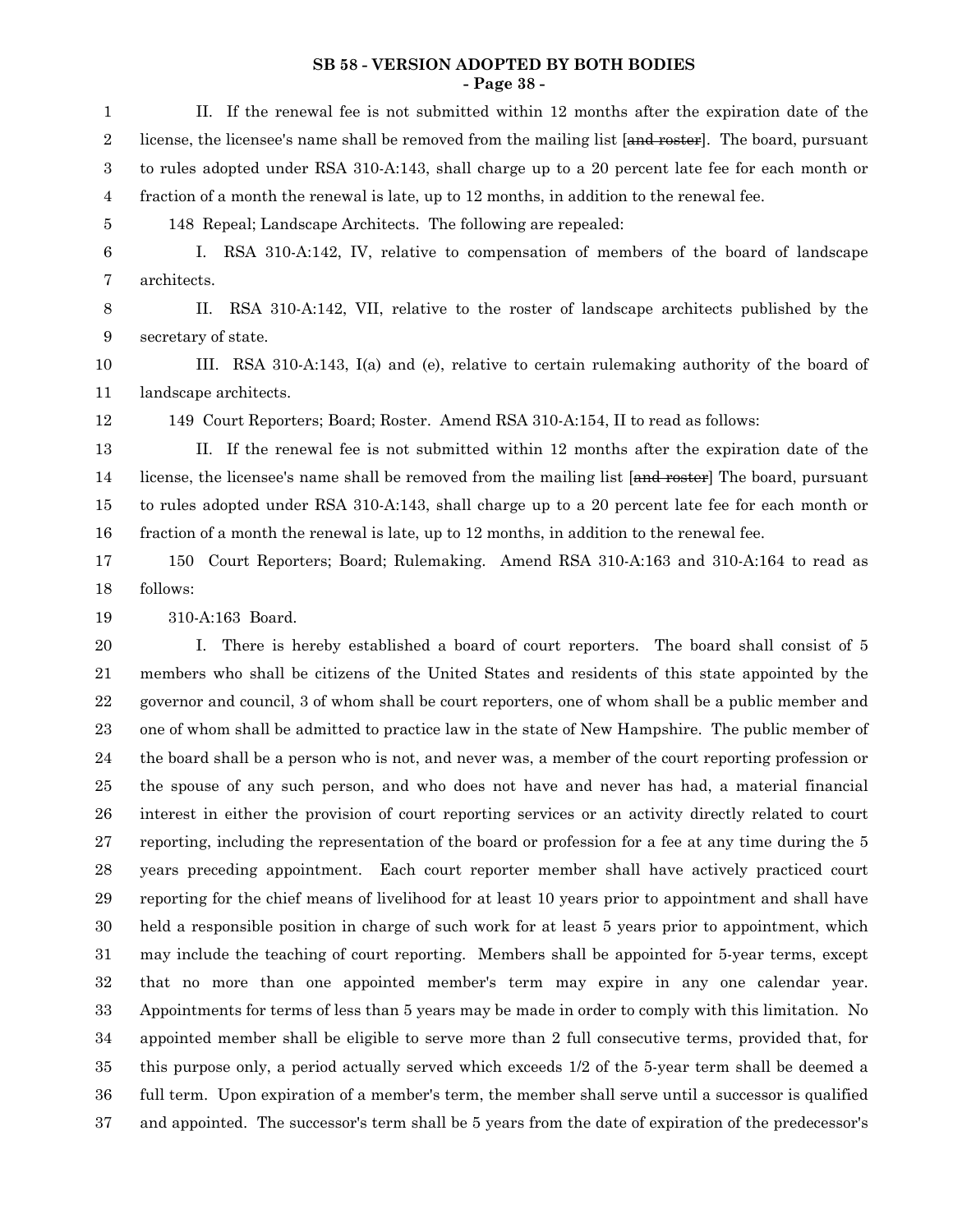#### **SB 58 - VERSION ADOPTED BY BOTH BODIES - Page 38 -**

II. If the renewal fee is not submitted within 12 months after the expiration date of the license, the licensee's name shall be removed from the mailing list [and roster]. The board, pursuant to rules adopted under RSA 310-A:143, shall charge up to a 20 percent late fee for each month or fraction of a month the renewal is late, up to 12 months, in addition to the renewal fee. 148 Repeal; Landscape Architects. The following are repealed: I. RSA 310-A:142, IV, relative to compensation of members of the board of landscape architects. II. RSA 310-A:142, VII, relative to the roster of landscape architects published by the secretary of state. III. RSA 310-A:143, I(a) and (e), relative to certain rulemaking authority of the board of landscape architects. 149 Court Reporters; Board; Roster. Amend RSA 310-A:154, II to read as follows: II. If the renewal fee is not submitted within 12 months after the expiration date of the license, the licensee's name shall be removed from the mailing list [and roster] The board, pursuant to rules adopted under RSA 310-A:143, shall charge up to a 20 percent late fee for each month or fraction of a month the renewal is late, up to 12 months, in addition to the renewal fee. 150 Court Reporters; Board; Rulemaking. Amend RSA 310-A:163 and 310-A:164 to read as follows: 310-A:163 Board. I. There is hereby established a board of court reporters. The board shall consist of 5 members who shall be citizens of the United States and residents of this state appointed by the governor and council, 3 of whom shall be court reporters, one of whom shall be a public member and one of whom shall be admitted to practice law in the state of New Hampshire. The public member of the board shall be a person who is not, and never was, a member of the court reporting profession or the spouse of any such person, and who does not have and never has had, a material financial interest in either the provision of court reporting services or an activity directly related to court reporting, including the representation of the board or profession for a fee at any time during the 5 years preceding appointment. Each court reporter member shall have actively practiced court reporting for the chief means of livelihood for at least 10 years prior to appointment and shall have held a responsible position in charge of such work for at least 5 years prior to appointment, which may include the teaching of court reporting. Members shall be appointed for 5-year terms, except that no more than one appointed member's term may expire in any one calendar year. Appointments for terms of less than 5 years may be made in order to comply with this limitation. No appointed member shall be eligible to serve more than 2 full consecutive terms, provided that, for this purpose only, a period actually served which exceeds 1/2 of the 5-year term shall be deemed a full term. Upon expiration of a member's term, the member shall serve until a successor is qualified and appointed. The successor's term shall be 5 years from the date of expiration of the predecessor's 1 2 3 4 5 6 7 8 9 10 11 12 13 14 15 16 17 18 19 20 21 22 23 24 25 26 27 28 29 30 31 32 33 34 35 36 37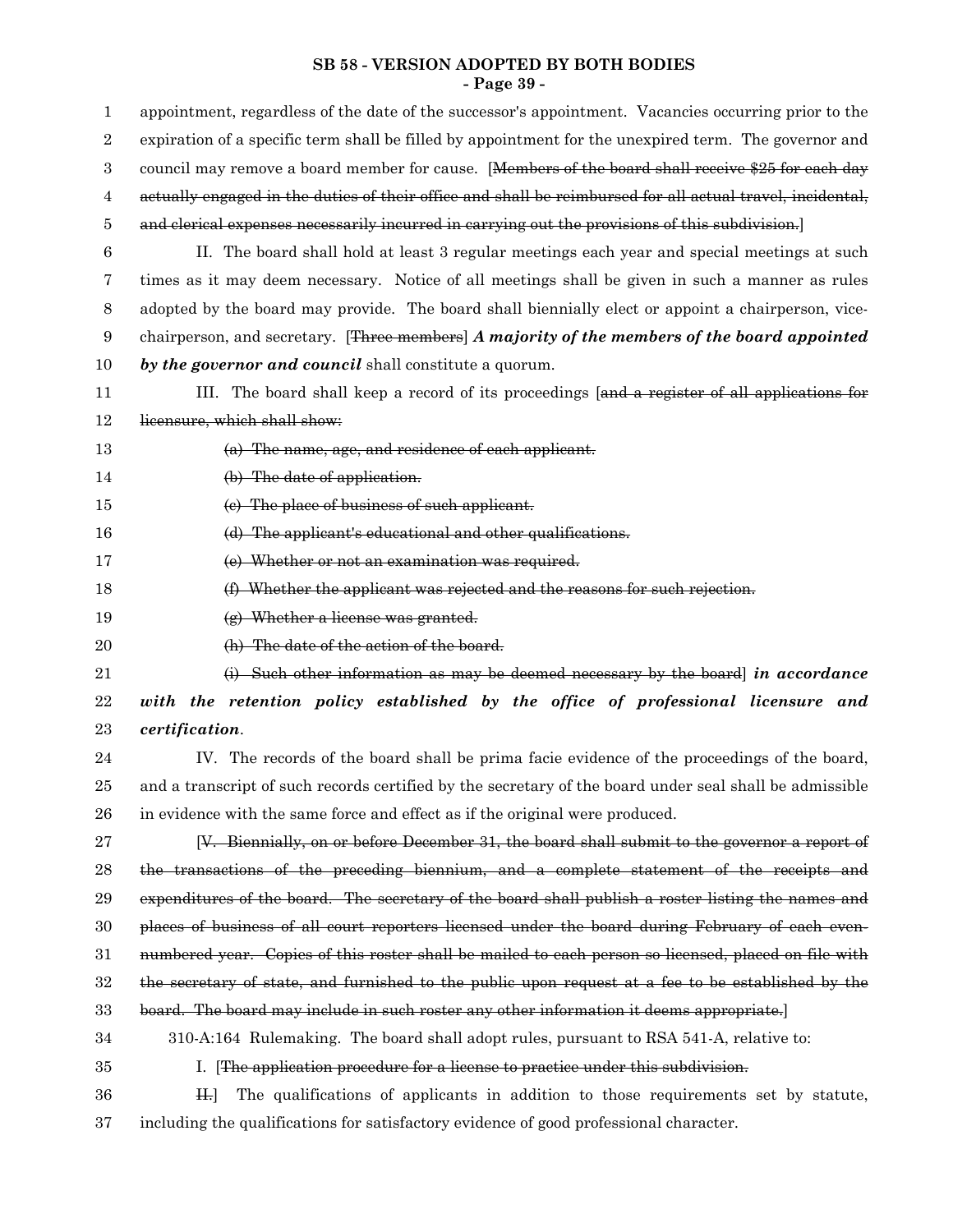#### **SB 58 - VERSION ADOPTED BY BOTH BODIES - Page 39 -**

| $\mathbf{1}$   | appointment, regardless of the date of the successor's appointment. Vacancies occurring prior to the      |
|----------------|-----------------------------------------------------------------------------------------------------------|
| $\overline{2}$ | expiration of a specific term shall be filled by appointment for the unexpired term. The governor and     |
| 3              | council may remove a board member for cause. [Members of the board shall receive \$25 for each day        |
| 4              | actually engaged in the duties of their office and shall be reimbursed for all actual travel, incidental, |
| 5              | and elerical expenses necessarily incurred in carrying out the provisions of this subdivision.            |
| 6              | II. The board shall hold at least 3 regular meetings each year and special meetings at such               |
| 7              | times as it may deem necessary. Notice of all meetings shall be given in such a manner as rules           |
| 8              | adopted by the board may provide. The board shall biennially elect or appoint a chairperson, vice-        |
| 9              | chairperson, and secretary. [Three members] A majority of the members of the board appointed              |
| 10             | by the governor and council shall constitute a quorum.                                                    |
| 11             | III. The board shall keep a record of its proceedings [and a register of all applications for             |
| 12             | licensure, which shall show:                                                                              |
| 13             | (a) The name, age, and residence of each applicant.                                                       |
| 14             | (b) The date of application.                                                                              |
| 15             | (e) The place of business of such applicant.                                                              |
| 16             | (d) The applicant's educational and other qualifications.                                                 |
| 17             | (e) Whether or not an examination was required.                                                           |
| 18             | (f) Whether the applicant was rejected and the reasons for such rejection.                                |
| 19             | (g) Whether a license was granted.                                                                        |
| 20             | (h) The date of the action of the board.                                                                  |
| 21             | $(i)$ Such other information as may be deemed necessary by the board] in accordance                       |
| $22\,$         | with the retention policy established by the office of professional licensure and                         |
| 23             | certification.                                                                                            |
| 24             | IV. The records of the board shall be prima facie evidence of the proceedings of the board,               |
| 25             | and a transcript of such records certified by the secretary of the board under seal shall be admissible   |
| 26             | in evidence with the same force and effect as if the original were produced.                              |
| 27             | [V. Biennially, on or before December 31, the board shall submit to the governor a report of              |
| 28             | the transactions of the preceding biennium, and a complete statement of the receipts and                  |
| 29             | expenditures of the board. The secretary of the board shall publish a roster listing the names and        |
| 30             | places of business of all court reporters licensed under the board during February of each even-          |
| 31             | numbered year. Copies of this roster shall be mailed to each person so licensed, placed on file with      |
| $32\,$         | the secretary of state, and furnished to the public upon request at a fee to be established by the        |
| 33             | board. The board may include in such roster any other information it deems appropriate.                   |
| 34             | 310-A:164 Rulemaking. The board shall adopt rules, pursuant to RSA 541-A, relative to:                    |
| 35             | I. The application procedure for a license to practice under this subdivision.                            |
| 36             | The qualifications of applicants in addition to those requirements set by statute,<br>H <sub>1</sub>      |
| 37             | including the qualifications for satisfactory evidence of good professional character.                    |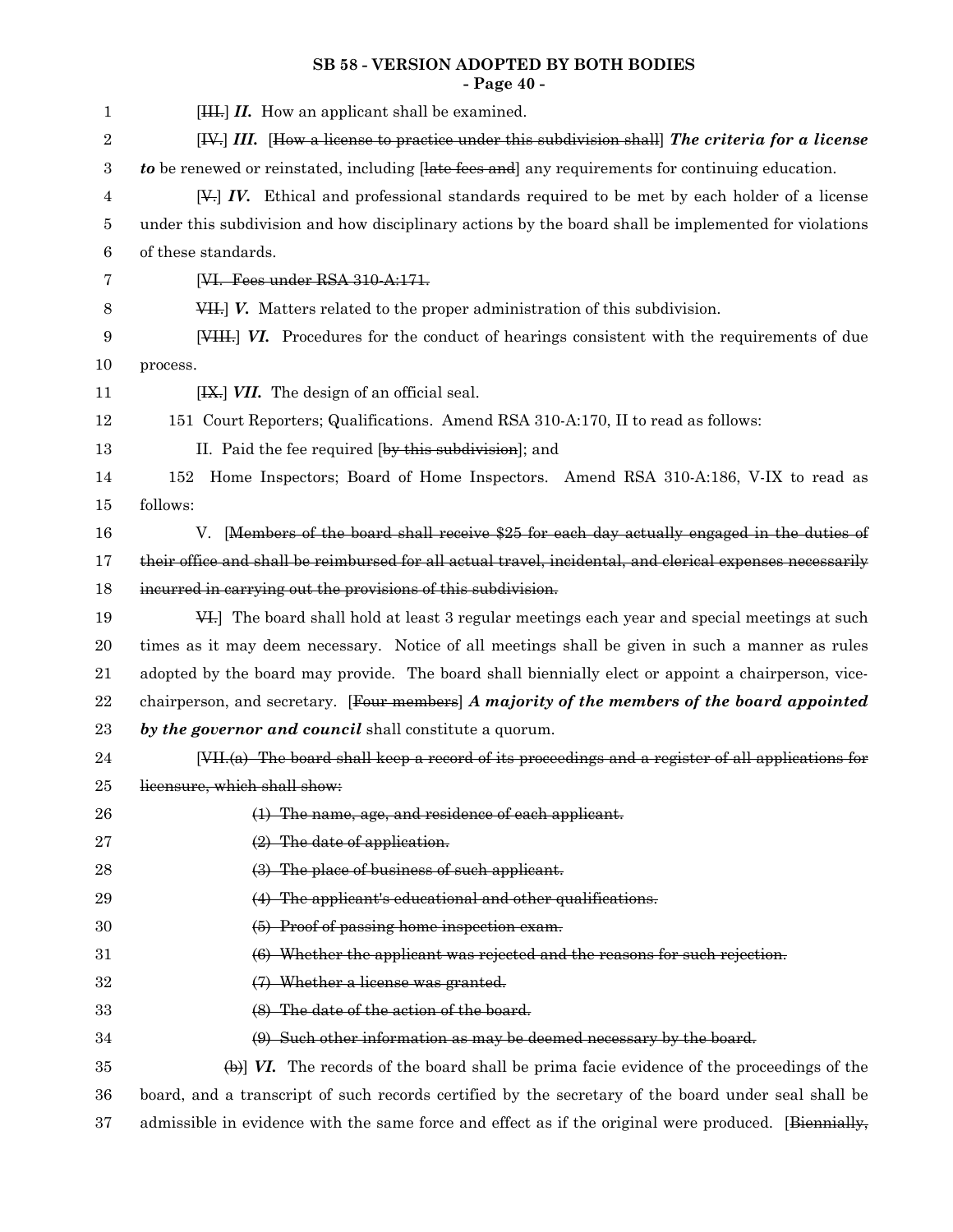## **SB 58 - VERSION ADOPTED BY BOTH BODIES - Page 40 -**

| $\mathbf{1}$     | $[HH, H.$ How an applicant shall be examined.                                                             |
|------------------|-----------------------------------------------------------------------------------------------------------|
| 2                | [IV.] III. [How a license to practice under this subdivision shall] The criteria for a license            |
| $\boldsymbol{3}$ | to be renewed or reinstated, including [late fees and] any requirements for continuing education.         |
| 4                | $[\frac{1}{2}]$ IV. Ethical and professional standards required to be met by each holder of a license     |
| 5                | under this subdivision and how disciplinary actions by the board shall be implemented for violations      |
| 6                | of these standards.                                                                                       |
| 7                | [VI. Fees under RSA 310-A:171.                                                                            |
| 8                | VII.] V. Matters related to the proper administration of this subdivision.                                |
| $\boldsymbol{9}$ | [VIII.] VI. Procedures for the conduct of hearings consistent with the requirements of due                |
| 10               | process.                                                                                                  |
| 11               | [IX.] VII. The design of an official seal.                                                                |
| 12               | 151 Court Reporters; Qualifications. Amend RSA 310-A:170, II to read as follows:                          |
| 13               | II. Paid the fee required [by this subdivision]; and                                                      |
| 14               | Home Inspectors; Board of Home Inspectors. Amend RSA 310-A:186, V-IX to read as<br>152                    |
| 15               | follows:                                                                                                  |
| 16               | [Members of the board shall receive \$25 for each day actually engaged in the duties of<br>V.             |
| 17               | their office and shall be reimbursed for all actual travel, incidental, and clerical expenses necessarily |
| 18               | incurred in carrying out the provisions of this subdivision.                                              |
| 19               | 44. The board shall hold at least 3 regular meetings each year and special meetings at such               |
| 20               | times as it may deem necessary. Notice of all meetings shall be given in such a manner as rules           |
| 21               | adopted by the board may provide. The board shall biennially elect or appoint a chairperson, vice-        |
| 22               | chairperson, and secretary. [Four members] A majority of the members of the board appointed               |
| 23               | by the governor and council shall constitute a quorum.                                                    |
| $\bf{24}$        | $[VII,(a)$ The board shall keep a record of its proceedings and a register of all applications for        |
| 25               | licensure, which shall show:                                                                              |
| 26               | (1) The name, age, and residence of each applicant.                                                       |
| 27               | $(2)$ The date of application.                                                                            |
| 28               | (3) The place of business of such applicant.                                                              |
| 29               | (4) The applicant's educational and other qualifications.                                                 |
| 30               | (5) Proof of passing home inspection exam.                                                                |
| $31\,$           | (6) Whether the applicant was rejected and the reasons for such rejection.                                |
| 32               | (7) Whether a license was granted.                                                                        |
| 33               | (8) The date of the action of the board.                                                                  |
| 34               | (9) Such other information as may be deemed necessary by the board.                                       |
| 35               | $\leftrightarrow$ W. The records of the board shall be prima facie evidence of the proceedings of the     |
| 36               | board, and a transcript of such records certified by the secretary of the board under seal shall be       |
| 37               | admissible in evidence with the same force and effect as if the original were produced. [Biennially,      |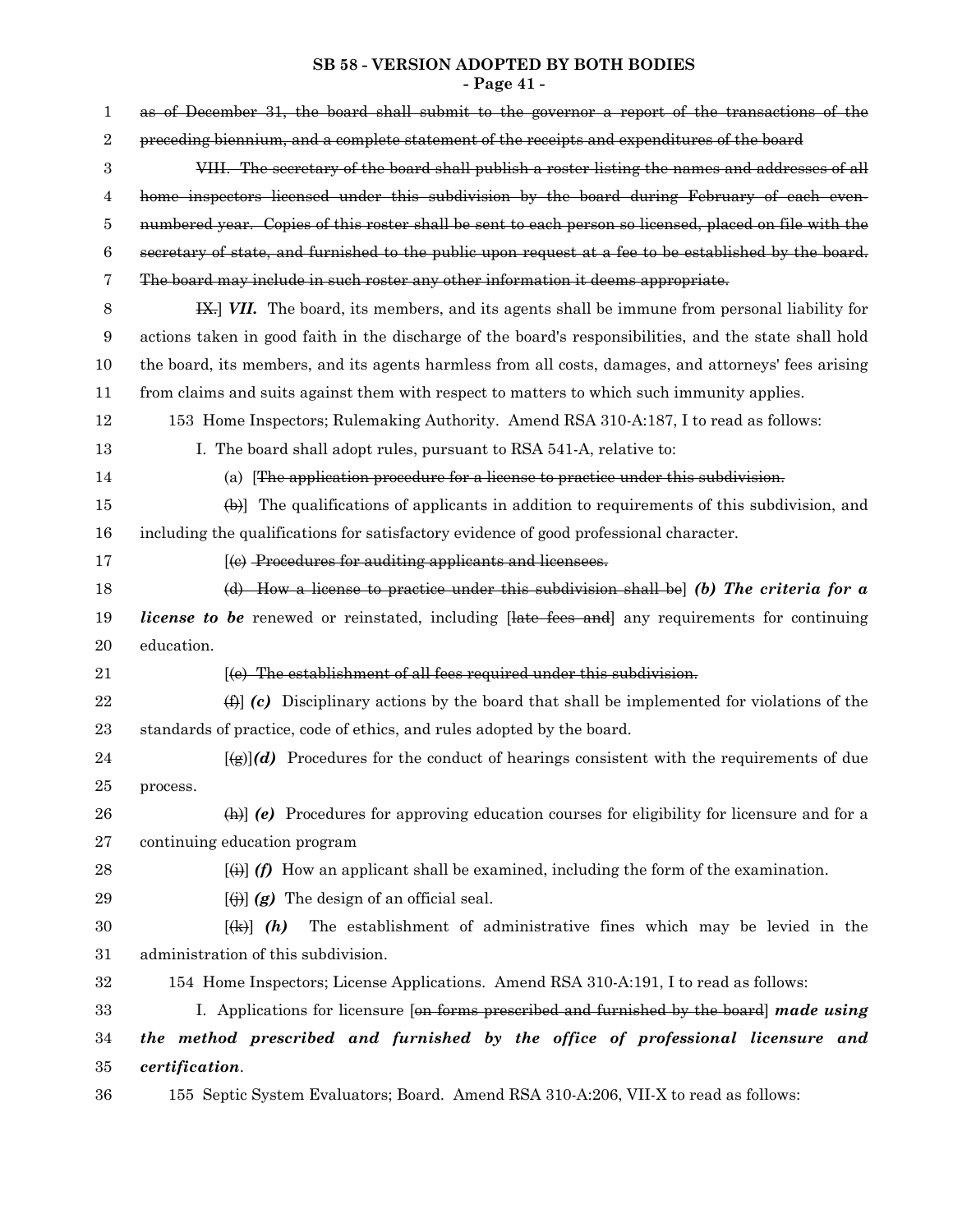#### **SB 58 - VERSION ADOPTED BY BOTH BODIES - Page 41 -**

| 1      | as of December 31, the board shall submit to the governor a report of the transactions of the                    |
|--------|------------------------------------------------------------------------------------------------------------------|
| 2      | preceding biennium, and a complete statement of the receipts and expenditures of the board                       |
| 3      | VIII. The secretary of the board shall publish a roster listing the names and addresses of all                   |
| 4      | home inspectors licensed under this subdivision by the board during February of each even-                       |
| 5      | numbered year. Copies of this roster shall be sent to each person so licensed, placed on file with the           |
| 6      | secretary of state, and furnished to the public upon request at a fee to be established by the board.            |
| 7      | The board may include in such roster any other information it deems appropriate.                                 |
| 8      | <b>IX.</b> WII. The board, its members, and its agents shall be immune from personal liability for               |
| 9      | actions taken in good faith in the discharge of the board's responsibilities, and the state shall hold           |
| 10     | the board, its members, and its agents harmless from all costs, damages, and attorneys' fees arising             |
| 11     | from claims and suits against them with respect to matters to which such immunity applies.                       |
| 12     | 153 Home Inspectors; Rulemaking Authority. Amend RSA 310-A:187, I to read as follows:                            |
| 13     | I. The board shall adopt rules, pursuant to RSA 541-A, relative to:                                              |
| 14     | (a) [The application procedure for a license to practice under this subdivision.                                 |
| 15     | $\left(\frac{1}{2}\right)$ The qualifications of applicants in addition to requirements of this subdivision, and |
| 16     | including the qualifications for satisfactory evidence of good professional character.                           |
| 17     | [(e) Procedures for auditing applicants and licensees.                                                           |
| 18     | (d) How a license to practice under this subdivision shall be $\vert$ (b) The criteria for a                     |
| 19     | <i>license to be</i> renewed or reinstated, including [late fees and] any requirements for continuing            |
| 20     | education.                                                                                                       |
| 21     | [(e) The establishment of all fees required under this subdivision.                                              |
| 22     | $\Box$ (c) Disciplinary actions by the board that shall be implemented for violations of the                     |
| 23     | standards of practice, code of ethics, and rules adopted by the board.                                           |
| 24     | $[\mathcal{L}(g)](d)$ Procedures for the conduct of hearings consistent with the requirements of due             |
| 25     | process.                                                                                                         |
| 26     | $\Box$ (e) Procedures for approving education courses for eligibility for licensure and for a                    |
| 27     | continuing education program                                                                                     |
| 28     | $[\frac{1}{2}]$ (f) How an applicant shall be examined, including the form of the examination.                   |
| 29     | $\left[\left(\frac{1}{2}\right)\right]$ (g) The design of an official seal.                                      |
| $30\,$ | The establishment of administrative fines which may be levied in the<br>$\left[\frac{1}{2} \cdot h\right]$ (h)   |
| 31     | administration of this subdivision.                                                                              |
| 32     | 154 Home Inspectors; License Applications. Amend RSA 310-A:191, I to read as follows:                            |
| 33     | I. Applications for licensure [on forms prescribed and furnished by the board] made using                        |
| 34     | the method prescribed and furnished by the office of professional licensure and                                  |
| 35     | certification.                                                                                                   |
| 36     | 155 Septic System Evaluators; Board. Amend RSA 310-A:206, VII-X to read as follows:                              |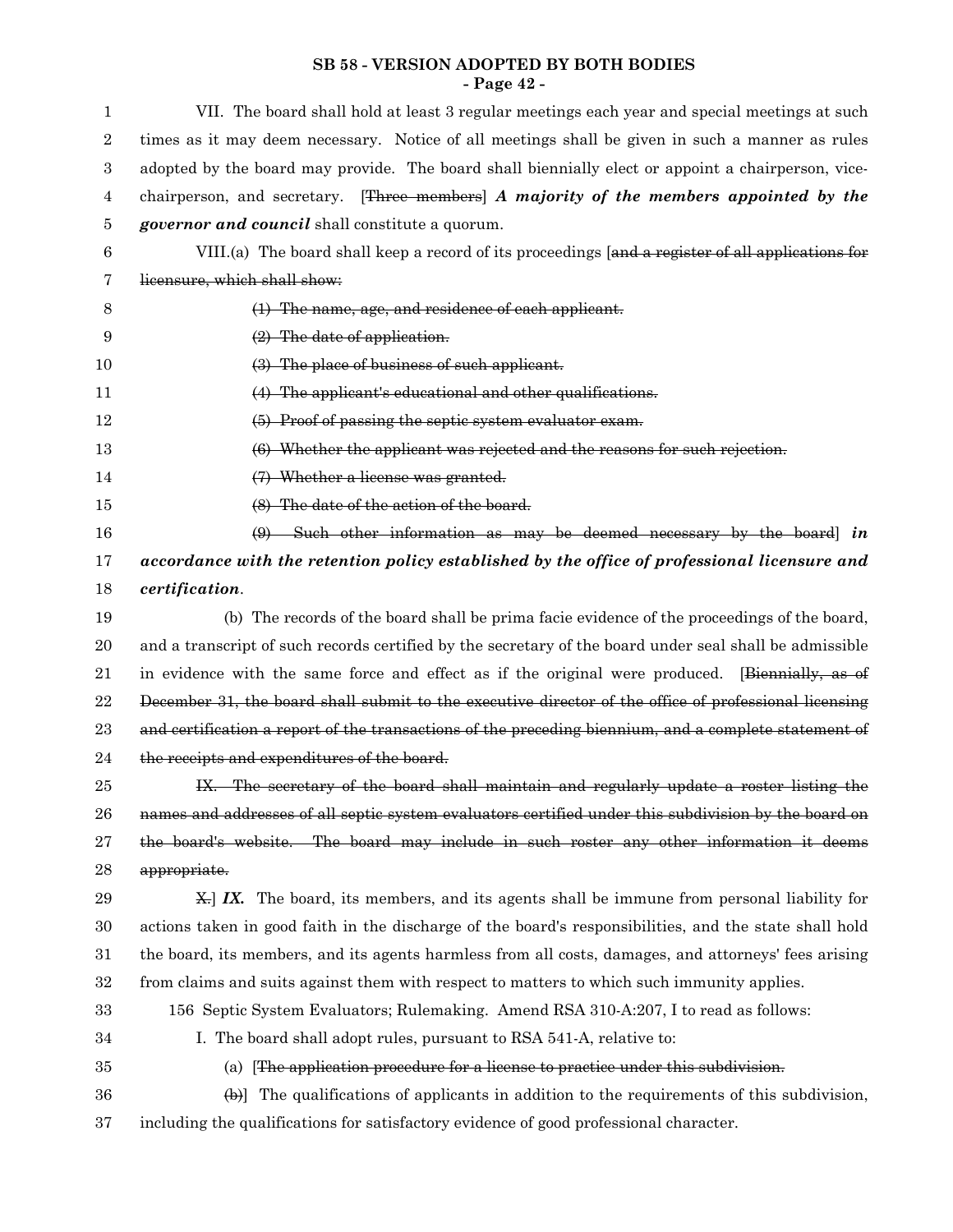#### **SB 58 - VERSION ADOPTED BY BOTH BODIES - Page 42 -**

| 1                | VII. The board shall hold at least 3 regular meetings each year and special meetings at such                     |
|------------------|------------------------------------------------------------------------------------------------------------------|
| $\boldsymbol{2}$ | times as it may deem necessary. Notice of all meetings shall be given in such a manner as rules                  |
| $\,3$            | adopted by the board may provide. The board shall biennially elect or appoint a chairperson, vice-               |
| $\overline{4}$   | chairperson, and secretary. [Three members] A majority of the members appointed by the                           |
| 5                | <i>governor and council</i> shall constitute a quorum.                                                           |
| 6                | VIII.(a) The board shall keep a record of its proceedings [and a register of all applications for                |
| 7                | licensure, which shall show:                                                                                     |
| 8                | (1) The name, age, and residence of each applicant.                                                              |
| 9                | $(2)$ The date of application.                                                                                   |
| 10               | (3) The place of business of such applicant.                                                                     |
| 11               | (4) The applicant's educational and other qualifications.                                                        |
| 12               | (5) Proof of passing the septic system evaluator exam.                                                           |
| 13               | (6) Whether the applicant was rejected and the reasons for such rejection.                                       |
| 14               | (7) Whether a license was granted.                                                                               |
| 15               | (8) The date of the action of the board.                                                                         |
| 16               | $(9)$ Such other information as may be deemed necessary by the board in                                          |
| 17               | accordance with the retention policy established by the office of professional licensure and                     |
| 18               | certification.                                                                                                   |
| 19               | (b) The records of the board shall be prima facie evidence of the proceedings of the board,                      |
| 20               | and a transcript of such records certified by the secretary of the board under seal shall be admissible          |
| 21               | in evidence with the same force and effect as if the original were produced. [Biennially, as of                  |
| $22\,$           | December 31, the board shall submit to the executive director of the office of professional licensing            |
| 23               | and certification a report of the transactions of the preceding biennium, and a complete statement of            |
| 24               | the receipts and expenditures of the board.                                                                      |
| 25               | IX. The secretary of the board shall maintain and regularly update a roster listing the                          |
| 26               | names and addresses of all septic system evaluators certified under this subdivision by the board on             |
| 27               | the board's website. The board may include in such roster any other information it deems                         |
| 28               | appropriate.                                                                                                     |
| 29               | $\angle$ X. The board, its members, and its agents shall be immune from personal liability for                   |
| 30               | actions taken in good faith in the discharge of the board's responsibilities, and the state shall hold           |
| 31               | the board, its members, and its agents harmless from all costs, damages, and attorneys' fees arising             |
| 32               | from claims and suits against them with respect to matters to which such immunity applies.                       |
| 33               | 156 Septic System Evaluators; Rulemaking. Amend RSA 310-A:207, I to read as follows:                             |
| 34               | I. The board shall adopt rules, pursuant to RSA 541-A, relative to:                                              |
| 35               | (a) The application procedure for a license to practice under this subdivision.                                  |
| 36               | $\left(\frac{1}{2}\right)$ The qualifications of applicants in addition to the requirements of this subdivision, |
| 37               | including the qualifications for satisfactory evidence of good professional character.                           |
|                  |                                                                                                                  |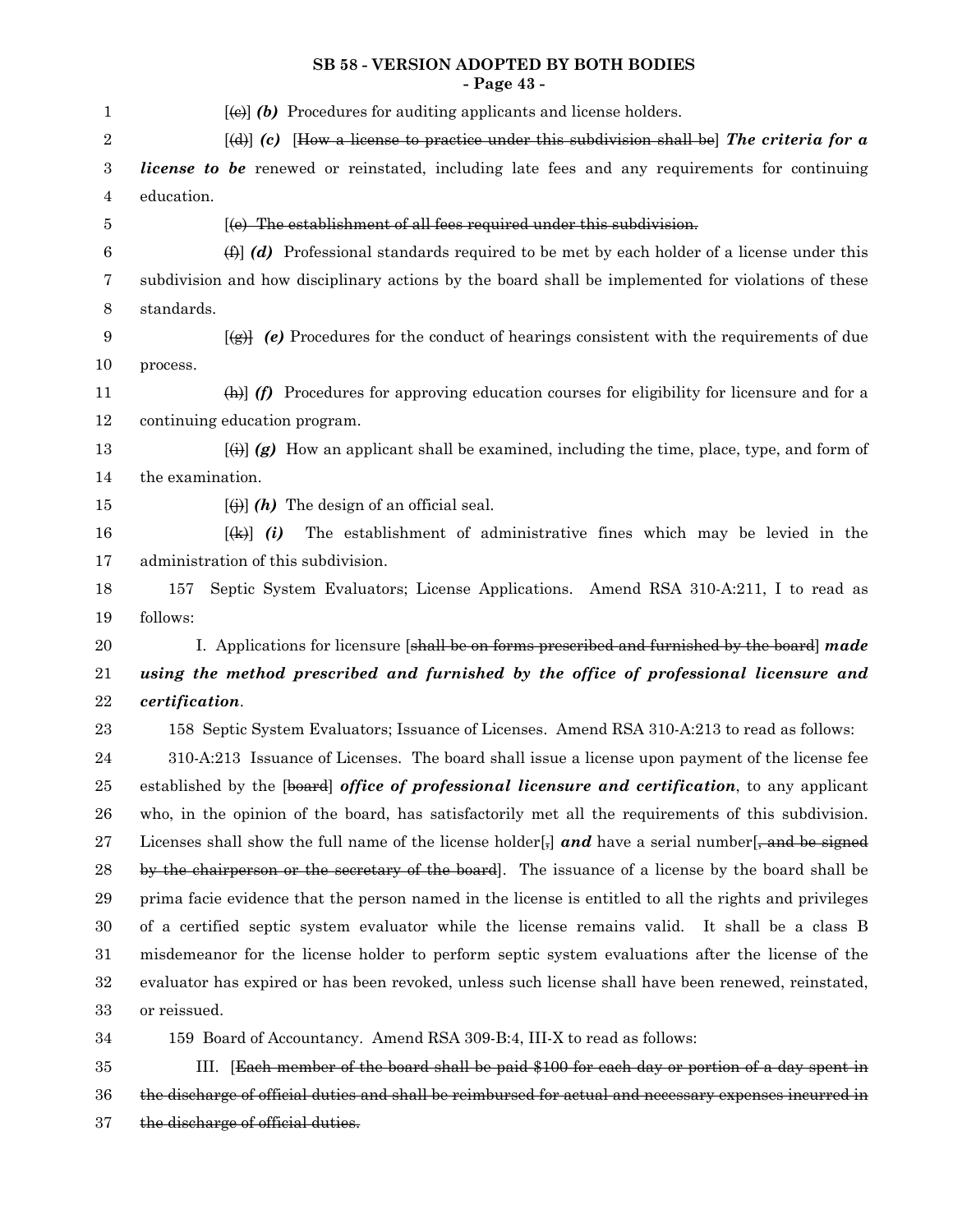## **SB 58 - VERSION ADOPTED BY BOTH BODIES - Page 43 -**

| 1                | $[\text{e} \cdot \text{e}]$ (b) Procedures for auditing applicants and license holders.                                                                                                                                                                                                                                                                                                                                                                                                                                                                               |
|------------------|-----------------------------------------------------------------------------------------------------------------------------------------------------------------------------------------------------------------------------------------------------------------------------------------------------------------------------------------------------------------------------------------------------------------------------------------------------------------------------------------------------------------------------------------------------------------------|
| $\boldsymbol{2}$ | $[\text{d}]$ (c) How a license to practice under this subdivision shall be The criteria for a                                                                                                                                                                                                                                                                                                                                                                                                                                                                         |
| 3                | <i>license to be</i> renewed or reinstated, including late fees and any requirements for continuing                                                                                                                                                                                                                                                                                                                                                                                                                                                                   |
| 4                | education.                                                                                                                                                                                                                                                                                                                                                                                                                                                                                                                                                            |
| 5                | [(e) The establishment of all fees required under this subdivision.                                                                                                                                                                                                                                                                                                                                                                                                                                                                                                   |
| 6                | $\Box$ (d) Professional standards required to be met by each holder of a license under this                                                                                                                                                                                                                                                                                                                                                                                                                                                                           |
| 7                | subdivision and how disciplinary actions by the board shall be implemented for violations of these                                                                                                                                                                                                                                                                                                                                                                                                                                                                    |
| $8\,$            | standards.                                                                                                                                                                                                                                                                                                                                                                                                                                                                                                                                                            |
| $\boldsymbol{9}$ | $[\frac{1}{2}]$ (e) Procedures for the conduct of hearings consistent with the requirements of due                                                                                                                                                                                                                                                                                                                                                                                                                                                                    |
| 10               | process.                                                                                                                                                                                                                                                                                                                                                                                                                                                                                                                                                              |
| 11               | $\Box$ (f) Procedures for approving education courses for eligibility for licensure and for a                                                                                                                                                                                                                                                                                                                                                                                                                                                                         |
| 12               | continuing education program.                                                                                                                                                                                                                                                                                                                                                                                                                                                                                                                                         |
| 13               | $\overline{f}(t)$ (g) How an applicant shall be examined, including the time, place, type, and form of                                                                                                                                                                                                                                                                                                                                                                                                                                                                |
| 14               | the examination.                                                                                                                                                                                                                                                                                                                                                                                                                                                                                                                                                      |
| 15               | $\left[\left(\frac{1}{2}\right)\right]$ (h) The design of an official seal.                                                                                                                                                                                                                                                                                                                                                                                                                                                                                           |
| 16               | The establishment of administrative fines which may be levied in the<br>$\left[\frac{1}{2} \cdot \frac{1}{2} \cdot i \cdot \frac{1}{2} \cdot i \cdot \frac{1}{2} \cdot i \cdot \frac{1}{2} \cdot i \cdot \frac{1}{2} \cdot i \cdot \frac{1}{2} \cdot i \cdot \frac{1}{2} \cdot i \cdot \frac{1}{2} \cdot i \cdot \frac{1}{2} \cdot i \cdot \frac{1}{2} \cdot i \cdot \frac{1}{2} \cdot i \cdot \frac{1}{2} \cdot i \cdot \frac{1}{2} \cdot i \cdot \frac{1}{2} \cdot i \cdot \frac{1}{2} \cdot i \cdot \frac{1}{2} \cdot i \cdot \frac{1}{2} \cdot i \cdot \frac{1}{$ |
| 17               | administration of this subdivision.                                                                                                                                                                                                                                                                                                                                                                                                                                                                                                                                   |
| 18               | Septic System Evaluators; License Applications. Amend RSA 310-A:211, I to read as<br>157                                                                                                                                                                                                                                                                                                                                                                                                                                                                              |
| 19               | follows:                                                                                                                                                                                                                                                                                                                                                                                                                                                                                                                                                              |
| 20               | I. Applications for licensure [shall be on forms prescribed and furnished by the board] made                                                                                                                                                                                                                                                                                                                                                                                                                                                                          |
| 21               | using the method prescribed and furnished by the office of professional licensure and                                                                                                                                                                                                                                                                                                                                                                                                                                                                                 |
| 22               | certification.                                                                                                                                                                                                                                                                                                                                                                                                                                                                                                                                                        |
| 23               | 158 Septic System Evaluators; Issuance of Licenses. Amend RSA 310-A:213 to read as follows:                                                                                                                                                                                                                                                                                                                                                                                                                                                                           |
| 24               | 310-A:213 Issuance of Licenses. The board shall issue a license upon payment of the license fee                                                                                                                                                                                                                                                                                                                                                                                                                                                                       |
| 25               | established by the [board] office of professional licensure and certification, to any applicant                                                                                                                                                                                                                                                                                                                                                                                                                                                                       |
| 26               | who, in the opinion of the board, has satisfactorily met all the requirements of this subdivision.                                                                                                                                                                                                                                                                                                                                                                                                                                                                    |
| 27               | Licenses shall show the full name of the license holder $\left[\frac{1}{2}\right]$ and have a serial number $\left[\frac{1}{2}, \frac{1}{2}\right]$                                                                                                                                                                                                                                                                                                                                                                                                                   |
| 28               | by the chairperson or the secretary of the board. The issuance of a license by the board shall be                                                                                                                                                                                                                                                                                                                                                                                                                                                                     |
| 29               | prima facie evidence that the person named in the license is entitled to all the rights and privileges                                                                                                                                                                                                                                                                                                                                                                                                                                                                |
| 30               | of a certified septic system evaluator while the license remains valid. It shall be a class B                                                                                                                                                                                                                                                                                                                                                                                                                                                                         |
| 31               | misdemeanor for the license holder to perform septic system evaluations after the license of the                                                                                                                                                                                                                                                                                                                                                                                                                                                                      |
| 32               | evaluator has expired or has been revoked, unless such license shall have been renewed, reinstated,                                                                                                                                                                                                                                                                                                                                                                                                                                                                   |
| 33               | or reissued.                                                                                                                                                                                                                                                                                                                                                                                                                                                                                                                                                          |
| 34               | 159 Board of Accountancy. Amend RSA 309-B:4, III-X to read as follows:                                                                                                                                                                                                                                                                                                                                                                                                                                                                                                |
| 35               | III. [Each member of the board shall be paid \$100 for each day or portion of a day spent in                                                                                                                                                                                                                                                                                                                                                                                                                                                                          |
| 36               | the discharge of official duties and shall be reimbursed for actual and necessary expenses incurred in                                                                                                                                                                                                                                                                                                                                                                                                                                                                |

the discharge of official duties. 37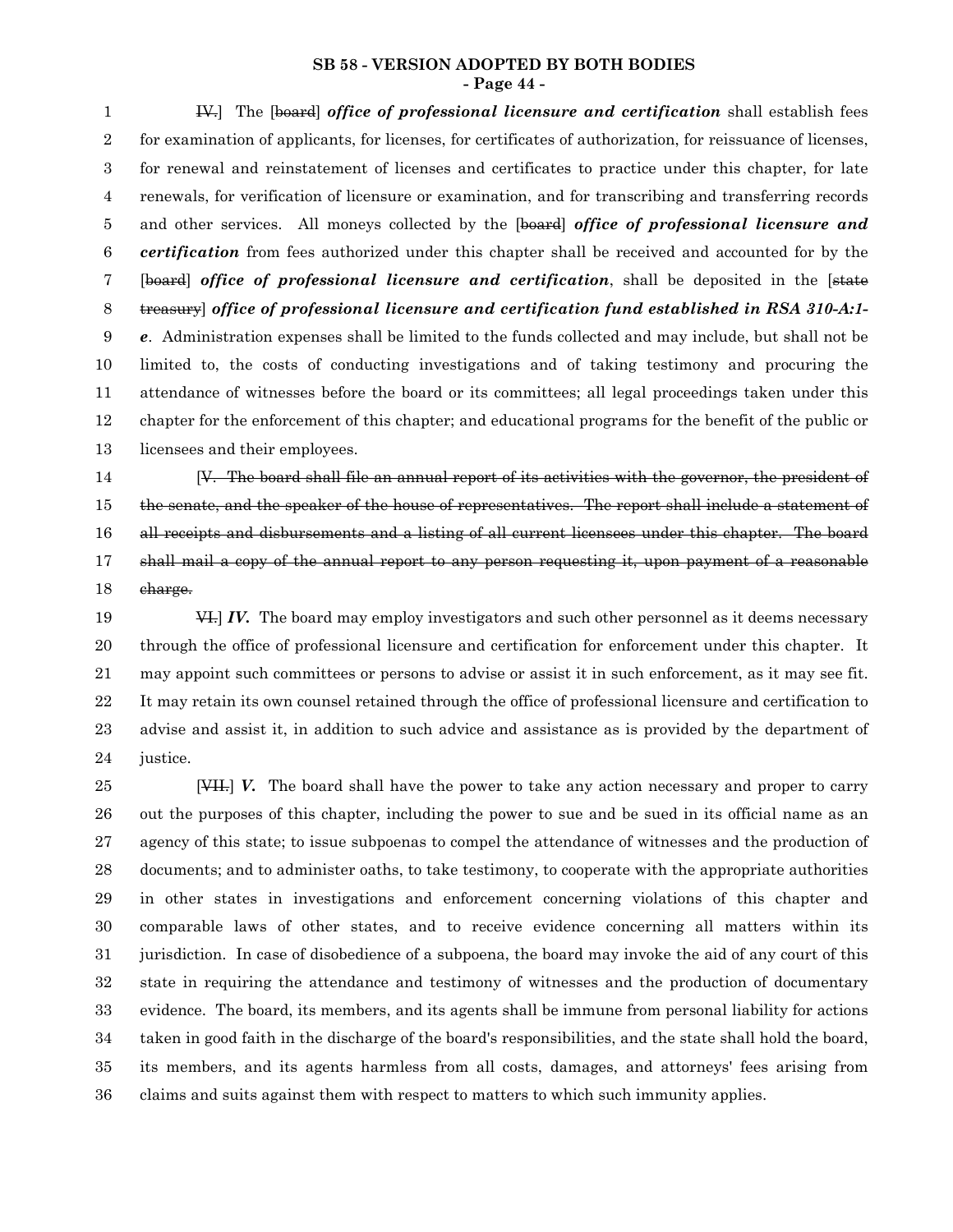#### **SB 58 - VERSION ADOPTED BY BOTH BODIES - Page 44 -**

IV.] The [board] *office of professional licensure and certification* shall establish fees for examination of applicants, for licenses, for certificates of authorization, for reissuance of licenses, for renewal and reinstatement of licenses and certificates to practice under this chapter, for late renewals, for verification of licensure or examination, and for transcribing and transferring records and other services. All moneys collected by the [board] *office of professional licensure and certification* from fees authorized under this chapter shall be received and accounted for by the [board] *office of professional licensure and certification*, shall be deposited in the [state treasury] *office of professional licensure and certification fund established in RSA 310-A:1 e*. Administration expenses shall be limited to the funds collected and may include, but shall not be limited to, the costs of conducting investigations and of taking testimony and procuring the attendance of witnesses before the board or its committees; all legal proceedings taken under this chapter for the enforcement of this chapter; and educational programs for the benefit of the public or licensees and their employees. 1 2 3 4 5 6 7 8 9 10 11 12 13

[V. The board shall file an annual report of its activities with the governor, the president of the senate, and the speaker of the house of representatives. The report shall include a statement of all receipts and disbursements and a listing of all current licensees under this chapter. The board shall mail a copy of the annual report to any person requesting it, upon payment of a reasonable charge. 14 15 16 17 18

VI.] *IV.* The board may employ investigators and such other personnel as it deems necessary through the office of professional licensure and certification for enforcement under this chapter. It may appoint such committees or persons to advise or assist it in such enforcement, as it may see fit. It may retain its own counsel retained through the office of professional licensure and certification to advise and assist it, in addition to such advice and assistance as is provided by the department of justice. 19 20 21 22 23 24

[VII.] *V.* The board shall have the power to take any action necessary and proper to carry out the purposes of this chapter, including the power to sue and be sued in its official name as an agency of this state; to issue subpoenas to compel the attendance of witnesses and the production of documents; and to administer oaths, to take testimony, to cooperate with the appropriate authorities in other states in investigations and enforcement concerning violations of this chapter and comparable laws of other states, and to receive evidence concerning all matters within its jurisdiction. In case of disobedience of a subpoena, the board may invoke the aid of any court of this state in requiring the attendance and testimony of witnesses and the production of documentary evidence. The board, its members, and its agents shall be immune from personal liability for actions taken in good faith in the discharge of the board's responsibilities, and the state shall hold the board, its members, and its agents harmless from all costs, damages, and attorneys' fees arising from claims and suits against them with respect to matters to which such immunity applies. 25 26 27 28 29 30 31 32 33 34 35 36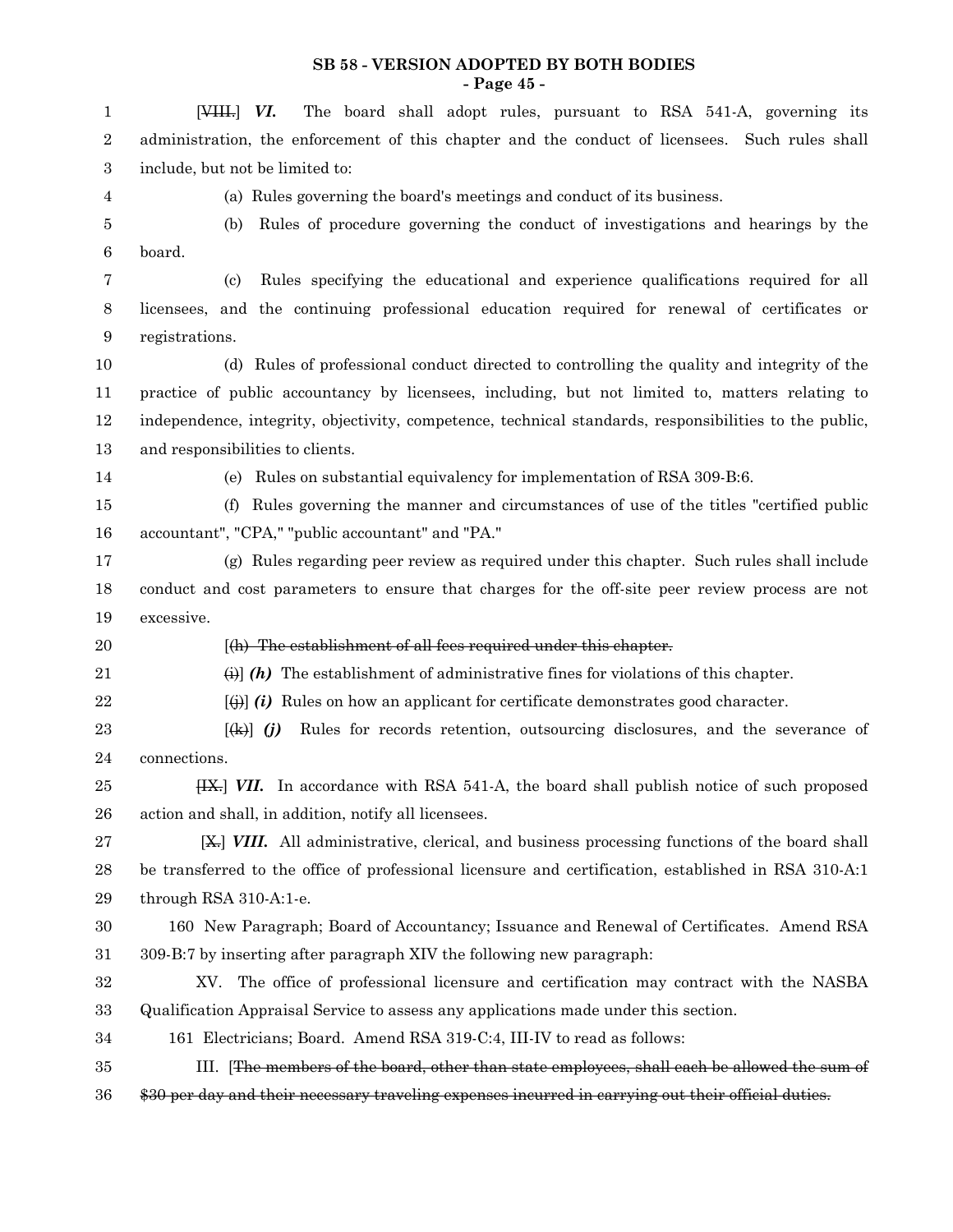#### **SB 58 - VERSION ADOPTED BY BOTH BODIES - Page 45 -**

| $\mathbf{1}$ | The board shall adopt rules, pursuant to RSA 541-A, governing its<br>$[1, 1]$ $VI$ .                                                                                                                                                                                                                                                                                                                                                                                                                                                        |
|--------------|---------------------------------------------------------------------------------------------------------------------------------------------------------------------------------------------------------------------------------------------------------------------------------------------------------------------------------------------------------------------------------------------------------------------------------------------------------------------------------------------------------------------------------------------|
| 2            | administration, the enforcement of this chapter and the conduct of licensees. Such rules shall                                                                                                                                                                                                                                                                                                                                                                                                                                              |
| 3            | include, but not be limited to:                                                                                                                                                                                                                                                                                                                                                                                                                                                                                                             |
| 4            | (a) Rules governing the board's meetings and conduct of its business.                                                                                                                                                                                                                                                                                                                                                                                                                                                                       |
| 5            | Rules of procedure governing the conduct of investigations and hearings by the<br>(b)                                                                                                                                                                                                                                                                                                                                                                                                                                                       |
| 6            | board.                                                                                                                                                                                                                                                                                                                                                                                                                                                                                                                                      |
| 7            | Rules specifying the educational and experience qualifications required for all<br>(c)                                                                                                                                                                                                                                                                                                                                                                                                                                                      |
| 8            | licensees, and the continuing professional education required for renewal of certificates or                                                                                                                                                                                                                                                                                                                                                                                                                                                |
| 9            | registrations.                                                                                                                                                                                                                                                                                                                                                                                                                                                                                                                              |
| 10           | (d) Rules of professional conduct directed to controlling the quality and integrity of the                                                                                                                                                                                                                                                                                                                                                                                                                                                  |
| 11           | practice of public accountancy by licensees, including, but not limited to, matters relating to                                                                                                                                                                                                                                                                                                                                                                                                                                             |
| 12           | independence, integrity, objectivity, competence, technical standards, responsibilities to the public,                                                                                                                                                                                                                                                                                                                                                                                                                                      |
| 13           | and responsibilities to clients.                                                                                                                                                                                                                                                                                                                                                                                                                                                                                                            |
| 14           | (e) Rules on substantial equivalency for implementation of RSA 309-B:6.                                                                                                                                                                                                                                                                                                                                                                                                                                                                     |
| 15           | Rules governing the manner and circumstances of use of the titles "certified public"<br>(f)                                                                                                                                                                                                                                                                                                                                                                                                                                                 |
| 16           | accountant", "CPA," "public accountant" and "PA."                                                                                                                                                                                                                                                                                                                                                                                                                                                                                           |
| 17           | (g) Rules regarding peer review as required under this chapter. Such rules shall include                                                                                                                                                                                                                                                                                                                                                                                                                                                    |
| 18           | conduct and cost parameters to ensure that charges for the off-site peer review process are not                                                                                                                                                                                                                                                                                                                                                                                                                                             |
|              |                                                                                                                                                                                                                                                                                                                                                                                                                                                                                                                                             |
| 19           | excessive.                                                                                                                                                                                                                                                                                                                                                                                                                                                                                                                                  |
| 20           | [(h) The establishment of all fees required under this chapter.                                                                                                                                                                                                                                                                                                                                                                                                                                                                             |
| 21           | $\Theta$ (h) The establishment of administrative fines for violations of this chapter.                                                                                                                                                                                                                                                                                                                                                                                                                                                      |
| 22           | $\ket{\ddot{\theta}}$ (i) Rules on how an applicant for certificate demonstrates good character.                                                                                                                                                                                                                                                                                                                                                                                                                                            |
| 23           | Rules for records retention, outsourcing disclosures, and the severance of<br>$\left[\frac{1}{2} \cdot \frac{1}{2} \cdot \frac{1}{2} \cdot \frac{1}{2} \cdot \frac{1}{2} \cdot \frac{1}{2} \cdot \frac{1}{2} \cdot \frac{1}{2} \cdot \frac{1}{2} \cdot \frac{1}{2} \cdot \frac{1}{2} \cdot \frac{1}{2} \cdot \frac{1}{2} \cdot \frac{1}{2} \cdot \frac{1}{2} \cdot \frac{1}{2} \cdot \frac{1}{2} \cdot \frac{1}{2} \cdot \frac{1}{2} \cdot \frac{1}{2} \cdot \frac{1}{2} \cdot \frac{1}{2} \cdot \frac{1}{2} \cdot \frac{1}{2} \cdot \frac$ |
| 24           | connections.                                                                                                                                                                                                                                                                                                                                                                                                                                                                                                                                |
| 25           | [IX.] VII. In accordance with RSA 541-A, the board shall publish notice of such proposed                                                                                                                                                                                                                                                                                                                                                                                                                                                    |
| 26           | action and shall, in addition, notify all licensees.                                                                                                                                                                                                                                                                                                                                                                                                                                                                                        |
| $\sqrt{27}$  | [X,] VIII. All administrative, clerical, and business processing functions of the board shall                                                                                                                                                                                                                                                                                                                                                                                                                                               |
| 28           | be transferred to the office of professional licensure and certification, established in RSA 310-A:1                                                                                                                                                                                                                                                                                                                                                                                                                                        |
| 29           | through RSA 310-A:1-e.                                                                                                                                                                                                                                                                                                                                                                                                                                                                                                                      |
| 30           | 160 New Paragraph; Board of Accountancy; Issuance and Renewal of Certificates. Amend RSA                                                                                                                                                                                                                                                                                                                                                                                                                                                    |
| 31           | 309-B:7 by inserting after paragraph XIV the following new paragraph:                                                                                                                                                                                                                                                                                                                                                                                                                                                                       |
| 32           | XV. The office of professional licensure and certification may contract with the NASBA                                                                                                                                                                                                                                                                                                                                                                                                                                                      |
| 33           | Qualification Appraisal Service to assess any applications made under this section.                                                                                                                                                                                                                                                                                                                                                                                                                                                         |
| 34           | 161 Electricians; Board. Amend RSA 319-C:4, III-IV to read as follows:                                                                                                                                                                                                                                                                                                                                                                                                                                                                      |
| 35           | III. [The members of the board, other than state employees, shall each be allowed the sum of                                                                                                                                                                                                                                                                                                                                                                                                                                                |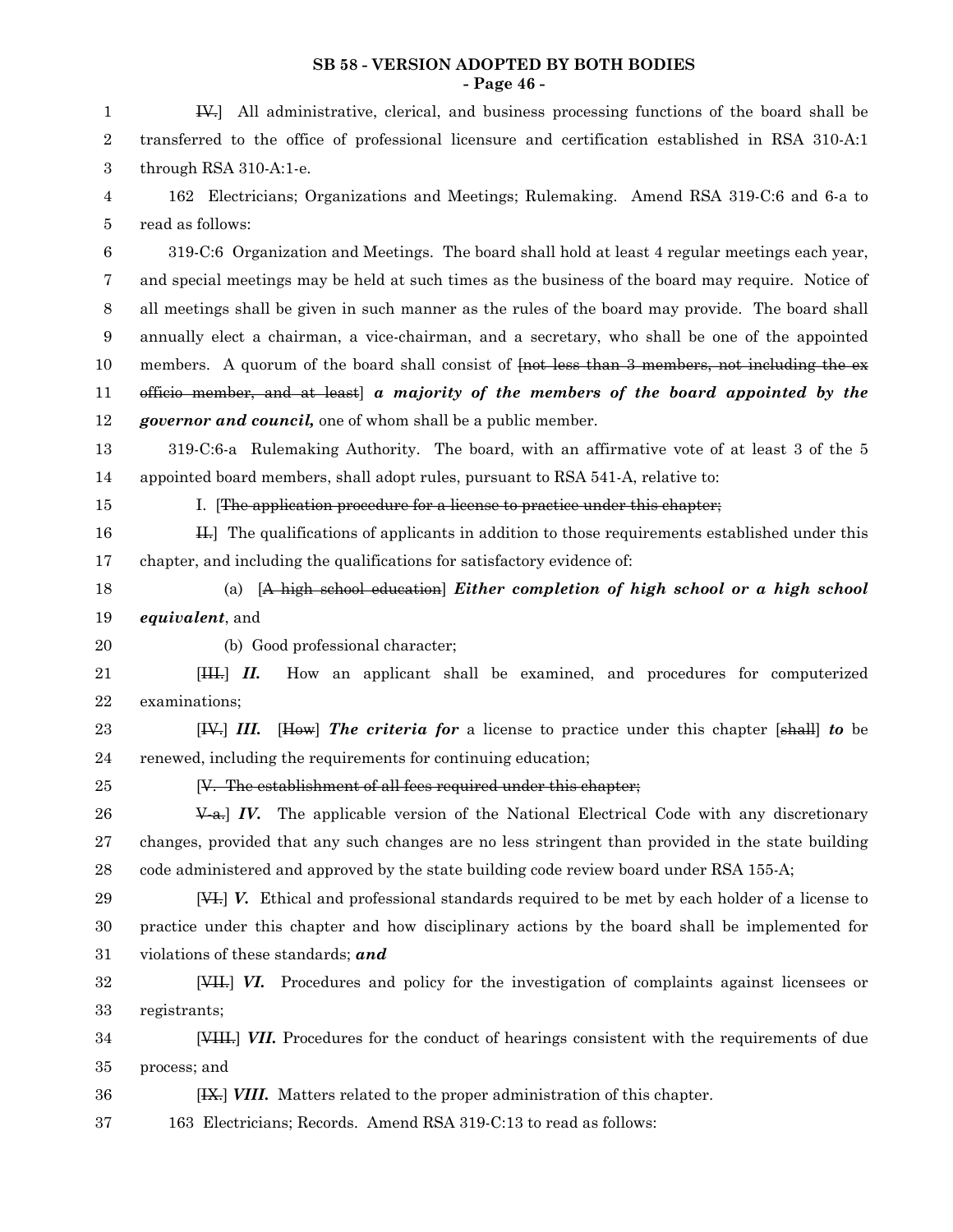#### **SB 58 - VERSION ADOPTED BY BOTH BODIES - Page 46 -**

| 1           | IV. All administrative, clerical, and business processing functions of the board shall be                                  |
|-------------|----------------------------------------------------------------------------------------------------------------------------|
| $\,2$       | transferred to the office of professional licensure and certification established in RSA 310-A:1                           |
| 3           | through RSA 310-A:1-e.                                                                                                     |
| 4           | 162 Electricians; Organizations and Meetings; Rulemaking. Amend RSA 319-C:6 and 6-a to                                     |
| 5           | read as follows:                                                                                                           |
| $\,6$       | 319-C:6 Organization and Meetings. The board shall hold at least 4 regular meetings each year,                             |
| 7           | and special meetings may be held at such times as the business of the board may require. Notice of                         |
| 8           | all meetings shall be given in such manner as the rules of the board may provide. The board shall                          |
| 9           | annually elect a chairman, a vice-chairman, and a secretary, who shall be one of the appointed                             |
| 10          | members. A quorum of the board shall consist of frot less than 3 members, not including the ex-                            |
| 11          | officio member, and at least) a majority of the members of the board appointed by the                                      |
| 12          | <i>governor and council</i> , one of whom shall be a public member.                                                        |
| 13          | 319-C:6-a Rulemaking Authority. The board, with an affirmative vote of at least 3 of the 5                                 |
| 14          | appointed board members, shall adopt rules, pursuant to RSA 541-A, relative to:                                            |
| 15          | I. [The application procedure for a license to practice under this chapter;                                                |
| 16          | H. The qualifications of applicants in addition to those requirements established under this                               |
| 17          | chapter, and including the qualifications for satisfactory evidence of:                                                    |
| 18          | (a) [A high school education] Either completion of high school or a high school                                            |
| 19          | equivalent, and                                                                                                            |
| 20          | (b) Good professional character;                                                                                           |
| 21          | How an applicant shall be examined, and procedures for computerized<br>[HH, H, H]                                          |
| 22          | examinations;                                                                                                              |
| 23          | [How] The criteria for a license to practice under this chapter [shall] to be<br>[H4] <i>III</i> .                         |
| 24          | renewed, including the requirements for continuing education;                                                              |
| 25          | [V. The establishment of all fees required under this chapter;                                                             |
| 26          | $\angle$ $\angle$ $\angle$ $\angle$ $\angle$ The applicable version of the National Electrical Code with any discretionary |
| $\sqrt{27}$ | changes, provided that any such changes are no less stringent than provided in the state building                          |
| 28          | code administered and approved by the state building code review board under RSA 155-A;                                    |
| 29          | [VI.] V. Ethical and professional standards required to be met by each holder of a license to                              |
| 30          | practice under this chapter and how disciplinary actions by the board shall be implemented for                             |
| 31          | violations of these standards; and                                                                                         |
| 32          | [VII] VI. Procedures and policy for the investigation of complaints against licensees or                                   |
| 33          | registrants;                                                                                                               |
| 34          | [VIII.] VII. Procedures for the conduct of hearings consistent with the requirements of due                                |
| 35          | process; and                                                                                                               |
| 36          | [IX.] VIII. Matters related to the proper administration of this chapter.                                                  |
| 37          | 163 Electricians; Records. Amend RSA 319-C:13 to read as follows:                                                          |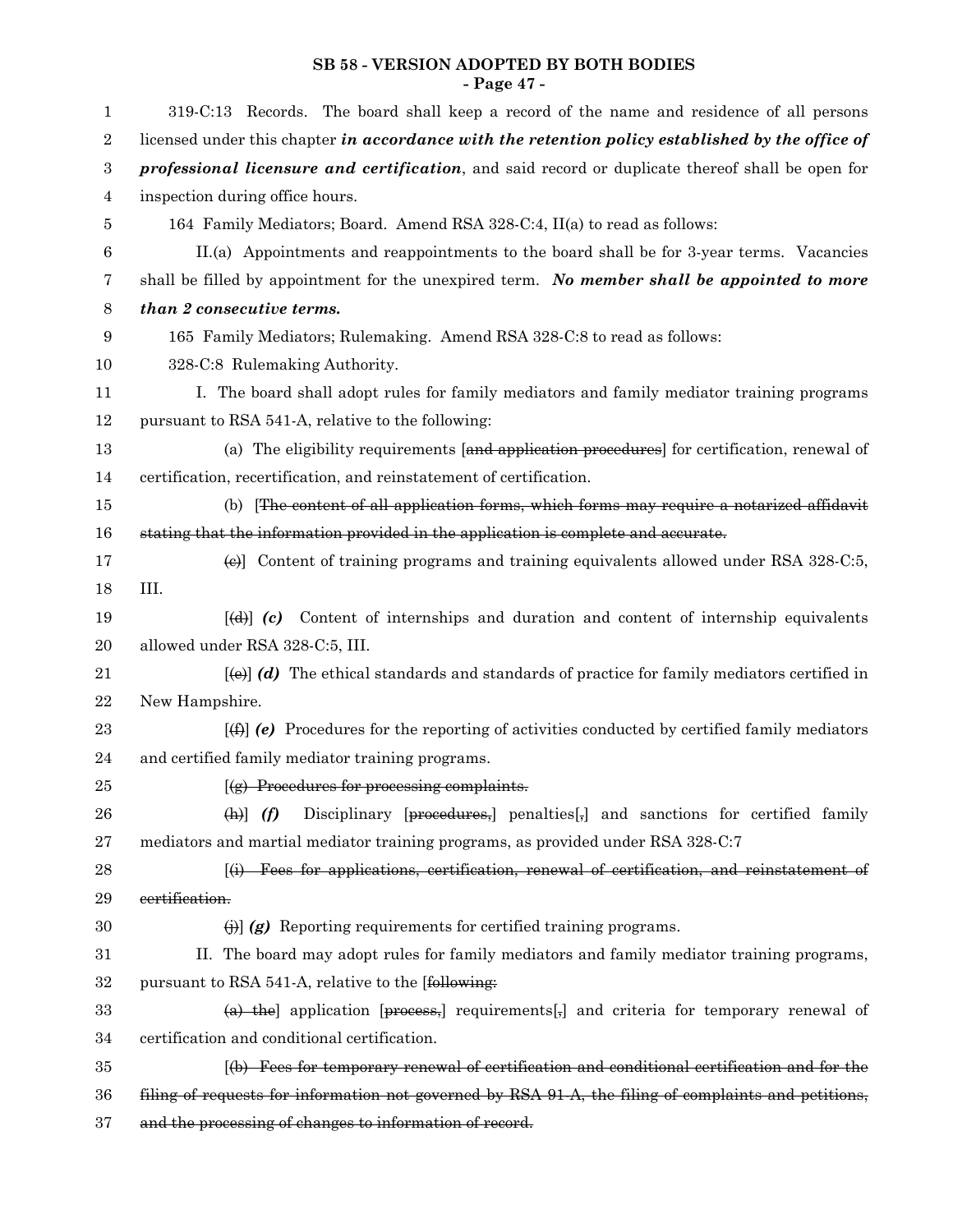## **SB 58 - VERSION ADOPTED BY BOTH BODIES - Page 47 -**

| 1                | 319-C:13 Records. The board shall keep a record of the name and residence of all persons                        |
|------------------|-----------------------------------------------------------------------------------------------------------------|
| $\overline{2}$   | licensed under this chapter in accordance with the retention policy established by the office of                |
| 3                | professional licensure and certification, and said record or duplicate thereof shall be open for                |
| 4                | inspection during office hours.                                                                                 |
| 5                | 164 Family Mediators; Board. Amend RSA 328-C:4, II(a) to read as follows:                                       |
| $\boldsymbol{6}$ | II.(a) Appointments and reappointments to the board shall be for 3-year terms. Vacancies                        |
| 7                | shall be filled by appointment for the unexpired term. No member shall be appointed to more                     |
| 8                | than 2 consecutive terms.                                                                                       |
| 9                | 165 Family Mediators; Rulemaking. Amend RSA 328-C:8 to read as follows:                                         |
| 10               | 328-C:8 Rulemaking Authority.                                                                                   |
| 11               | I. The board shall adopt rules for family mediators and family mediator training programs                       |
| 12               | pursuant to RSA 541-A, relative to the following:                                                               |
| 13               | (a) The eligibility requirements [and application procedures] for certification, renewal of                     |
| 14               | certification, recertification, and reinstatement of certification.                                             |
| 15               | (b) The content of all application forms, which forms may require a notarized affidavit                         |
| 16               | stating that the information provided in the application is complete and accurate.                              |
| 17               | (e) Content of training programs and training equivalents allowed under RSA 328-C:5,                            |
| 18               | III.                                                                                                            |
| 19               | Content of internships and duration and content of internship equivalents<br>$[\text{d} \theta]$ (c)            |
| 20               | allowed under RSA 328-C:5, III.                                                                                 |
| 21               | $[\omega]$ (d) The ethical standards and standards of practice for family mediators certified in                |
| 22               | New Hampshire.                                                                                                  |
| 23               | $[\text{H}]$ (e) Procedures for the reporting of activities conducted by certified family mediators             |
| 24               | and certified family mediator training programs.                                                                |
| 25               | $(g)$ Procedures for processing complaints.                                                                     |
| 26               | Disciplinary [ $\beta$ procedures,] penalties [ $\frac{1}{2}$ ] and sanctions for certified family<br>$(h)$ (f) |
| $\sqrt{27}$      | mediators and martial mediator training programs, as provided under RSA 328-C:7                                 |
| 28               | (i) Fees for applications, certification, renewal of certification, and reinstatement of                        |
| 29               | eertification.                                                                                                  |
| 30               | $\Theta$ (g) Reporting requirements for certified training programs.                                            |
| 31               | II. The board may adopt rules for family mediators and family mediator training programs,                       |
| $32\,$           | pursuant to RSA 541-A, relative to the [following:                                                              |
| 33               | (a) the application [process,] requirements[5] and criteria for temporary renewal of                            |
| 34               | certification and conditional certification.                                                                    |
| 35               | $(\theta)$ Fees for temporary renewal of certification and conditional certification and for the                |
| 36               | filing of requests for information not governed by RSA 91-A, the filing of complaints and petitions,            |
| 37               | and the processing of changes to information of record.                                                         |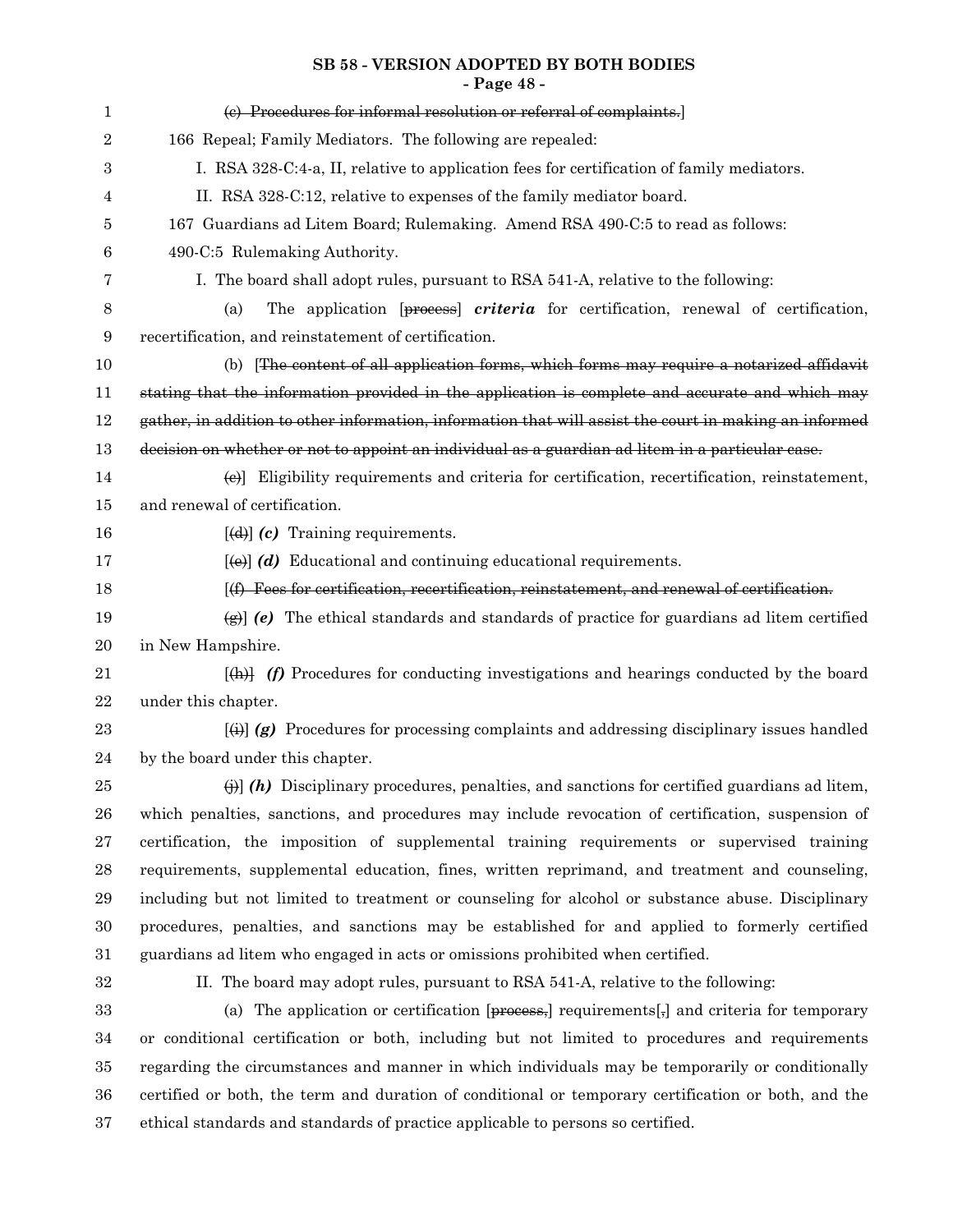## **SB 58 - VERSION ADOPTED BY BOTH BODIES - Page 48 -**

| 1                | (e) Procedures for informal resolution or referral of complaints.                                                   |
|------------------|---------------------------------------------------------------------------------------------------------------------|
| $\boldsymbol{2}$ | 166 Repeal; Family Mediators. The following are repealed:                                                           |
| 3                | I. RSA 328-C:4-a, II, relative to application fees for certification of family mediators.                           |
| 4                | II. RSA 328-C:12, relative to expenses of the family mediator board.                                                |
| 5                | 167 Guardians ad Litem Board; Rulemaking. Amend RSA 490-C:5 to read as follows:                                     |
| 6                | 490-C:5 Rulemaking Authority.                                                                                       |
| 7                | I. The board shall adopt rules, pursuant to RSA 541-A, relative to the following:                                   |
| 8                | The application [process] criteria for certification, renewal of certification,<br>(a)                              |
| 9                | recertification, and reinstatement of certification.                                                                |
| 10               | (b) The content of all application forms, which forms may require a notarized affidavit                             |
| 11               | stating that the information provided in the application is complete and accurate and which may                     |
| 12               | gather, in addition to other information, information that will assist the court in making an informed              |
| 13               | decision on whether or not to appoint an individual as a guardian ad litem in a particular case.                    |
| 14               | (e) Eligibility requirements and criteria for certification, recertification, reinstatement,                        |
| 15               | and renewal of certification.                                                                                       |
| 16               | $[\text{d} \cdot \text{d}]$ (c) Training requirements.                                                              |
| 17               | $[\text{e}(\text{e})]$ (d) Educational and continuing educational requirements.                                     |
| 18               | $(f)$ Fees for certification, recertification, reinstatement, and renewal of certification.                         |
| 19               | $\left(\frac{1}{2}\right)$ (e) The ethical standards and standards of practice for guardians ad litem certified     |
| 20               | in New Hampshire.                                                                                                   |
| 21               | $\left[\frac{h}{h}\right]$ (f) Procedures for conducting investigations and hearings conducted by the board         |
| 22               | under this chapter.                                                                                                 |
| 23               | $\overline{f}(t)$ (g) Procedures for processing complaints and addressing disciplinary issues handled               |
| 24               | by the board under this chapter.                                                                                    |
| 25               | $\Theta$ ) (h) Disciplinary procedures, penalties, and sanctions for certified guardians ad litem,                  |
| 26               | which penalties, sanctions, and procedures may include revocation of certification, suspension of                   |
| 27               | certification, the imposition of supplemental training requirements or supervised training                          |
| 28               | requirements, supplemental education, fines, written reprimand, and treatment and counseling,                       |
| 29               | including but not limited to treatment or counseling for alcohol or substance abuse. Disciplinary                   |
| 30               | procedures, penalties, and sanctions may be established for and applied to formerly certified                       |
| 31               | guardians ad litem who engaged in acts or omissions prohibited when certified.                                      |
| 32               | II. The board may adopt rules, pursuant to RSA 541-A, relative to the following:                                    |
| 33               | (a) The application or certification $[precess]$ requirements $\left[\frac{1}{2}\right]$ and criteria for temporary |
| 34               | or conditional certification or both, including but not limited to procedures and requirements                      |
| 35               | regarding the circumstances and manner in which individuals may be temporarily or conditionally                     |
| 36               | certified or both, the term and duration of conditional or temporary certification or both, and the                 |
| 37               | ethical standards and standards of practice applicable to persons so certified.                                     |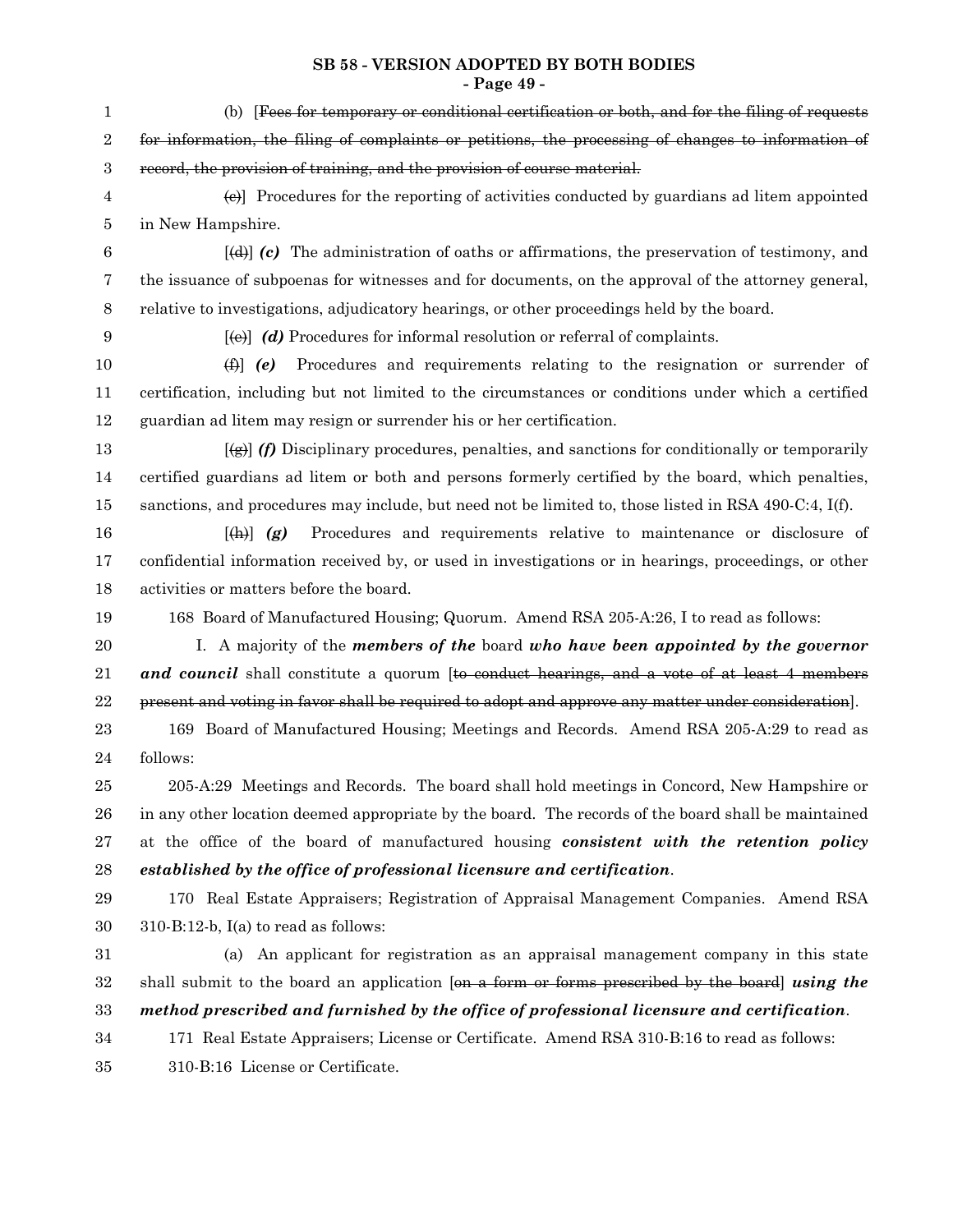## **SB 58 - VERSION ADOPTED BY BOTH BODIES**

**- Page 49 -**

| $\mathbf{1}$ | (b) [Fees for temporary or conditional certification or both, and for the filing of requests                                                                              |
|--------------|---------------------------------------------------------------------------------------------------------------------------------------------------------------------------|
| 2            | for information, the filing of complaints or petitions, the processing of changes to information of                                                                       |
| $\sqrt{3}$   | record, the provision of training, and the provision of course material.                                                                                                  |
| 4            | $\left\{\Theta\right\}$ Procedures for the reporting of activities conducted by guardians ad litem appointed                                                              |
| 5            | in New Hampshire.                                                                                                                                                         |
| 6            | $[\phi]$ (c) The administration of oaths or affirmations, the preservation of testimony, and                                                                              |
| 7            | the issuance of subpoenas for witnesses and for documents, on the approval of the attorney general,                                                                       |
| 8            | relative to investigations, adjudicatory hearings, or other proceedings held by the board.                                                                                |
| 9            | $[\omega]$ (d) Procedures for informal resolution or referral of complaints.                                                                                              |
| 10           | Procedures and requirements relating to the resignation or surrender of<br>$\oplus$ (e)                                                                                   |
| 11           | certification, including but not limited to the circumstances or conditions under which a certified                                                                       |
| 12           | guardian ad litem may resign or surrender his or her certification.                                                                                                       |
| 13           | $\overline{f(g)}$ (f) Disciplinary procedures, penalties, and sanctions for conditionally or temporarily                                                                  |
| 14           | certified guardians ad litem or both and persons formerly certified by the board, which penalties,                                                                        |
| 15           | sanctions, and procedures may include, but need not be limited to, those listed in RSA 490-C:4, I(f).                                                                     |
| 16           | Procedures and requirements relative to maintenance or disclosure of<br>$[\downarrow \downarrow \downarrow \downarrow \downarrow \downarrow \uparrow \downarrow \uparrow$ |
| 17           | confidential information received by, or used in investigations or in hearings, proceedings, or other                                                                     |
| 18           | activities or matters before the board.                                                                                                                                   |
| 19           | 168 Board of Manufactured Housing; Quorum. Amend RSA 205-A:26, I to read as follows:                                                                                      |
| 20           | I. A majority of the <i>members of the</i> board who have been appointed by the governor                                                                                  |
| 21           | and council shall constitute a quorum [to conduct hearings, and a vote of at least 4 members                                                                              |
| 22           | present and voting in favor shall be required to adopt and approve any matter under consideration.                                                                        |
| 23           | 169 Board of Manufactured Housing; Meetings and Records. Amend RSA 205-A:29 to read as                                                                                    |
| 24           | follows:                                                                                                                                                                  |
| 25           | 205-A:29 Meetings and Records. The board shall hold meetings in Concord, New Hampshire or                                                                                 |
| 26           | in any other location deemed appropriate by the board. The records of the board shall be maintained                                                                       |
| $\sqrt{27}$  | at the office of the board of manufactured housing consistent with the retention policy                                                                                   |
| $\bf{28}$    | established by the office of professional licensure and certification.                                                                                                    |
| 29           | 170 Real Estate Appraisers; Registration of Appraisal Management Companies. Amend RSA                                                                                     |
| 30           | $310 - B: 12 - b$ , I(a) to read as follows:                                                                                                                              |
| 31           | (a) An applicant for registration as an appraisal management company in this state                                                                                        |
| 32           | shall submit to the board an application [on a form or forms prescribed by the board] using the                                                                           |
| 33           | method prescribed and furnished by the office of professional licensure and certification.                                                                                |
| 34           | 171 Real Estate Appraisers; License or Certificate. Amend RSA 310-B:16 to read as follows:                                                                                |
| 35           | 310-B:16 License or Certificate.                                                                                                                                          |
|              |                                                                                                                                                                           |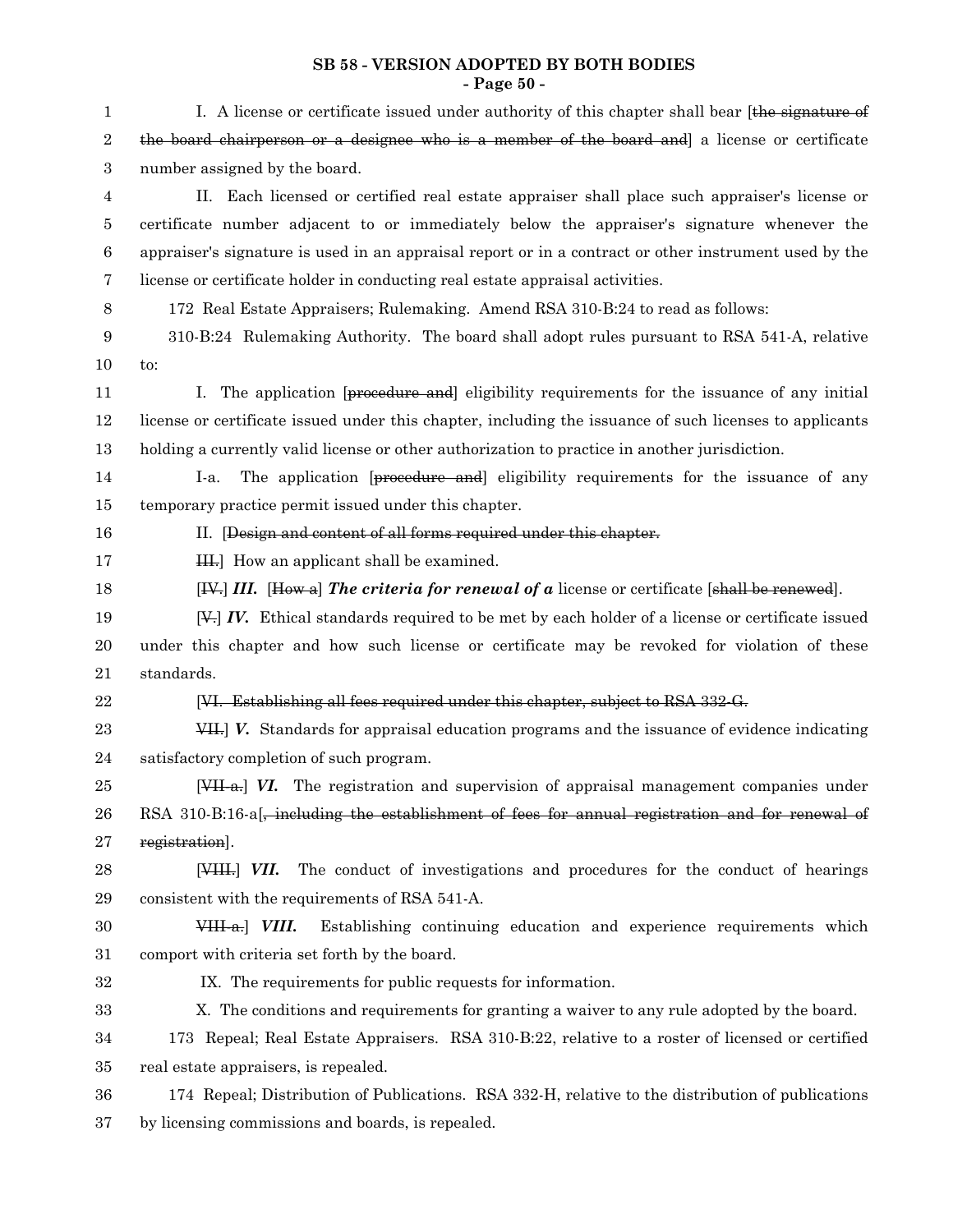## **SB 58 - VERSION ADOPTED BY BOTH BODIES - Page 50 -**

| 1                | I. A license or certificate issued under authority of this chapter shall bear [the signature of                               |
|------------------|-------------------------------------------------------------------------------------------------------------------------------|
| $\boldsymbol{2}$ | the board chairperson or a designee who is a member of the board and a license or certificate                                 |
| 3                | number assigned by the board.                                                                                                 |
| 4                | II. Each licensed or certified real estate appraiser shall place such appraiser's license or                                  |
| 5                | certificate number adjacent to or immediately below the appraiser's signature whenever the                                    |
| $\boldsymbol{6}$ | appraiser's signature is used in an appraisal report or in a contract or other instrument used by the                         |
| 7                | license or certificate holder in conducting real estate appraisal activities.                                                 |
| 8                | 172 Real Estate Appraisers; Rulemaking. Amend RSA 310-B:24 to read as follows:                                                |
| 9                | 310-B:24 Rulemaking Authority. The board shall adopt rules pursuant to RSA 541-A, relative                                    |
| 10               | to:                                                                                                                           |
| 11               | I. The application [procedure and] eligibility requirements for the issuance of any initial                                   |
| 12               | license or certificate issued under this chapter, including the issuance of such licenses to applicants                       |
| 13               | holding a currently valid license or other authorization to practice in another jurisdiction.                                 |
| 14               | The application [proceedure and] eligibility requirements for the issuance of any<br>I-a.                                     |
| 15               | temporary practice permit issued under this chapter.                                                                          |
| 16               | II. [Design and content of all forms required under this chapter.                                                             |
| 17               | H. How an applicant shall be examined.                                                                                        |
| 18               | $[\frac{IV}{IV}]$ III. $[\frac{How}{a}]$ The criteria for renewal of a license or certificate $[\frac{shall}{h}]$ be renewed. |
| 19               | $[\frac{V}{V}]$ IV. Ethical standards required to be met by each holder of a license or certificate issued                    |
| 20               | under this chapter and how such license or certificate may be revoked for violation of these                                  |
| 21               | standards.                                                                                                                    |
| 22               | [VI. Establishing all fees required under this chapter, subject to RSA 332-G.                                                 |
| 23               | VII. V. Standards for appraisal education programs and the issuance of evidence indicating                                    |
| 24               | satisfactory completion of such program.                                                                                      |
| 25               | [VII-a.] VI. The registration and supervision of appraisal management companies under                                         |
| 26               | RSA 310-B:16-a[ $\frac{1}{2}$ including the establishment of fees for annual registration and for renewal of                  |
| 27               | registration].                                                                                                                |
| 28               | The conduct of investigations and procedures for the conduct of hearings<br>$[$ VHH, $]$ VII.                                 |
| 29               | consistent with the requirements of RSA 541-A.                                                                                |
| 30               | Establishing continuing education and experience requirements which<br>$VHH-a.$ <i>VIII.</i>                                  |
| 31               | comport with criteria set forth by the board.                                                                                 |
| 32               | IX. The requirements for public requests for information.                                                                     |
| 33               | X. The conditions and requirements for granting a waiver to any rule adopted by the board.                                    |
| 34               | 173 Repeal; Real Estate Appraisers. RSA 310-B:22, relative to a roster of licensed or certified                               |
| 35               | real estate appraisers, is repealed.                                                                                          |
| 36               | 174 Repeal; Distribution of Publications. RSA 332-H, relative to the distribution of publications                             |
| 37               | by licensing commissions and boards, is repealed.                                                                             |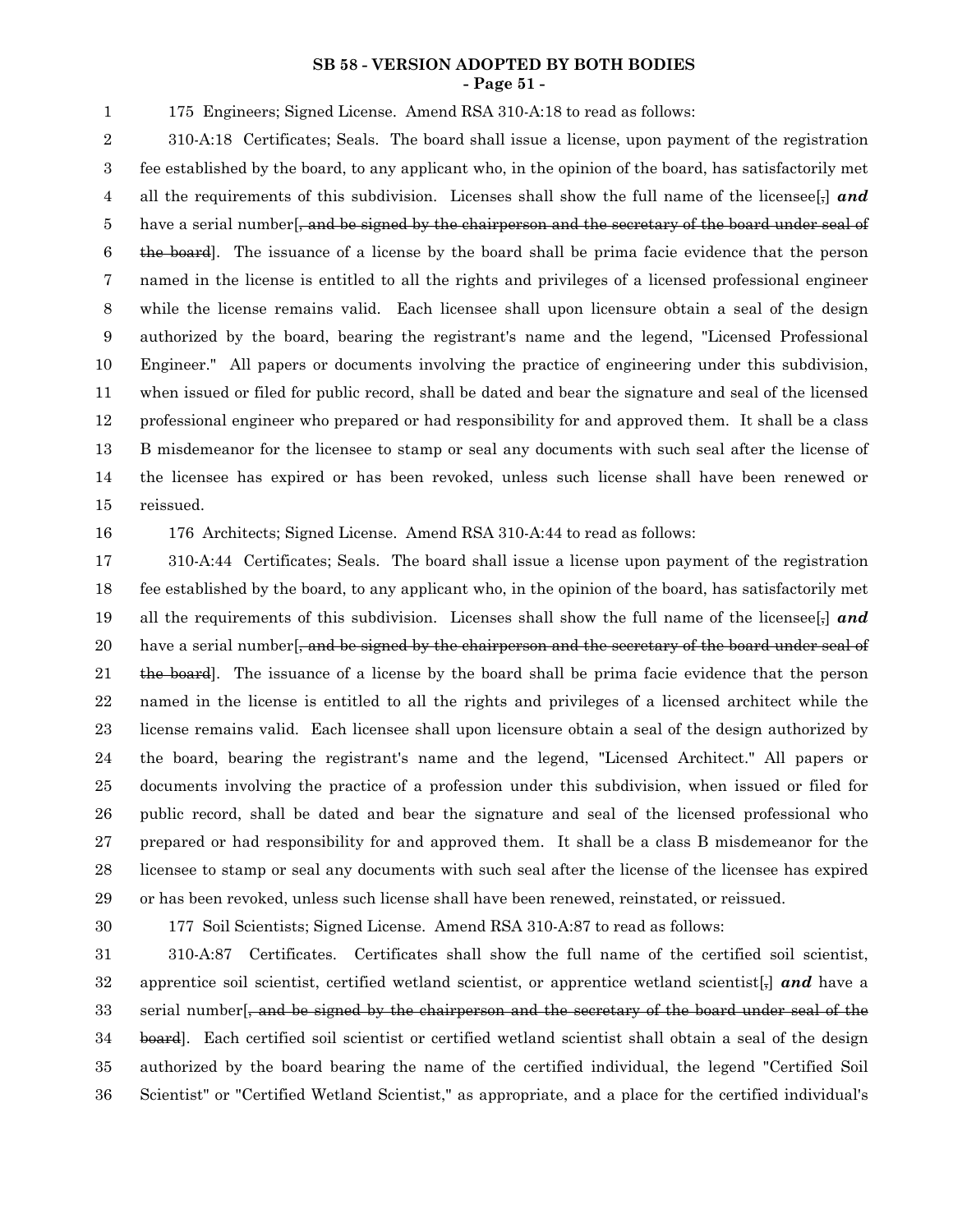#### **SB 58 - VERSION ADOPTED BY BOTH BODIES - Page 51 -**

175 Engineers; Signed License. Amend RSA 310-A:18 to read as follows:

310-A:18 Certificates; Seals. The board shall issue a license, upon payment of the registration fee established by the board, to any applicant who, in the opinion of the board, has satisfactorily met all the requirements of this subdivision. Licenses shall show the full name of the licensee[,] *and* have a serial number <del>, and be signed by the chairperson and the secretary of the board under seal of</del> the board]. The issuance of a license by the board shall be prima facie evidence that the person named in the license is entitled to all the rights and privileges of a licensed professional engineer while the license remains valid. Each licensee shall upon licensure obtain a seal of the design authorized by the board, bearing the registrant's name and the legend, "Licensed Professional Engineer." All papers or documents involving the practice of engineering under this subdivision, when issued or filed for public record, shall be dated and bear the signature and seal of the licensed professional engineer who prepared or had responsibility for and approved them. It shall be a class B misdemeanor for the licensee to stamp or seal any documents with such seal after the license of the licensee has expired or has been revoked, unless such license shall have been renewed or reissued. 2 3 4 5 6 7 8 9 10 11 12 13 14 15

16

1

176 Architects; Signed License. Amend RSA 310-A:44 to read as follows:

310-A:44 Certificates; Seals. The board shall issue a license upon payment of the registration fee established by the board, to any applicant who, in the opinion of the board, has satisfactorily met all the requirements of this subdivision. Licenses shall show the full name of the licensee[,] *and* have a serial number[, and be signed by the chairperson and the secretary of the board under seal of the board]. The issuance of a license by the board shall be prima facie evidence that the person named in the license is entitled to all the rights and privileges of a licensed architect while the license remains valid. Each licensee shall upon licensure obtain a seal of the design authorized by the board, bearing the registrant's name and the legend, "Licensed Architect." All papers or documents involving the practice of a profession under this subdivision, when issued or filed for public record, shall be dated and bear the signature and seal of the licensed professional who prepared or had responsibility for and approved them. It shall be a class B misdemeanor for the licensee to stamp or seal any documents with such seal after the license of the licensee has expired or has been revoked, unless such license shall have been renewed, reinstated, or reissued. 17 18 19 20 21 22 23 24 25 26 27 28 29

30

177 Soil Scientists; Signed License. Amend RSA 310-A:87 to read as follows:

310-A:87 Certificates. Certificates shall show the full name of the certified soil scientist, apprentice soil scientist, certified wetland scientist, or apprentice wetland scientist $[\cdot]$  and have a serial number, and be signed by the chairperson and the secretary of the board under seal of the board]. Each certified soil scientist or certified wetland scientist shall obtain a seal of the design authorized by the board bearing the name of the certified individual, the legend "Certified Soil Scientist" or "Certified Wetland Scientist," as appropriate, and a place for the certified individual's 31 32 33 34 35 36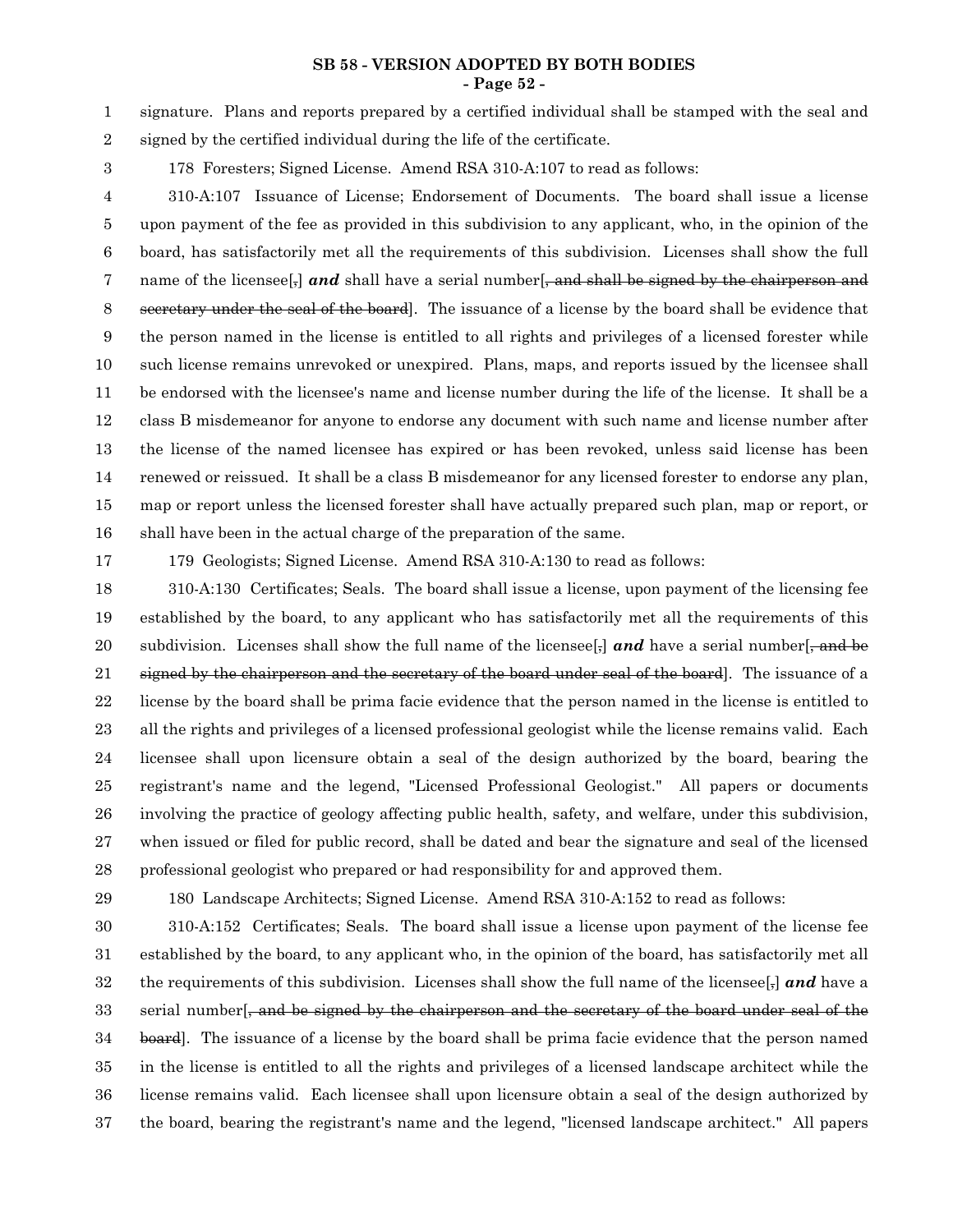#### **SB 58 - VERSION ADOPTED BY BOTH BODIES - Page 52 -**

signature. Plans and reports prepared by a certified individual shall be stamped with the seal and signed by the certified individual during the life of the certificate. 1 2

3

178 Foresters; Signed License. Amend RSA 310-A:107 to read as follows:

310-A:107 Issuance of License; Endorsement of Documents. The board shall issue a license upon payment of the fee as provided in this subdivision to any applicant, who, in the opinion of the board, has satisfactorily met all the requirements of this subdivision. Licenses shall show the full name of the licensee<sup>[-]</sup> and shall have a serial number<sup>[-</sup>, and shall be signed by the chairperson and secretary under the seal of the board]. The issuance of a license by the board shall be evidence that the person named in the license is entitled to all rights and privileges of a licensed forester while such license remains unrevoked or unexpired. Plans, maps, and reports issued by the licensee shall be endorsed with the licensee's name and license number during the life of the license. It shall be a class B misdemeanor for anyone to endorse any document with such name and license number after the license of the named licensee has expired or has been revoked, unless said license has been renewed or reissued. It shall be a class B misdemeanor for any licensed forester to endorse any plan, map or report unless the licensed forester shall have actually prepared such plan, map or report, or shall have been in the actual charge of the preparation of the same. 4 5 6 7 8 9 10 11 12 13 14 15 16

17

179 Geologists; Signed License. Amend RSA 310-A:130 to read as follows:

310-A:130 Certificates; Seals. The board shall issue a license, upon payment of the licensing fee established by the board, to any applicant who has satisfactorily met all the requirements of this subdivision. Licenses shall show the full name of the licensee  $\frac{1}{2}$  and have a serial number  $\frac{1}{2}$ , and be signed by the chairperson and the secretary of the board under seal of the board. The issuance of a license by the board shall be prima facie evidence that the person named in the license is entitled to all the rights and privileges of a licensed professional geologist while the license remains valid. Each licensee shall upon licensure obtain a seal of the design authorized by the board, bearing the registrant's name and the legend, "Licensed Professional Geologist." All papers or documents involving the practice of geology affecting public health, safety, and welfare, under this subdivision, when issued or filed for public record, shall be dated and bear the signature and seal of the licensed professional geologist who prepared or had responsibility for and approved them. 18 19 20 21 22 23 24 25 26 27 28

29

180 Landscape Architects; Signed License. Amend RSA 310-A:152 to read as follows:

310-A:152 Certificates; Seals. The board shall issue a license upon payment of the license fee established by the board, to any applicant who, in the opinion of the board, has satisfactorily met all the requirements of this subdivision. Licenses shall show the full name of the licensee[,] *and* have a serial number, and be signed by the chairperson and the secretary of the board under seal of the board]. The issuance of a license by the board shall be prima facie evidence that the person named in the license is entitled to all the rights and privileges of a licensed landscape architect while the license remains valid. Each licensee shall upon licensure obtain a seal of the design authorized by the board, bearing the registrant's name and the legend, "licensed landscape architect." All papers 30 31 32 33 34 35 36 37